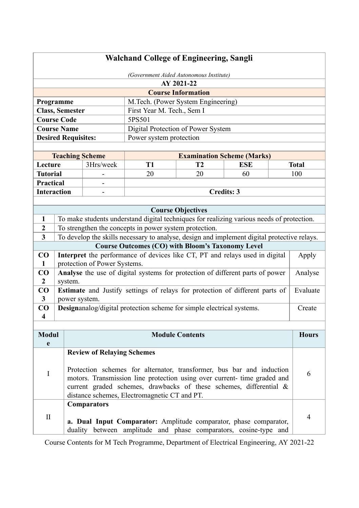# **Walchand College of Engineering, Sangli**

| (Government Aided Autonomous Institute)                  |                           |  |  |  |  |
|----------------------------------------------------------|---------------------------|--|--|--|--|
|                                                          | AY 2021-22                |  |  |  |  |
|                                                          | <b>Course Information</b> |  |  |  |  |
| M.Tech. (Power System Engineering)<br><b>Programme</b>   |                           |  |  |  |  |
| <b>Class, Semester</b><br>First Year M. Tech., Sem I     |                           |  |  |  |  |
| <b>Course Code</b>                                       | 5PS501                    |  |  |  |  |
| <b>Course Name</b><br>Digital Protection of Power System |                           |  |  |  |  |
| <b>Desired Requisites:</b><br>Power system protection    |                           |  |  |  |  |
|                                                          |                           |  |  |  |  |

| <b>Teaching Scheme</b> |           |            | <b>Examination Scheme (Marks)</b> |            |              |  |
|------------------------|-----------|------------|-----------------------------------|------------|--------------|--|
| Lecture                | 3Hrs/week | T1         | тэ                                | <b>ESE</b> | <b>Total</b> |  |
| <b>Tutorial</b>        | ۰         | 20         | 20                                | 60         | 100          |  |
| <b>Practical</b>       | ۰         |            |                                   |            |              |  |
| <b>Interaction</b>     | -         | Credits: 3 |                                   |            |              |  |

|                | <b>Course Objectives</b>                                                                    |          |  |  |  |
|----------------|---------------------------------------------------------------------------------------------|----------|--|--|--|
|                | To make students understand digital techniques for realizing various needs of protection.   |          |  |  |  |
| $\mathbf{2}$   | To strengthen the concepts in power system protection.                                      |          |  |  |  |
| 3              | To develop the skills necessary to analyse, design and implement digital protective relays. |          |  |  |  |
|                | <b>Course Outcomes (CO) with Bloom's Taxonomy Level</b>                                     |          |  |  |  |
| CO             | Interpret the performance of devices like CT, PT and relays used in digital                 | Apply    |  |  |  |
|                | protection of Power Systems.                                                                |          |  |  |  |
| CO             | <b>Analyse</b> the use of digital systems for protection of different parts of power        | Analyse  |  |  |  |
| $\overline{2}$ | system.                                                                                     |          |  |  |  |
| CO             | <b>Estimate</b> and Justify settings of relays for protection of different parts of         | Evaluate |  |  |  |
| 3              | power system.                                                                               |          |  |  |  |
| CO             | <b>Designanalog/digital protection scheme for simple electrical systems.</b>                | Create   |  |  |  |
| 4              |                                                                                             |          |  |  |  |

| <b>Modul</b> | <b>Module Contents</b>                                                                                                                                                                         | <b>Hours</b> |
|--------------|------------------------------------------------------------------------------------------------------------------------------------------------------------------------------------------------|--------------|
| e            |                                                                                                                                                                                                |              |
|              | <b>Review of Relaying Schemes</b><br>Protection schemes for alternator, transformer, bus bar and induction                                                                                     | 6            |
|              | motors. Transmission line protection using over current- time graded and<br>current graded schemes, drawbacks of these schemes, differential &<br>distance schemes, Electromagnetic CT and PT. |              |
| H            | <b>Comparators</b><br>a. Dual Input Comparator: Amplitude comparator, phase comparator,<br>duality between amplitude and phase comparators, cosine-type and                                    | 4            |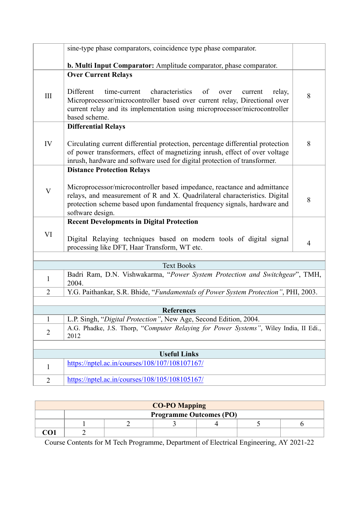|                | sine-type phase comparators, coincidence type phase comparator.                                                                                                                                                                                            |                |
|----------------|------------------------------------------------------------------------------------------------------------------------------------------------------------------------------------------------------------------------------------------------------------|----------------|
|                | b. Multi Input Comparator: Amplitude comparator, phase comparator.                                                                                                                                                                                         |                |
|                | <b>Over Current Relays</b>                                                                                                                                                                                                                                 |                |
| Ш              | Different<br>time-current<br>characteristics<br>of<br>over<br>current<br>relay,<br>Microprocessor/microcontroller based over current relay, Directional over<br>current relay and its implementation using microprocessor/microcontroller<br>based scheme. | 8              |
|                | <b>Differential Relays</b>                                                                                                                                                                                                                                 |                |
| IV             | Circulating current differential protection, percentage differential protection<br>of power transformers, effect of magnetizing inrush, effect of over voltage<br>inrush, hardware and software used for digital protection of transformer.                | 8              |
|                | <b>Distance Protection Relays</b>                                                                                                                                                                                                                          |                |
| V              | Microprocessor/microcontroller based impedance, reactance and admittance<br>relays, and measurement of R and X. Quadrilateral characteristics. Digital<br>protection scheme based upon fundamental frequency signals, hardware and<br>software design.     | 8              |
|                | <b>Recent Developments in Digital Protection</b>                                                                                                                                                                                                           |                |
| VI             | Digital Relaying techniques based on modern tools of digital signal<br>processing like DFT, Haar Transform, WT etc.                                                                                                                                        | $\overline{4}$ |
|                |                                                                                                                                                                                                                                                            |                |
|                | <b>Text Books</b>                                                                                                                                                                                                                                          |                |
| $\mathbf{1}$   | Badri Ram, D.N. Vishwakarma, "Power System Protection and Switchgear", TMH,<br>2004.                                                                                                                                                                       |                |
| $\overline{2}$ | Y.G. Paithankar, S.R. Bhide, "Fundamentals of Power System Protection", PHI, 2003.                                                                                                                                                                         |                |
|                | <b>References</b>                                                                                                                                                                                                                                          |                |
| $\mathbf{1}$   | L.P. Singh, "Digital Protection", New Age, Second Edition, 2004.                                                                                                                                                                                           |                |
| $\overline{2}$ | A.G. Phadke, J.S. Thorp, "Computer Relaying for Power Systems", Wiley India, II Edi.,<br>2012                                                                                                                                                              |                |
|                |                                                                                                                                                                                                                                                            |                |
|                | <b>Useful Links</b>                                                                                                                                                                                                                                        |                |
| $\mathbf{1}$   | https://nptel.ac.in/courses/108/107/108107167/                                                                                                                                                                                                             |                |
| $\overline{2}$ | https://nptel.ac.in/courses/108/105/108105167/                                                                                                                                                                                                             |                |
|                |                                                                                                                                                                                                                                                            |                |

| <b>CO-PO Mapping</b> |                                |  |  |  |  |  |
|----------------------|--------------------------------|--|--|--|--|--|
|                      | <b>Programme Outcomes (PO)</b> |  |  |  |  |  |
|                      |                                |  |  |  |  |  |
|                      |                                |  |  |  |  |  |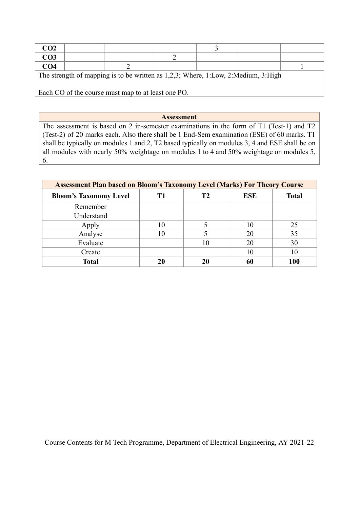| CO <sub>2</sub>                                                                   |  |  |  |  |  |  |
|-----------------------------------------------------------------------------------|--|--|--|--|--|--|
| CO <sub>3</sub>                                                                   |  |  |  |  |  |  |
| CO <sub>4</sub>                                                                   |  |  |  |  |  |  |
| The strength of mapping is to be written as 1,2,3; Where, 1:Low, 2:Medium, 3:High |  |  |  |  |  |  |
| Each CO of the course must map to at least one PO.                                |  |  |  |  |  |  |

### **Assessment**

The assessment is based on 2 in-semester examinations in the form of T1 (Test-1) and T2 (Test-2) of 20 marks each. Also there shall be 1 End-Sem examination (ESE) of 60 marks. T1 shall be typically on modules 1 and 2, T2 based typically on modules 3, 4 and ESE shall be on all modules with nearly 50% weightage on modules 1 to 4 and 50% weightage on modules 5, 6.

| <b>Assessment Plan based on Bloom's Taxonomy Level (Marks) For Theory Course</b> |    |    |            |              |  |  |
|----------------------------------------------------------------------------------|----|----|------------|--------------|--|--|
| <b>Bloom's Taxonomy Level</b>                                                    | Т1 | Т2 | <b>ESE</b> | <b>Total</b> |  |  |
| Remember                                                                         |    |    |            |              |  |  |
| Understand                                                                       |    |    |            |              |  |  |
| Apply                                                                            | 10 |    | 10         | 25           |  |  |
| Analyse                                                                          | 10 |    | 20         | 35           |  |  |
| Evaluate                                                                         |    | 10 | 20         | 30           |  |  |
| Create                                                                           |    |    | 10         | 10           |  |  |
| <b>Total</b>                                                                     | 20 | 20 | 60         | 100          |  |  |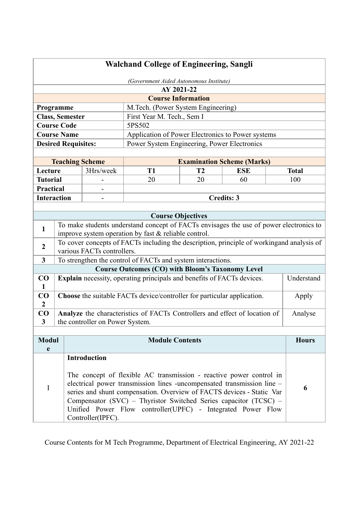| <b>Walchand College of Engineering, Sangli</b> |                                         |                                                                         |                                                         |                           |                                                                                           |              |
|------------------------------------------------|-----------------------------------------|-------------------------------------------------------------------------|---------------------------------------------------------|---------------------------|-------------------------------------------------------------------------------------------|--------------|
|                                                | (Government Aided Autonomous Institute) |                                                                         |                                                         |                           |                                                                                           |              |
|                                                |                                         |                                                                         |                                                         | AY 2021-22                |                                                                                           |              |
|                                                |                                         |                                                                         |                                                         | <b>Course Information</b> |                                                                                           |              |
| Programme                                      |                                         |                                                                         | M.Tech. (Power System Engineering)                      |                           |                                                                                           |              |
|                                                |                                         | <b>Class, Semester</b>                                                  | First Year M. Tech., Sem I                              |                           |                                                                                           |              |
| <b>Course Code</b>                             |                                         |                                                                         | 5PS502                                                  |                           |                                                                                           |              |
| <b>Course Name</b>                             |                                         |                                                                         |                                                         |                           | Application of Power Electronics to Power systems                                         |              |
|                                                |                                         | <b>Desired Requisites:</b>                                              | Power System Engineering, Power Electronics             |                           |                                                                                           |              |
|                                                |                                         |                                                                         |                                                         |                           |                                                                                           |              |
|                                                |                                         | <b>Teaching Scheme</b>                                                  |                                                         |                           | <b>Examination Scheme (Marks)</b>                                                         |              |
| Lecture                                        |                                         | 3Hrs/week                                                               | T <sub>1</sub>                                          | T <sub>2</sub>            | <b>ESE</b>                                                                                | <b>Total</b> |
| <b>Tutorial</b>                                |                                         |                                                                         | 20                                                      | 20                        | 60                                                                                        | 100          |
| <b>Practical</b>                               |                                         |                                                                         |                                                         |                           |                                                                                           |              |
| <b>Interaction</b>                             |                                         |                                                                         |                                                         |                           | <b>Credits: 3</b>                                                                         |              |
|                                                |                                         |                                                                         |                                                         |                           |                                                                                           |              |
|                                                |                                         |                                                                         |                                                         | <b>Course Objectives</b>  |                                                                                           |              |
| 1                                              |                                         |                                                                         |                                                         |                           | To make students understand concept of FACTs envisages the use of power electronics to    |              |
|                                                |                                         | improve system operation by fast & reliable control.                    |                                                         |                           |                                                                                           |              |
| $\overline{2}$                                 |                                         |                                                                         |                                                         |                           | To cover concepts of FACTs including the description, principle of workingand analysis of |              |
|                                                |                                         | various FACTs controllers.                                              |                                                         |                           |                                                                                           |              |
| $\mathbf{3}$                                   |                                         | To strengthen the control of FACTs and system interactions.             |                                                         |                           |                                                                                           |              |
|                                                |                                         |                                                                         | <b>Course Outcomes (CO) with Bloom's Taxonomy Level</b> |                           |                                                                                           |              |
| $\bf CO$<br>$\mathbf{1}$                       |                                         | Explain necessity, operating principals and benefits of FACTs devices.  |                                                         |                           |                                                                                           | Understand   |
| $\bf CO$<br>$\overline{2}$                     |                                         | Choose the suitable FACTs device/controller for particular application. |                                                         |                           |                                                                                           | Apply        |
| CO                                             |                                         |                                                                         |                                                         |                           | Analyze the characteristics of FACTs Controllers and effect of location of                | Analyse      |
| 3                                              |                                         | the controller on Power System.                                         |                                                         |                           |                                                                                           |              |
|                                                |                                         |                                                                         |                                                         |                           |                                                                                           |              |
| <b>Modul</b>                                   |                                         |                                                                         | <b>Module Contents</b>                                  |                           |                                                                                           | <b>Hours</b> |
| e                                              |                                         |                                                                         |                                                         |                           |                                                                                           |              |
|                                                |                                         | <b>Introduction</b>                                                     |                                                         |                           |                                                                                           |              |
|                                                |                                         |                                                                         |                                                         |                           |                                                                                           |              |
| I                                              |                                         |                                                                         |                                                         |                           | The concept of flexible AC transmission - reactive power control in                       |              |
|                                                |                                         |                                                                         |                                                         |                           | electrical power transmission lines -uncompensated transmission line -                    | 6            |
|                                                |                                         |                                                                         |                                                         |                           | series and shunt compensation. Overview of FACTS devices - Static Var                     |              |
|                                                |                                         |                                                                         |                                                         |                           | Compensator (SVC) - Thyristor Switched Series capacitor (TCSC) -                          |              |
|                                                |                                         |                                                                         |                                                         |                           | Unified Power Flow controller(UPFC) - Integrated Power Flow                               |              |
|                                                |                                         | Controller(IPFC).                                                       |                                                         |                           |                                                                                           |              |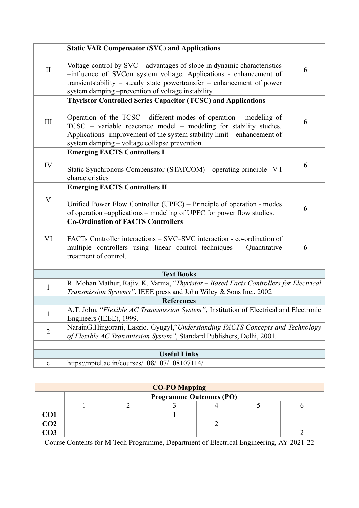| $\mathbf{I}$              | <b>Static VAR Compensator (SVC) and Applications</b><br>Voltage control by $SVC - advantages$ of slope in dynamic characteristics<br>-influence of SVCon system voltage. Applications - enhancement of<br>transientstability – steady state powertransfer – enhancement of power                                                             | 6 |  |  |  |
|---------------------------|----------------------------------------------------------------------------------------------------------------------------------------------------------------------------------------------------------------------------------------------------------------------------------------------------------------------------------------------|---|--|--|--|
|                           | system damping -prevention of voltage instability.                                                                                                                                                                                                                                                                                           |   |  |  |  |
| III                       | <b>Thyristor Controlled Series Capacitor (TCSC) and Applications</b><br>Operation of the TCSC - different modes of operation – modeling of<br>TCSC - variable reactance model - modeling for stability studies.<br>Applications -improvement of the system stability limit – enhancement of<br>system damping - voltage collapse prevention. | 6 |  |  |  |
|                           | <b>Emerging FACTS Controllers I</b>                                                                                                                                                                                                                                                                                                          |   |  |  |  |
| IV                        | Static Synchronous Compensator (STATCOM) – operating principle –V-I<br>characteristics                                                                                                                                                                                                                                                       | 6 |  |  |  |
|                           | <b>Emerging FACTS Controllers II</b>                                                                                                                                                                                                                                                                                                         |   |  |  |  |
| $\boldsymbol{\mathrm{V}}$ | Unified Power Flow Controller (UPFC) – Principle of operation - modes<br>of operation -applications - modeling of UPFC for power flow studies.                                                                                                                                                                                               | 6 |  |  |  |
|                           | <b>Co-Ordination of FACTS Controllers</b>                                                                                                                                                                                                                                                                                                    |   |  |  |  |
| VI                        | FACTs Controller interactions – SVC–SVC interaction - co-ordination of<br>multiple controllers using linear control techniques - Quantitative<br>treatment of control.                                                                                                                                                                       | 6 |  |  |  |
|                           |                                                                                                                                                                                                                                                                                                                                              |   |  |  |  |
|                           | <b>Text Books</b>                                                                                                                                                                                                                                                                                                                            |   |  |  |  |
| 1                         | R. Mohan Mathur, Rajiv. K. Varma, "Thyristor - Based Facts Controllers for Electrical<br>Transmission Systems", IEEE press and John Wiley & Sons Inc., 2002                                                                                                                                                                                  |   |  |  |  |
|                           | <b>References</b>                                                                                                                                                                                                                                                                                                                            |   |  |  |  |
| $\mathbf{I}$              | A.T. John, "Flexible AC Transmission System", Institution of Electrical and Electronic<br>Engineers (IEEE), 1999.                                                                                                                                                                                                                            |   |  |  |  |
| $\overline{2}$            | NarainG.Hingorani, Laszio. Gyugyl, "Understanding FACTS Concepts and Technology<br>of Flexible AC Transmission System", Standard Publishers, Delhi, 2001.                                                                                                                                                                                    |   |  |  |  |
|                           |                                                                                                                                                                                                                                                                                                                                              |   |  |  |  |
|                           | <b>Useful Links</b>                                                                                                                                                                                                                                                                                                                          |   |  |  |  |
| $\mathbf{C}$              | https://nptel.ac.in/courses/108/107/108107114/                                                                                                                                                                                                                                                                                               |   |  |  |  |

| <b>CO-PO Mapping</b> |                                |  |  |  |  |  |  |
|----------------------|--------------------------------|--|--|--|--|--|--|
|                      | <b>Programme Outcomes (PO)</b> |  |  |  |  |  |  |
|                      |                                |  |  |  |  |  |  |
| CO1                  |                                |  |  |  |  |  |  |
| $\overline{CO2}$     |                                |  |  |  |  |  |  |
| CO <sub>3</sub>      |                                |  |  |  |  |  |  |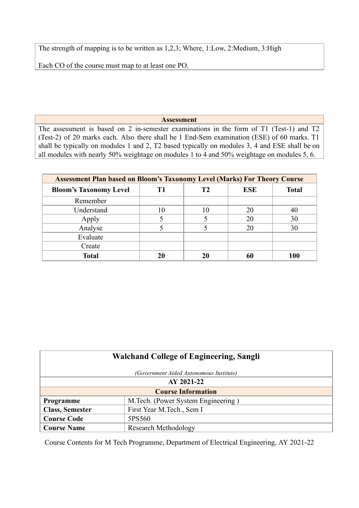The strength of mapping is to be written as 1,2,3; Where, 1:Low, 2:Medium, 3:High

Each CO of the course must map to at least one PO.

### **Assessment**

The assessment is based on 2 in-semester examinations in the form of T1 (Test-1) and T2 (Test-2) of 20 marks each. Also there shall be 1 End-Sem examination (ESE) of 60 marks. T1 shall be typically on modules 1 and 2, T2 based typically on modules 3, 4 and ESE shall be on all modules with nearly 50% weightage on modules 1 to 4 and 50% weightage on modules 5, 6.

| <b>Assessment Plan based on Bloom's Taxonomy Level (Marks) For Theory Course</b> |    |    |            |              |  |  |  |
|----------------------------------------------------------------------------------|----|----|------------|--------------|--|--|--|
| <b>Bloom's Taxonomy Level</b>                                                    | T1 | Т2 | <b>ESE</b> | <b>Total</b> |  |  |  |
| Remember                                                                         |    |    |            |              |  |  |  |
| Understand                                                                       | 10 | 10 | 20         | 40           |  |  |  |
| Apply                                                                            |    |    | 20         | 30           |  |  |  |
| Analyse                                                                          |    |    | 20         | 30           |  |  |  |
| Evaluate                                                                         |    |    |            |              |  |  |  |
| Create                                                                           |    |    |            |              |  |  |  |
| <b>Total</b>                                                                     | 20 | 20 | 60         | 100          |  |  |  |

| <b>Walchand College of Engineering, Sangli</b> |                                         |  |  |  |
|------------------------------------------------|-----------------------------------------|--|--|--|
|                                                | (Government Aided Autonomous Institute) |  |  |  |
| AY 2021-22                                     |                                         |  |  |  |
|                                                | <b>Course Information</b>               |  |  |  |
| Programme                                      | M. Tech. (Power System Engineering)     |  |  |  |
| <b>Class, Semester</b>                         | First Year M.Tech., Sem I               |  |  |  |
| <b>Course Code</b>                             | 5PS560                                  |  |  |  |
| <b>Course Name</b>                             | <b>Research Methodology</b>             |  |  |  |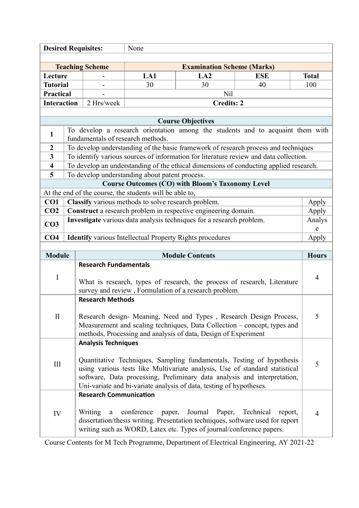| <b>Desired Requisites:</b>        |  |                                                                                                                                                                                                                                                                                                         | None                                                                                                                                                                                                             |                                                                                                                                                                             |                      |              |
|-----------------------------------|--|---------------------------------------------------------------------------------------------------------------------------------------------------------------------------------------------------------------------------------------------------------------------------------------------------------|------------------------------------------------------------------------------------------------------------------------------------------------------------------------------------------------------------------|-----------------------------------------------------------------------------------------------------------------------------------------------------------------------------|----------------------|--------------|
|                                   |  |                                                                                                                                                                                                                                                                                                         |                                                                                                                                                                                                                  |                                                                                                                                                                             |                      |              |
|                                   |  | <b>Teaching Scheme</b>                                                                                                                                                                                                                                                                                  |                                                                                                                                                                                                                  | <b>Examination Scheme (Marks)</b>                                                                                                                                           |                      |              |
| Lecture                           |  |                                                                                                                                                                                                                                                                                                         | LA1                                                                                                                                                                                                              | LA2                                                                                                                                                                         | <b>ESE</b>           | <b>Total</b> |
| <b>Tutorial</b>                   |  |                                                                                                                                                                                                                                                                                                         | 30                                                                                                                                                                                                               | 30                                                                                                                                                                          | 40                   | 100          |
| Practical                         |  |                                                                                                                                                                                                                                                                                                         |                                                                                                                                                                                                                  | Nil                                                                                                                                                                         |                      |              |
| <b>Interaction</b>                |  | 2 Hrs/week                                                                                                                                                                                                                                                                                              |                                                                                                                                                                                                                  | <b>Credits: 2</b>                                                                                                                                                           |                      |              |
|                                   |  |                                                                                                                                                                                                                                                                                                         |                                                                                                                                                                                                                  |                                                                                                                                                                             |                      |              |
| <b>Course Objectives</b>          |  |                                                                                                                                                                                                                                                                                                         |                                                                                                                                                                                                                  |                                                                                                                                                                             |                      |              |
| $\mathbf{1}$                      |  |                                                                                                                                                                                                                                                                                                         | fundamentals of research methods.                                                                                                                                                                                | To develop a research orientation among the students and to acquaint them with                                                                                              |                      |              |
| $\boldsymbol{2}$                  |  |                                                                                                                                                                                                                                                                                                         |                                                                                                                                                                                                                  | To develop understanding of the basic framework of research process and techniques                                                                                          |                      |              |
| $\overline{\mathbf{3}}$           |  |                                                                                                                                                                                                                                                                                                         |                                                                                                                                                                                                                  | To identify various sources of information for literature review and data collection.                                                                                       |                      |              |
| $\overline{\mathbf{4}}$           |  |                                                                                                                                                                                                                                                                                                         |                                                                                                                                                                                                                  | To develop an understanding of the ethical dimensions of conducting applied research.                                                                                       |                      |              |
| 5                                 |  |                                                                                                                                                                                                                                                                                                         | To develop understanding about patent process.                                                                                                                                                                   |                                                                                                                                                                             |                      |              |
|                                   |  |                                                                                                                                                                                                                                                                                                         |                                                                                                                                                                                                                  | <b>Course Outcomes (CO) with Bloom's Taxonomy Level</b>                                                                                                                     |                      |              |
|                                   |  |                                                                                                                                                                                                                                                                                                         | At the end of the course, the students will be able to,                                                                                                                                                          |                                                                                                                                                                             |                      |              |
| CO <sub>1</sub>                   |  |                                                                                                                                                                                                                                                                                                         | Classify various methods to solve research problem.                                                                                                                                                              |                                                                                                                                                                             |                      | Apply        |
| CO <sub>2</sub>                   |  |                                                                                                                                                                                                                                                                                                         |                                                                                                                                                                                                                  | Construct a research problem in respective engineering domain.                                                                                                              |                      | Apply        |
| CO <sub>3</sub>                   |  |                                                                                                                                                                                                                                                                                                         |                                                                                                                                                                                                                  | Investigate various data analysis techniques for a research problem.                                                                                                        |                      | Analys<br>e  |
| CO <sub>4</sub>                   |  |                                                                                                                                                                                                                                                                                                         |                                                                                                                                                                                                                  | <b>Identify</b> various Intellectual Property Rights procedures                                                                                                             |                      | Apply        |
|                                   |  |                                                                                                                                                                                                                                                                                                         |                                                                                                                                                                                                                  |                                                                                                                                                                             |                      |              |
| <b>Module</b>                     |  |                                                                                                                                                                                                                                                                                                         |                                                                                                                                                                                                                  | <b>Module Contents</b>                                                                                                                                                      |                      | <b>Hours</b> |
|                                   |  | <b>Research Fundamentals</b>                                                                                                                                                                                                                                                                            |                                                                                                                                                                                                                  |                                                                                                                                                                             |                      |              |
| $\mathbf I$                       |  | What is research, types of research, the process of research, Literature<br>survey and review, Formulation of a research problem.                                                                                                                                                                       |                                                                                                                                                                                                                  |                                                                                                                                                                             | $\overline{4}$       |              |
|                                   |  | <b>Research Methods</b>                                                                                                                                                                                                                                                                                 |                                                                                                                                                                                                                  |                                                                                                                                                                             |                      |              |
| $\mathbf{I}$                      |  |                                                                                                                                                                                                                                                                                                         | Research design- Meaning, Need and Types, Research Design Process,<br>Measurement and scaling techniques, Data Collection – concept, types and<br>methods, Processing and analysis of data, Design of Experiment |                                                                                                                                                                             | 5                    |              |
| <b>Analysis Techniques</b><br>III |  | Quantitative Techniques, Sampling fundamentals, Testing of hypothesis<br>using various tests like Multivariate analysis, Use of standard statistical<br>software, Data processing, Preliminary data analysis and interpretation,<br>Uni-variate and bi-variate analysis of data, testing of hypotheses. |                                                                                                                                                                                                                  |                                                                                                                                                                             | 5                    |              |
| IV                                |  | <b>Research Communication</b><br>Writing<br>$\rm{a}$                                                                                                                                                                                                                                                    | conference<br>paper,                                                                                                                                                                                             | Journal<br>Paper,<br>dissertation/thesis writing. Presentation techniques, software used for report<br>writing such as WORD, Latex etc. Types of journal/conference papers. | Technical<br>report, | 4            |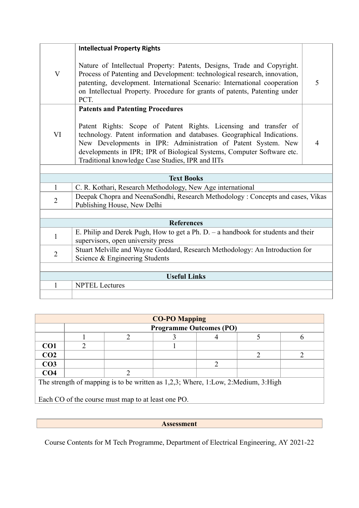|                | <b>Intellectual Property Rights</b>                                                                                                                                                                                                                                                                                                        |   |
|----------------|--------------------------------------------------------------------------------------------------------------------------------------------------------------------------------------------------------------------------------------------------------------------------------------------------------------------------------------------|---|
| $\mathbf{V}$   | Nature of Intellectual Property: Patents, Designs, Trade and Copyright.<br>Process of Patenting and Development: technological research, innovation,<br>patenting, development. International Scenario: International cooperation<br>on Intellectual Property. Procedure for grants of patents, Patenting under<br>PCT.                    | 5 |
|                | <b>Patents and Patenting Procedures</b>                                                                                                                                                                                                                                                                                                    |   |
| VI             | Patent Rights: Scope of Patent Rights. Licensing and transfer of<br>technology. Patent information and databases. Geographical Indications.<br>New Developments in IPR: Administration of Patent System. New<br>developments in IPR; IPR of Biological Systems, Computer Software etc.<br>Traditional knowledge Case Studies, IPR and IITs | 4 |
|                |                                                                                                                                                                                                                                                                                                                                            |   |
|                | <b>Text Books</b>                                                                                                                                                                                                                                                                                                                          |   |
| $\mathbf{1}$   | C. R. Kothari, Research Methodology, New Age international                                                                                                                                                                                                                                                                                 |   |
| $\overline{2}$ | Deepak Chopra and NeenaSondhi, Research Methodology: Concepts and cases, Vikas<br>Publishing House, New Delhi                                                                                                                                                                                                                              |   |
|                |                                                                                                                                                                                                                                                                                                                                            |   |
|                | <b>References</b>                                                                                                                                                                                                                                                                                                                          |   |
| $\mathbf{1}$   | E. Philip and Derek Pugh, How to get a Ph. D. - a handbook for students and their<br>supervisors, open university press                                                                                                                                                                                                                    |   |
| $\overline{2}$ | Stuart Melville and Wayne Goddard, Research Methodology: An Introduction for<br>Science & Engineering Students                                                                                                                                                                                                                             |   |
|                |                                                                                                                                                                                                                                                                                                                                            |   |
|                | <b>Useful Links</b>                                                                                                                                                                                                                                                                                                                        |   |
| 1              | <b>NPTEL Lectures</b>                                                                                                                                                                                                                                                                                                                      |   |
|                |                                                                                                                                                                                                                                                                                                                                            |   |

| <b>CO-PO Mapping</b>                                                              |   |                                                    |                                |   |  |  |
|-----------------------------------------------------------------------------------|---|----------------------------------------------------|--------------------------------|---|--|--|
|                                                                                   |   |                                                    | <b>Programme Outcomes (PO)</b> |   |  |  |
|                                                                                   |   |                                                    |                                |   |  |  |
| CO <sub>1</sub>                                                                   | 2 |                                                    |                                |   |  |  |
| CO <sub>2</sub>                                                                   |   |                                                    |                                |   |  |  |
| CO <sub>3</sub>                                                                   |   |                                                    |                                | າ |  |  |
| CO <sub>4</sub>                                                                   |   |                                                    |                                |   |  |  |
| The strength of mapping is to be written as 1,2,3; Where, 1:Low, 2:Medium, 3:High |   |                                                    |                                |   |  |  |
|                                                                                   |   |                                                    |                                |   |  |  |
|                                                                                   |   | Each CO of the course must map to at least one PO. |                                |   |  |  |
|                                                                                   |   |                                                    |                                |   |  |  |

**Assessment**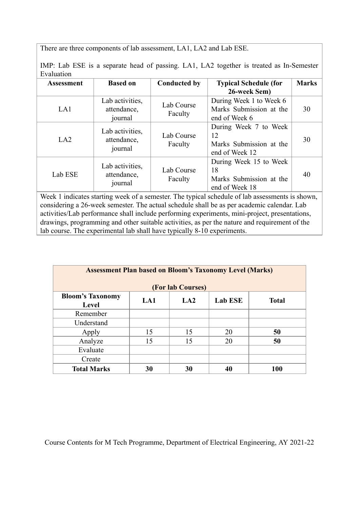There are three components of lab assessment, LA1, LA2 and Lab ESE.

journal

Lab activities, attendance, journal

Lab ESE

| Tivit, Lao Lol, is a separate fiead of passing. LAT, LAZ together is treated as in-belliester<br>Evaluation |                                                      |                       |                                                                     |              |  |  |  |
|-------------------------------------------------------------------------------------------------------------|------------------------------------------------------|-----------------------|---------------------------------------------------------------------|--------------|--|--|--|
| <b>Assessment</b>                                                                                           | <b>Based on</b>                                      | <b>Conducted by</b>   | <b>Typical Schedule (for</b><br>26-week Sem)                        | <b>Marks</b> |  |  |  |
| LA1                                                                                                         | Lab activities,<br>attendance,<br>journal            | Lab Course<br>Faculty | During Week 1 to Week 6<br>Marks Submission at the<br>end of Week 6 | 30           |  |  |  |
| LA2                                                                                                         | Lab activities,<br>attendance,<br>. . <del>.</del> 1 | Lab Course<br>Faculty | During Week 7 to Week<br>12<br>Marks Submission at the              | 30           |  |  |  |

end of Week 12

18

During Week 15 to Week

Marks Submission at the

40

IMP: Lab ESE is a separate head of passing. LA1, LA2 together is treated as In-Semester

|                                                                                                 | JOULIIAI |                                                                         | end of Week 18 |  |  |  |  |
|-------------------------------------------------------------------------------------------------|----------|-------------------------------------------------------------------------|----------------|--|--|--|--|
| Week 1 indicates starting week of a semester. The typical schedule of lab assessments is shown, |          |                                                                         |                |  |  |  |  |
| considering a 26-week semester. The actual schedule shall be as per academic calendar. Lab      |          |                                                                         |                |  |  |  |  |
| activities/Lab performance shall include performing experiments, mini-project, presentations,   |          |                                                                         |                |  |  |  |  |
| drawings, programming and other suitable activities, as per the nature and requirement of the   |          |                                                                         |                |  |  |  |  |
|                                                                                                 |          | lab course. The experimental lab shall have typically 8-10 experiments. |                |  |  |  |  |
|                                                                                                 |          |                                                                         |                |  |  |  |  |

Lab Course Faculty

| <b>Assessment Plan based on Bloom's Taxonomy Level (Marks)</b>                   |    |    |    |     |  |  |  |
|----------------------------------------------------------------------------------|----|----|----|-----|--|--|--|
| <b>(For lab Courses)</b>                                                         |    |    |    |     |  |  |  |
| <b>Bloom's Taxonomy</b><br><b>Lab ESE</b><br><b>Total</b><br>LA1<br>LA2<br>Level |    |    |    |     |  |  |  |
| Remember                                                                         |    |    |    |     |  |  |  |
| Understand                                                                       |    |    |    |     |  |  |  |
| Apply                                                                            | 15 | 15 | 20 | 50  |  |  |  |
| Analyze                                                                          | 15 | 15 | 20 | 50  |  |  |  |
| Evaluate                                                                         |    |    |    |     |  |  |  |
| Create                                                                           |    |    |    |     |  |  |  |
| <b>Total Marks</b>                                                               | 30 | 30 | 40 | 100 |  |  |  |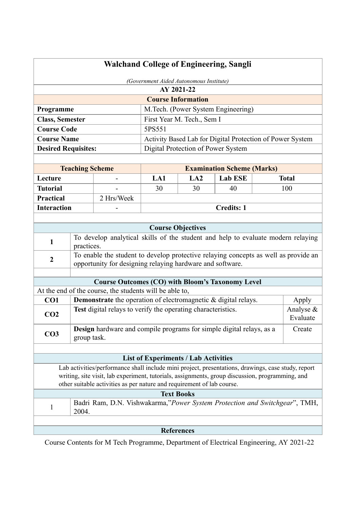| <b>Walchand College of Engineering, Sangli</b><br>(Government Aided Autonomous Institute)                                                                                 |                                                                                                    |                                                                                                                                                  |                                             |                                    |                                                           |  |                    |
|---------------------------------------------------------------------------------------------------------------------------------------------------------------------------|----------------------------------------------------------------------------------------------------|--------------------------------------------------------------------------------------------------------------------------------------------------|---------------------------------------------|------------------------------------|-----------------------------------------------------------|--|--------------------|
|                                                                                                                                                                           |                                                                                                    |                                                                                                                                                  |                                             | AY 2021-22                         |                                                           |  |                    |
|                                                                                                                                                                           |                                                                                                    |                                                                                                                                                  |                                             | <b>Course Information</b>          |                                                           |  |                    |
| Programme                                                                                                                                                                 |                                                                                                    |                                                                                                                                                  |                                             |                                    | M.Tech. (Power System Engineering)                        |  |                    |
| First Year M. Tech., Sem I<br><b>Class, Semester</b>                                                                                                                      |                                                                                                    |                                                                                                                                                  |                                             |                                    |                                                           |  |                    |
| <b>Course Code</b>                                                                                                                                                        |                                                                                                    |                                                                                                                                                  | 5PS551                                      |                                    |                                                           |  |                    |
| <b>Course Name</b>                                                                                                                                                        |                                                                                                    |                                                                                                                                                  |                                             |                                    | Activity Based Lab for Digital Protection of Power System |  |                    |
| <b>Desired Requisites:</b>                                                                                                                                                |                                                                                                    |                                                                                                                                                  |                                             | Digital Protection of Power System |                                                           |  |                    |
|                                                                                                                                                                           |                                                                                                    |                                                                                                                                                  |                                             |                                    |                                                           |  |                    |
| <b>Teaching Scheme</b><br><b>Examination Scheme (Marks)</b>                                                                                                               |                                                                                                    |                                                                                                                                                  |                                             |                                    |                                                           |  |                    |
| Lecture                                                                                                                                                                   |                                                                                                    |                                                                                                                                                  | LA1                                         | LA2                                | <b>Lab ESE</b>                                            |  | <b>Total</b>       |
| <b>Tutorial</b>                                                                                                                                                           |                                                                                                    |                                                                                                                                                  | 30                                          | 30                                 | 40                                                        |  | 100                |
| <b>Practical</b>                                                                                                                                                          |                                                                                                    | 2 Hrs/Week                                                                                                                                       |                                             |                                    |                                                           |  |                    |
| <b>Interaction</b>                                                                                                                                                        |                                                                                                    |                                                                                                                                                  |                                             |                                    | <b>Credits: 1</b>                                         |  |                    |
|                                                                                                                                                                           |                                                                                                    |                                                                                                                                                  |                                             |                                    |                                                           |  |                    |
|                                                                                                                                                                           |                                                                                                    |                                                                                                                                                  |                                             | <b>Course Objectives</b>           |                                                           |  |                    |
| $\mathbf{1}$                                                                                                                                                              | practices.                                                                                         | To develop analytical skills of the student and help to evaluate modern relaying                                                                 |                                             |                                    |                                                           |  |                    |
| $\boldsymbol{2}$                                                                                                                                                          |                                                                                                    | To enable the student to develop protective relaying concepts as well as provide an<br>opportunity for designing relaying hardware and software. |                                             |                                    |                                                           |  |                    |
|                                                                                                                                                                           |                                                                                                    |                                                                                                                                                  |                                             |                                    |                                                           |  |                    |
|                                                                                                                                                                           |                                                                                                    | <b>Course Outcomes (CO) with Bloom's Taxonomy Level</b>                                                                                          |                                             |                                    |                                                           |  |                    |
| CO1                                                                                                                                                                       |                                                                                                    | At the end of the course, the students will be able to,<br><b>Demonstrate</b> the operation of electromagnetic & digital relays.                 |                                             |                                    |                                                           |  |                    |
|                                                                                                                                                                           |                                                                                                    | Test digital relays to verify the operating characteristics.                                                                                     |                                             |                                    |                                                           |  | Apply<br>Analyse & |
| CO <sub>2</sub>                                                                                                                                                           |                                                                                                    |                                                                                                                                                  |                                             |                                    |                                                           |  | Evaluate           |
| CO <sub>3</sub>                                                                                                                                                           | group task.                                                                                        | Design hardware and compile programs for simple digital relays, as a                                                                             |                                             |                                    |                                                           |  | Create             |
|                                                                                                                                                                           |                                                                                                    |                                                                                                                                                  |                                             |                                    |                                                           |  |                    |
|                                                                                                                                                                           |                                                                                                    |                                                                                                                                                  | <b>List of Experiments / Lab Activities</b> |                                    |                                                           |  |                    |
|                                                                                                                                                                           | Lab activities/performance shall include mini project, presentations, drawings, case study, report |                                                                                                                                                  |                                             |                                    |                                                           |  |                    |
| writing, site visit, lab experiment, tutorials, assignments, group discussion, programming, and<br>other suitable activities as per nature and requirement of lab course. |                                                                                                    |                                                                                                                                                  |                                             |                                    |                                                           |  |                    |
|                                                                                                                                                                           | <b>Text Books</b>                                                                                  |                                                                                                                                                  |                                             |                                    |                                                           |  |                    |
| $\mathbf{1}$                                                                                                                                                              | Badri Ram, D.N. Vishwakarma,"Power System Protection and Switchgear", TMH,<br>2004.                |                                                                                                                                                  |                                             |                                    |                                                           |  |                    |
|                                                                                                                                                                           |                                                                                                    |                                                                                                                                                  |                                             |                                    |                                                           |  |                    |
| <b>References</b>                                                                                                                                                         |                                                                                                    |                                                                                                                                                  |                                             |                                    |                                                           |  |                    |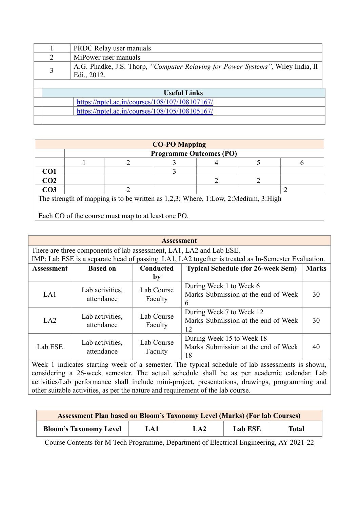|   |              | PRDC Relay user manuals                                                         |  |  |  |  |
|---|--------------|---------------------------------------------------------------------------------|--|--|--|--|
|   | າ            | MiPower user manuals                                                            |  |  |  |  |
| 3 |              | A.G. Phadke, J.S. Thorp, "Computer Relaying for Power Systems", Wiley India, II |  |  |  |  |
|   |              | Edi., 2012.                                                                     |  |  |  |  |
|   |              |                                                                                 |  |  |  |  |
|   | Useful Links |                                                                                 |  |  |  |  |
|   |              | https://nptel.ac.in/courses/108/107/108107167/                                  |  |  |  |  |
|   |              | https://nptel.ac.in/courses/108/105/108105167/                                  |  |  |  |  |
|   |              |                                                                                 |  |  |  |  |

| <b>CO-PO Mapping</b>                                                              |                                |  |  |  |  |  |  |
|-----------------------------------------------------------------------------------|--------------------------------|--|--|--|--|--|--|
|                                                                                   | <b>Programme Outcomes (PO)</b> |  |  |  |  |  |  |
|                                                                                   |                                |  |  |  |  |  |  |
| CO <sub>1</sub>                                                                   |                                |  |  |  |  |  |  |
| CO <sub>2</sub>                                                                   |                                |  |  |  |  |  |  |
| CO <sub>3</sub>                                                                   |                                |  |  |  |  |  |  |
| The strength of mapping is to be written as 1,2,3; Where, 1:Low, 2:Medium, 3:High |                                |  |  |  |  |  |  |

Each CO of the course must map to at least one PO.

| <b>Assessment</b> |                                                                     |                       |                                                                                                     |              |  |  |  |  |
|-------------------|---------------------------------------------------------------------|-----------------------|-----------------------------------------------------------------------------------------------------|--------------|--|--|--|--|
|                   | There are three components of lab assessment, LA1, LA2 and Lab ESE. |                       |                                                                                                     |              |  |  |  |  |
|                   |                                                                     |                       | IMP: Lab ESE is a separate head of passing. LA1, LA2 together is treated as In-Semester Evaluation. |              |  |  |  |  |
| <b>Assessment</b> | <b>Based on</b>                                                     | Conducted             | <b>Typical Schedule (for 26-week Sem)</b>                                                           | <b>Marks</b> |  |  |  |  |
|                   |                                                                     | by                    |                                                                                                     |              |  |  |  |  |
| LA1               | Lab activities,<br>attendance                                       | Lab Course<br>Faculty | During Week 1 to Week 6<br>Marks Submission at the end of Week<br>6                                 | 30           |  |  |  |  |
| LA2               | Lab activities,<br>attendance                                       | Lab Course<br>Faculty | During Week 7 to Week 12<br>Marks Submission at the end of Week<br>12                               | 30           |  |  |  |  |
| Lab ESE           | Lab activities,<br>attendance                                       | Lab Course<br>Faculty | During Week 15 to Week 18<br>Marks Submission at the end of Week<br>18                              | 40           |  |  |  |  |

Week 1 indicates starting week of a semester. The typical schedule of lab assessments is shown, considering a 26-week semester. The actual schedule shall be as per academic calendar. Lab activities/Lab performance shall include mini-project, presentations, drawings, programming and other suitable activities, as per the nature and requirement of the lab course.

| <b>Assessment Plan based on Bloom's Taxonomy Level (Marks) (For lab Courses)</b> |     |     |         |       |  |
|----------------------------------------------------------------------------------|-----|-----|---------|-------|--|
| <b>Bloom's Taxonomy Level</b>                                                    | LA1 | LA2 | Lab ESE | Total |  |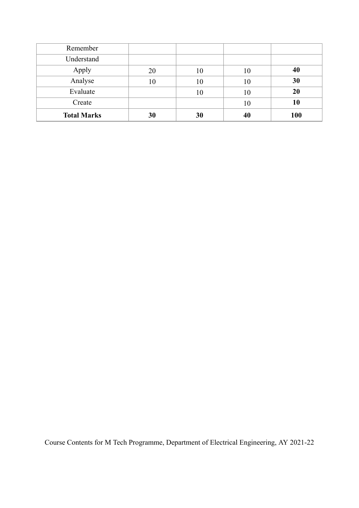| Remember           |    |    |    |     |
|--------------------|----|----|----|-----|
| Understand         |    |    |    |     |
| Apply              | 20 | 10 | 10 | 40  |
| Analyse            | 10 | 10 | 10 | 30  |
| Evaluate           |    | 10 | 10 | 20  |
| Create             |    |    | 10 | 10  |
| <b>Total Marks</b> | 30 | 30 | 40 | 100 |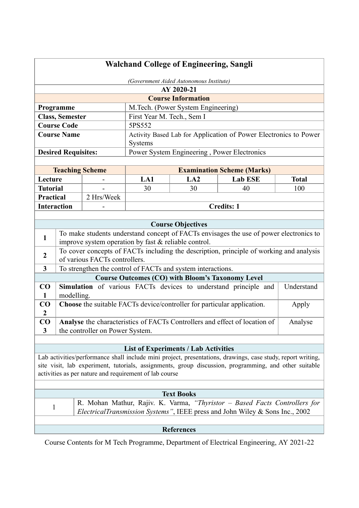| <b>Walchand College of Engineering, Sangli</b>                                                                                                                  |                            |                                 |                                                      |                                                                         |                                                                                         |              |
|-----------------------------------------------------------------------------------------------------------------------------------------------------------------|----------------------------|---------------------------------|------------------------------------------------------|-------------------------------------------------------------------------|-----------------------------------------------------------------------------------------|--------------|
| (Government Aided Autonomous Institute)                                                                                                                         |                            |                                 |                                                      |                                                                         |                                                                                         |              |
|                                                                                                                                                                 |                            |                                 |                                                      | AY 2020-21                                                              |                                                                                         |              |
|                                                                                                                                                                 |                            |                                 |                                                      | <b>Course Information</b>                                               |                                                                                         |              |
|                                                                                                                                                                 | Programme                  |                                 |                                                      | M.Tech. (Power System Engineering)                                      |                                                                                         |              |
|                                                                                                                                                                 | <b>Class, Semester</b>     |                                 | First Year M. Tech., Sem I                           |                                                                         |                                                                                         |              |
|                                                                                                                                                                 | <b>Course Code</b>         |                                 | 5PS552                                               |                                                                         |                                                                                         |              |
|                                                                                                                                                                 | <b>Course Name</b>         |                                 |                                                      |                                                                         | Activity Based Lab for Application of Power Electronics to Power                        |              |
|                                                                                                                                                                 |                            |                                 | Systems                                              |                                                                         |                                                                                         |              |
|                                                                                                                                                                 | <b>Desired Requisites:</b> |                                 |                                                      | Power System Engineering, Power Electronics                             |                                                                                         |              |
|                                                                                                                                                                 |                            |                                 |                                                      |                                                                         |                                                                                         |              |
|                                                                                                                                                                 | <b>Teaching Scheme</b>     |                                 |                                                      |                                                                         | <b>Examination Scheme (Marks)</b>                                                       |              |
| Lecture                                                                                                                                                         |                            |                                 | LA1                                                  | LA2                                                                     | <b>Lab ESE</b>                                                                          | <b>Total</b> |
| <b>Tutorial</b>                                                                                                                                                 |                            |                                 | 30                                                   | 30                                                                      | 40                                                                                      | 100          |
| <b>Practical</b>                                                                                                                                                |                            | 2 Hrs/Week                      |                                                      |                                                                         |                                                                                         |              |
| <b>Interaction</b>                                                                                                                                              |                            |                                 |                                                      |                                                                         | <b>Credits: 1</b>                                                                       |              |
|                                                                                                                                                                 |                            |                                 |                                                      |                                                                         |                                                                                         |              |
|                                                                                                                                                                 |                            |                                 |                                                      | <b>Course Objectives</b>                                                | To make students understand concept of FACTs envisages the use of power electronics to  |              |
| $\mathbf{1}$                                                                                                                                                    |                            |                                 | improve system operation by fast & reliable control. |                                                                         |                                                                                         |              |
|                                                                                                                                                                 |                            |                                 |                                                      |                                                                         | To cover concepts of FACTs including the description, principle of working and analysis |              |
| $\overline{2}$                                                                                                                                                  |                            | of various FACTs controllers.   |                                                      |                                                                         |                                                                                         |              |
| $\overline{\mathbf{3}}$                                                                                                                                         |                            |                                 |                                                      | To strengthen the control of FACTs and system interactions.             |                                                                                         |              |
|                                                                                                                                                                 |                            |                                 |                                                      | <b>Course Outcomes (CO) with Bloom's Taxonomy Level</b>                 |                                                                                         |              |
| $\bf CO$                                                                                                                                                        |                            |                                 |                                                      |                                                                         | Simulation of various FACTs devices to understand principle and                         | Understand   |
| 1                                                                                                                                                               | modelling.                 |                                 |                                                      |                                                                         |                                                                                         |              |
| CO<br>$\boldsymbol{2}$                                                                                                                                          |                            |                                 |                                                      | Choose the suitable FACTs device/controller for particular application. |                                                                                         | Apply        |
| CO                                                                                                                                                              |                            |                                 |                                                      |                                                                         | Analyse the characteristics of FACTs Controllers and effect of location of              | Analyse      |
| 3                                                                                                                                                               |                            | the controller on Power System. |                                                      |                                                                         |                                                                                         |              |
|                                                                                                                                                                 |                            |                                 |                                                      |                                                                         |                                                                                         |              |
| <b>List of Experiments / Lab Activities</b>                                                                                                                     |                            |                                 |                                                      |                                                                         |                                                                                         |              |
| Lab activities/performance shall include mini project, presentations, drawings, case study, report writing,                                                     |                            |                                 |                                                      |                                                                         |                                                                                         |              |
| site visit, lab experiment, tutorials, assignments, group discussion, programming, and other suitable                                                           |                            |                                 |                                                      |                                                                         |                                                                                         |              |
| activities as per nature and requirement of lab course                                                                                                          |                            |                                 |                                                      |                                                                         |                                                                                         |              |
|                                                                                                                                                                 |                            |                                 |                                                      |                                                                         |                                                                                         |              |
| <b>Text Books</b>                                                                                                                                               |                            |                                 |                                                      |                                                                         |                                                                                         |              |
| R. Mohan Mathur, Rajiv. K. Varma, "Thyristor – Based Facts Controllers for<br>1<br>ElectricalTransmission Systems", IEEE press and John Wiley & Sons Inc., 2002 |                            |                                 |                                                      |                                                                         |                                                                                         |              |
|                                                                                                                                                                 |                            |                                 |                                                      |                                                                         |                                                                                         |              |
|                                                                                                                                                                 |                            |                                 |                                                      | <b>References</b>                                                       |                                                                                         |              |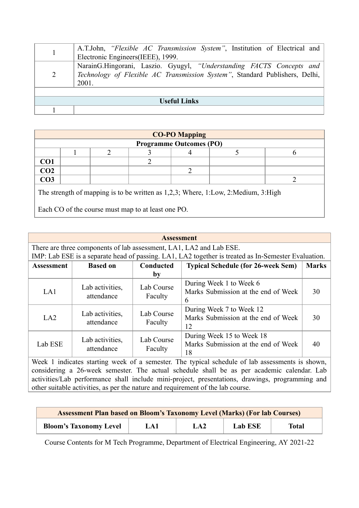|                     | A.T.John, "Flexible AC Transmission System", Institution of Electrical and<br>Electronic Engineers(IEEE), 1999.                                              |  |  |  |  |
|---------------------|--------------------------------------------------------------------------------------------------------------------------------------------------------------|--|--|--|--|
| 2                   | NarainG.Hingorani, Laszio. Gyugyl, "Understanding FACTS Concepts and<br>Technology of Flexible AC Transmission System", Standard Publishers, Delhi,<br>2001. |  |  |  |  |
|                     |                                                                                                                                                              |  |  |  |  |
| <b>Useful Links</b> |                                                                                                                                                              |  |  |  |  |
|                     |                                                                                                                                                              |  |  |  |  |

| <b>CO-PO Mapping</b>           |  |  |  |  |  |  |  |  |
|--------------------------------|--|--|--|--|--|--|--|--|
| <b>Programme Outcomes (PO)</b> |  |  |  |  |  |  |  |  |
|                                |  |  |  |  |  |  |  |  |
|                                |  |  |  |  |  |  |  |  |
| $\frac{\rm CO1}{\rm CO2}$      |  |  |  |  |  |  |  |  |
| $\overline{CO3}$               |  |  |  |  |  |  |  |  |
|                                |  |  |  |  |  |  |  |  |

The strength of mapping is to be written as 1,2,3; Where, 1:Low, 2:Medium, 3:High

Each CO of the course must map to at least one PO.

| <b>Assessment</b> |                                                                     |                       |                                                                                                     |              |  |  |  |
|-------------------|---------------------------------------------------------------------|-----------------------|-----------------------------------------------------------------------------------------------------|--------------|--|--|--|
|                   | There are three components of lab assessment, LA1, LA2 and Lab ESE. |                       |                                                                                                     |              |  |  |  |
|                   |                                                                     |                       | IMP: Lab ESE is a separate head of passing. LA1, LA2 together is treated as In-Semester Evaluation. |              |  |  |  |
| <b>Assessment</b> | <b>Based on</b>                                                     | Conducted             | <b>Typical Schedule (for 26-week Sem)</b>                                                           | <b>Marks</b> |  |  |  |
|                   |                                                                     | by                    |                                                                                                     |              |  |  |  |
| LA1               | Lab activities,<br>attendance                                       | Lab Course<br>Faculty | During Week 1 to Week 6<br>Marks Submission at the end of Week<br>6                                 | 30           |  |  |  |
| LA2               | Lab activities,<br>attendance                                       | Lab Course<br>Faculty | During Week 7 to Week 12<br>Marks Submission at the end of Week<br>12                               | 30           |  |  |  |
| Lab ESE           | Lab activities,<br>attendance                                       | Lab Course<br>Faculty | During Week 15 to Week 18<br>Marks Submission at the end of Week<br>18                              | 40           |  |  |  |

Week 1 indicates starting week of a semester. The typical schedule of lab assessments is shown, considering a 26-week semester. The actual schedule shall be as per academic calendar. Lab activities/Lab performance shall include mini-project, presentations, drawings, programming and other suitable activities, as per the nature and requirement of the lab course.

| <b>Assessment Plan based on Bloom's Taxonomy Level (Marks) (For lab Courses)</b> |     |     |         |       |  |
|----------------------------------------------------------------------------------|-----|-----|---------|-------|--|
| <b>Bloom's Taxonomy Level</b>                                                    | LA1 | LA2 | Lab ESE | Total |  |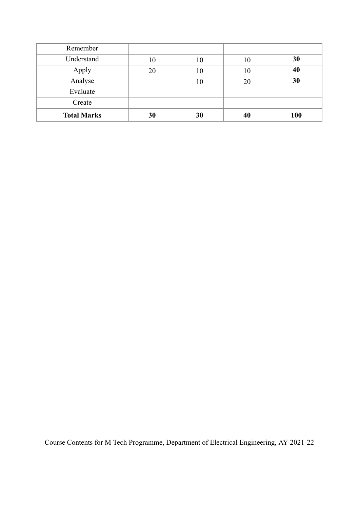| Remember           |    |    |    |     |
|--------------------|----|----|----|-----|
| Understand         | 10 | 10 | 10 | 30  |
| Apply              | 20 | 10 | 10 | 40  |
| Analyse            |    | 10 | 20 | 30  |
| Evaluate           |    |    |    |     |
| Create             |    |    |    |     |
| <b>Total Marks</b> | 30 | 30 | 40 | 100 |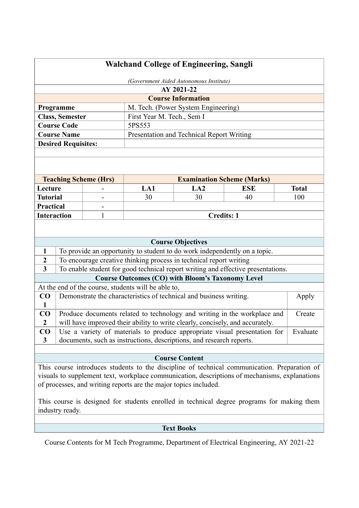| <b>Walchand College of Engineering, Sangli</b>                                                                        |                                                                                                    |   |                                                     |                                                                      |                                                                                               |          |
|-----------------------------------------------------------------------------------------------------------------------|----------------------------------------------------------------------------------------------------|---|-----------------------------------------------------|----------------------------------------------------------------------|-----------------------------------------------------------------------------------------------|----------|
|                                                                                                                       |                                                                                                    |   |                                                     | (Government Aided Autonomous Institute)                              |                                                                                               |          |
|                                                                                                                       |                                                                                                    |   |                                                     | AY 2021-22                                                           |                                                                                               |          |
|                                                                                                                       |                                                                                                    |   |                                                     | <b>Course Information</b>                                            |                                                                                               |          |
|                                                                                                                       | Programme                                                                                          |   |                                                     | M. Tech. (Power System Engineering)                                  |                                                                                               |          |
|                                                                                                                       | <b>Class, Semester</b><br>First Year M. Tech., Sem I                                               |   |                                                     |                                                                      |                                                                                               |          |
|                                                                                                                       | <b>Course Code</b>                                                                                 |   | 5PS553                                              |                                                                      |                                                                                               |          |
|                                                                                                                       | <b>Course Name</b>                                                                                 |   |                                                     | Presentation and Technical Report Writing                            |                                                                                               |          |
|                                                                                                                       | <b>Desired Requisites:</b>                                                                         |   |                                                     |                                                                      |                                                                                               |          |
|                                                                                                                       |                                                                                                    |   |                                                     |                                                                      |                                                                                               |          |
|                                                                                                                       |                                                                                                    |   |                                                     |                                                                      |                                                                                               |          |
|                                                                                                                       |                                                                                                    |   |                                                     |                                                                      |                                                                                               |          |
|                                                                                                                       | <b>Teaching Scheme (Hrs)</b><br><b>Examination Scheme (Marks)</b><br>LA <sub>2</sub><br><b>ESE</b> |   |                                                     |                                                                      |                                                                                               |          |
| Lecture                                                                                                               |                                                                                                    |   | LA1                                                 | <b>Total</b>                                                         |                                                                                               |          |
| <b>Tutorial</b>                                                                                                       |                                                                                                    |   | 30                                                  | 30                                                                   | 40                                                                                            | 100      |
| <b>Practical</b>                                                                                                      |                                                                                                    |   |                                                     |                                                                      |                                                                                               |          |
| <b>Interaction</b>                                                                                                    |                                                                                                    | 1 |                                                     | <b>Credits: 1</b>                                                    |                                                                                               |          |
|                                                                                                                       |                                                                                                    |   |                                                     |                                                                      |                                                                                               |          |
|                                                                                                                       |                                                                                                    |   |                                                     |                                                                      |                                                                                               |          |
|                                                                                                                       |                                                                                                    |   |                                                     | <b>Course Objectives</b>                                             |                                                                                               |          |
| $\mathbf{1}$                                                                                                          |                                                                                                    |   |                                                     |                                                                      | To provide an opportunity to student to do work independently on a topic.                     |          |
| $\boldsymbol{2}$                                                                                                      |                                                                                                    |   |                                                     | To encourage creative thinking process in technical report writing   |                                                                                               |          |
| $\overline{\mathbf{3}}$                                                                                               |                                                                                                    |   |                                                     |                                                                      | To enable student for good technical report writing and effective presentations.              |          |
|                                                                                                                       |                                                                                                    |   |                                                     | <b>Course Outcomes (CO) with Bloom's Taxonomy Level</b>              |                                                                                               |          |
|                                                                                                                       |                                                                                                    |   | At the end of the course, students will be able to, |                                                                      |                                                                                               |          |
| $\bf CO$                                                                                                              |                                                                                                    |   |                                                     | Demonstrate the characteristics of technical and business writing.   |                                                                                               | Apply    |
| $\mathbf{1}$                                                                                                          |                                                                                                    |   |                                                     |                                                                      |                                                                                               |          |
| $\bf CO$                                                                                                              |                                                                                                    |   |                                                     |                                                                      | Produce documents related to technology and writing in the workplace and                      | Create   |
| $\boldsymbol{2}$                                                                                                      |                                                                                                    |   |                                                     |                                                                      | will have improved their ability to write clearly, concisely, and accurately.                 |          |
| $\bf CO$                                                                                                              |                                                                                                    |   |                                                     |                                                                      | Use a variety of materials to produce appropriate visual presentation for                     | Evaluate |
| $\mathbf{3}$                                                                                                          |                                                                                                    |   |                                                     | documents, such as instructions, descriptions, and research reports. |                                                                                               |          |
|                                                                                                                       |                                                                                                    |   |                                                     |                                                                      |                                                                                               |          |
| <b>Course Content</b><br>This course introduces students to the discipline of technical communication. Preparation of |                                                                                                    |   |                                                     |                                                                      |                                                                                               |          |
|                                                                                                                       |                                                                                                    |   |                                                     |                                                                      |                                                                                               |          |
|                                                                                                                       |                                                                                                    |   |                                                     |                                                                      | visuals to supplement text, workplace communication, descriptions of mechanisms, explanations |          |
| of processes, and writing reports are the major topics included.                                                      |                                                                                                    |   |                                                     |                                                                      |                                                                                               |          |

This course is designed for students enrolled in technical degree programs for making them industry ready.

# **Text Books**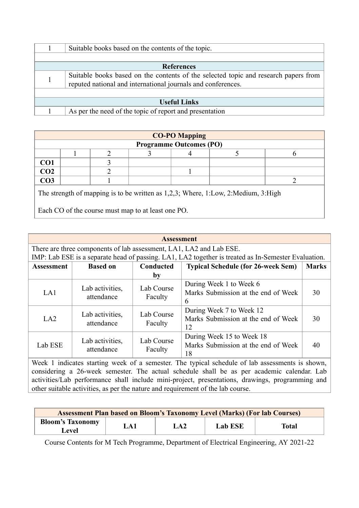|                     | Suitable books based on the contents of the topic.                                                                                                  |  |  |  |
|---------------------|-----------------------------------------------------------------------------------------------------------------------------------------------------|--|--|--|
|                     |                                                                                                                                                     |  |  |  |
|                     | <b>References</b>                                                                                                                                   |  |  |  |
|                     | Suitable books based on the contents of the selected topic and research papers from<br>reputed national and international journals and conferences. |  |  |  |
|                     |                                                                                                                                                     |  |  |  |
| <b>Useful Links</b> |                                                                                                                                                     |  |  |  |
|                     | As per the need of the topic of report and presentation                                                                                             |  |  |  |

| <b>CO-PO Mapping</b>                                                              |  |  |  |                                |  |  |  |  |
|-----------------------------------------------------------------------------------|--|--|--|--------------------------------|--|--|--|--|
|                                                                                   |  |  |  | <b>Programme Outcomes (PO)</b> |  |  |  |  |
|                                                                                   |  |  |  |                                |  |  |  |  |
| CO <sub>1</sub>                                                                   |  |  |  |                                |  |  |  |  |
| CO <sub>2</sub>                                                                   |  |  |  |                                |  |  |  |  |
| CO <sub>3</sub>                                                                   |  |  |  |                                |  |  |  |  |
| The strength of mapping is to be written as 1,2,3; Where, 1:Low, 2:Medium, 3:High |  |  |  |                                |  |  |  |  |

Each CO of the course must map to at least one PO.

|                   | <b>Assessment</b>             |                       |                                                                                                     |              |  |  |  |  |
|-------------------|-------------------------------|-----------------------|-----------------------------------------------------------------------------------------------------|--------------|--|--|--|--|
|                   |                               |                       | There are three components of lab assessment, LA1, LA2 and Lab ESE.                                 |              |  |  |  |  |
|                   |                               |                       | IMP: Lab ESE is a separate head of passing. LA1, LA2 together is treated as In-Semester Evaluation. |              |  |  |  |  |
| <b>Assessment</b> | <b>Based on</b>               | Conducted             | <b>Typical Schedule (for 26-week Sem)</b>                                                           | <b>Marks</b> |  |  |  |  |
|                   |                               | by                    |                                                                                                     |              |  |  |  |  |
| LA1               | Lab activities,<br>attendance | Lab Course<br>Faculty | During Week 1 to Week 6<br>Marks Submission at the end of Week<br>6                                 | 30           |  |  |  |  |
| LA2               | Lab activities,<br>attendance | Lab Course<br>Faculty | During Week 7 to Week 12<br>Marks Submission at the end of Week<br>12                               | 30           |  |  |  |  |
| Lab ESE           | Lab activities,<br>attendance | Lab Course<br>Faculty | During Week 15 to Week 18<br>Marks Submission at the end of Week<br>18                              | 40           |  |  |  |  |

Week 1 indicates starting week of a semester. The typical schedule of lab assessments is shown, considering a 26-week semester. The actual schedule shall be as per academic calendar. Lab activities/Lab performance shall include mini-project, presentations, drawings, programming and other suitable activities, as per the nature and requirement of the lab course.

| <b>Assessment Plan based on Bloom's Taxonomy Level (Marks) (For lab Courses)</b> |               |                 |         |              |  |  |
|----------------------------------------------------------------------------------|---------------|-----------------|---------|--------------|--|--|
| <b>Bloom's Taxonomy</b>                                                          | $\mathsf{A1}$ | LA <sub>2</sub> | Lab ESE | <b>Total</b> |  |  |
| <b>Level</b>                                                                     |               |                 |         |              |  |  |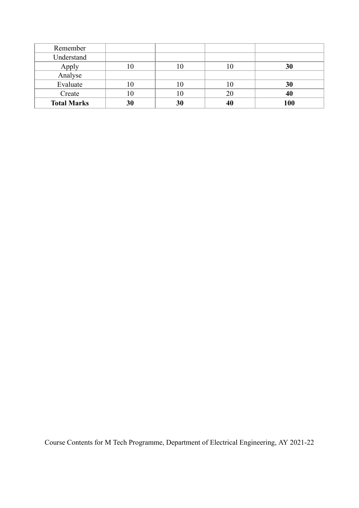| Remember           |    |    |    |     |
|--------------------|----|----|----|-----|
| Understand         |    |    |    |     |
| Apply              | ΙU | U  | 10 | 30  |
| Analyse            |    |    |    |     |
| Evaluate           | 10 | U  | 10 | 30  |
| Create             |    |    | 20 | 40  |
| <b>Total Marks</b> | 30 | 30 | 40 | 100 |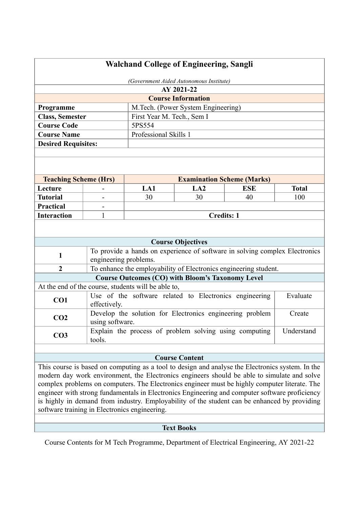| <b>Walchand College of Engineering, Sangli</b> |                       |                                                     |                                                          |                                                                             |              |
|------------------------------------------------|-----------------------|-----------------------------------------------------|----------------------------------------------------------|-----------------------------------------------------------------------------|--------------|
| (Government Aided Autonomous Institute)        |                       |                                                     |                                                          |                                                                             |              |
|                                                |                       |                                                     | AY 2021-22                                               |                                                                             |              |
|                                                |                       |                                                     | <b>Course Information</b>                                |                                                                             |              |
| Programme                                      |                       |                                                     | M.Tech. (Power System Engineering)                       |                                                                             |              |
| <b>Class, Semester</b>                         |                       | First Year M. Tech., Sem I                          |                                                          |                                                                             |              |
| <b>Course Code</b>                             |                       | 5PS554                                              |                                                          |                                                                             |              |
| <b>Course Name</b>                             |                       | Professional Skills 1                               |                                                          |                                                                             |              |
| <b>Desired Requisites:</b>                     |                       |                                                     |                                                          |                                                                             |              |
|                                                |                       |                                                     |                                                          |                                                                             |              |
|                                                |                       |                                                     |                                                          |                                                                             |              |
|                                                |                       |                                                     |                                                          |                                                                             |              |
| <b>Teaching Scheme (Hrs)</b>                   |                       |                                                     |                                                          | <b>Examination Scheme (Marks)</b>                                           |              |
| Lecture                                        |                       | LA1                                                 | LA2                                                      | <b>ESE</b>                                                                  | <b>Total</b> |
| <b>Tutorial</b>                                |                       | 30                                                  | 30                                                       | 40                                                                          | 100          |
| <b>Practical</b>                               |                       |                                                     |                                                          |                                                                             |              |
| <b>Interaction</b>                             | 1                     |                                                     | <b>Credits: 1</b>                                        |                                                                             |              |
|                                                |                       |                                                     |                                                          |                                                                             |              |
|                                                |                       |                                                     |                                                          |                                                                             |              |
|                                                |                       |                                                     | <b>Course Objectives</b>                                 |                                                                             |              |
| $\mathbf{1}$                                   |                       |                                                     |                                                          | To provide a hands on experience of software in solving complex Electronics |              |
|                                                | engineering problems. |                                                     |                                                          |                                                                             |              |
| $\overline{2}$                                 |                       |                                                     |                                                          | To enhance the employability of Electronics engineering student.            |              |
|                                                |                       |                                                     | <b>Course Outcomes (CO) with Bloom's Taxonomy Level</b>  |                                                                             |              |
|                                                |                       | At the end of the course, students will be able to, |                                                          |                                                                             | Evaluate     |
| CO1                                            | effectively.          |                                                     | Use of the software related to Electronics engineering   |                                                                             |              |
|                                                |                       |                                                     | Develop the solution for Electronics engineering problem |                                                                             | Create       |
| CO <sub>2</sub>                                | using software.       |                                                     |                                                          |                                                                             |              |
|                                                |                       |                                                     | Explain the process of problem solving using computing   |                                                                             | Understand   |
| CO <sub>3</sub>                                | tools.                |                                                     |                                                          |                                                                             |              |
|                                                |                       |                                                     |                                                          |                                                                             |              |
|                                                |                       |                                                     | <b>Course Content</b>                                    |                                                                             |              |

This course is based on computing as a tool to design and analyse the Electronics system. In the modern day work environment, the Electronics engineers should be able to simulate and solve complex problems on computers. The Electronics engineer must be highly computer literate. The engineer with strong fundamentals in Electronics Engineering and computer software proficiency is highly in demand from industry. Employability of the student can be enhanced by providing software training in Electronics engineering.

## **Text Books**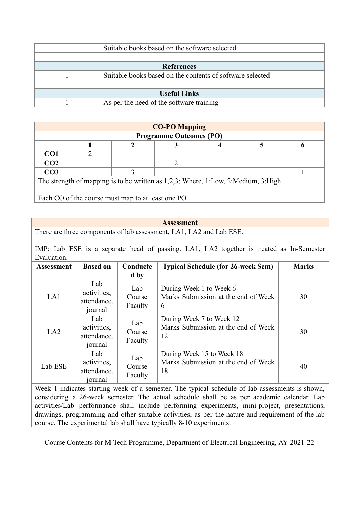|                     | Suitable books based on the software selected.            |  |  |  |  |
|---------------------|-----------------------------------------------------------|--|--|--|--|
|                     |                                                           |  |  |  |  |
| <b>References</b>   |                                                           |  |  |  |  |
|                     | Suitable books based on the contents of software selected |  |  |  |  |
|                     |                                                           |  |  |  |  |
| <b>Useful Links</b> |                                                           |  |  |  |  |
|                     | As per the need of the software training                  |  |  |  |  |

| <b>CO-PO Mapping</b><br><b>Programme Outcomes (PO)</b>                            |  |  |  |  |  |  |
|-----------------------------------------------------------------------------------|--|--|--|--|--|--|
|                                                                                   |  |  |  |  |  |  |
| CO <sub>1</sub>                                                                   |  |  |  |  |  |  |
| CO <sub>2</sub>                                                                   |  |  |  |  |  |  |
| CO <sub>3</sub>                                                                   |  |  |  |  |  |  |
| The strength of mapping is to be written as 1,2,3; Where, 1:Low, 2:Medium, 3:High |  |  |  |  |  |  |

Each CO of the course must map to at least one PO.

### **Assessment**

There are three components of lab assessment, LA1, LA2 and Lab ESE.

IMP: Lab ESE is a separate head of passing. LA1, LA2 together is treated as In-Semester Evaluation.

| <b>Assessment</b> | <b>Based on</b>                              | Conducte<br>d by         | <b>Typical Schedule (for 26-week Sem)</b>                              | <b>Marks</b> |
|-------------------|----------------------------------------------|--------------------------|------------------------------------------------------------------------|--------------|
| LA1               | Lab<br>activities,<br>attendance,<br>journal | Lab<br>Course<br>Faculty | During Week 1 to Week 6<br>Marks Submission at the end of Week<br>6    | 30           |
| LA2               | Lab<br>activities,<br>attendance,<br>journal | Lab<br>Course<br>Faculty | During Week 7 to Week 12<br>Marks Submission at the end of Week<br>12  | 30           |
| Lab ESE           | Lab<br>activities,<br>attendance,<br>journal | Lab<br>Course<br>Faculty | During Week 15 to Week 18<br>Marks Submission at the end of Week<br>18 | 40           |

Week 1 indicates starting week of a semester. The typical schedule of lab assessments is shown, considering a 26-week semester. The actual schedule shall be as per academic calendar. Lab activities/Lab performance shall include performing experiments, mini-project, presentations, drawings, programming and other suitable activities, as per the nature and requirement of the lab course. The experimental lab shall have typically 8-10 experiments.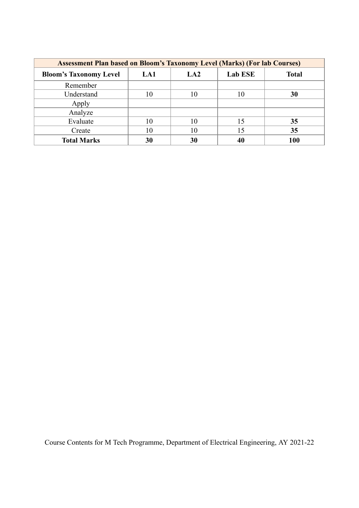| <b>Assessment Plan based on Bloom's Taxonomy Level (Marks) (For lab Courses)</b> |     |                 |                |              |  |  |
|----------------------------------------------------------------------------------|-----|-----------------|----------------|--------------|--|--|
| <b>Bloom's Taxonomy Level</b>                                                    | LA1 | LA <sub>2</sub> | <b>Lab ESE</b> | <b>Total</b> |  |  |
| Remember                                                                         |     |                 |                |              |  |  |
| Understand                                                                       | 10  | 10              | 10             | 30           |  |  |
| Apply                                                                            |     |                 |                |              |  |  |
| Analyze                                                                          |     |                 |                |              |  |  |
| Evaluate                                                                         | 10  |                 | 15             | 35           |  |  |
| Create                                                                           | 10  |                 | 15             | 35           |  |  |
| <b>Total Marks</b>                                                               | 30  | 30              |                | 100          |  |  |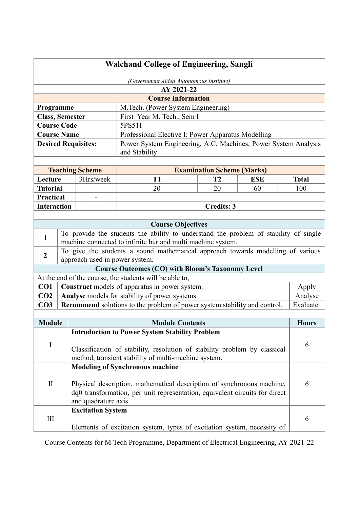|                        | <b>Walchand College of Engineering, Sangli</b> |                                                                                                                                   |                                                                                      |                                   |            |              |
|------------------------|------------------------------------------------|-----------------------------------------------------------------------------------------------------------------------------------|--------------------------------------------------------------------------------------|-----------------------------------|------------|--------------|
|                        |                                                |                                                                                                                                   | (Government Aided Autonomous Institute)                                              |                                   |            |              |
|                        |                                                |                                                                                                                                   | AY 2021-22                                                                           |                                   |            |              |
|                        |                                                |                                                                                                                                   | <b>Course Information</b>                                                            |                                   |            |              |
| Programme              |                                                |                                                                                                                                   | M.Tech. (Power System Engineering)                                                   |                                   |            |              |
| <b>Class, Semester</b> |                                                |                                                                                                                                   | First Year M. Tech., Sem I                                                           |                                   |            |              |
| <b>Course Code</b>     |                                                |                                                                                                                                   | 5PS511                                                                               |                                   |            |              |
| <b>Course Name</b>     |                                                |                                                                                                                                   | Professional Elective I: Power Apparatus Modelling                                   |                                   |            |              |
|                        |                                                | <b>Desired Requisites:</b>                                                                                                        | Power System Engineering, A.C. Machines, Power System Analysis<br>and Stability      |                                   |            |              |
|                        |                                                | <b>Teaching Scheme</b>                                                                                                            |                                                                                      | <b>Examination Scheme (Marks)</b> |            |              |
| Lecture                |                                                | 3Hrs/week                                                                                                                         | T <sub>1</sub>                                                                       | T <sub>2</sub>                    | <b>ESE</b> | <b>Total</b> |
| <b>Tutorial</b>        |                                                |                                                                                                                                   | 20                                                                                   | 20                                | 60         | 100          |
| <b>Practical</b>       |                                                |                                                                                                                                   |                                                                                      |                                   |            |              |
| <b>Interaction</b>     |                                                |                                                                                                                                   |                                                                                      | <b>Credits: 3</b>                 |            |              |
|                        |                                                |                                                                                                                                   |                                                                                      |                                   |            |              |
|                        |                                                |                                                                                                                                   | <b>Course Objectives</b>                                                             |                                   |            |              |
| $\mathbf{1}$           |                                                |                                                                                                                                   | To provide the students the ability to understand the problem of stability of single |                                   |            |              |
|                        |                                                |                                                                                                                                   | machine connected to infinite bur and multi machine system.                          |                                   |            |              |
| $\boldsymbol{2}$       |                                                | approach used in power system.                                                                                                    | To give the students a sound mathematical approach towards modelling of various      |                                   |            |              |
|                        |                                                |                                                                                                                                   | <b>Course Outcomes (CO) with Bloom's Taxonomy Level</b>                              |                                   |            |              |
|                        |                                                |                                                                                                                                   | At the end of the course, the students will be able to,                              |                                   |            |              |
| CO <sub>1</sub>        |                                                |                                                                                                                                   | Construct models of apparatus in power system.                                       |                                   |            | Apply        |
| CO <sub>2</sub>        |                                                |                                                                                                                                   | Analyse models for stability of power systems.                                       |                                   |            | Analyse      |
| CO <sub>3</sub>        |                                                |                                                                                                                                   | Recommend solutions to the problem of power system stability and control.            |                                   |            | Evaluate     |
|                        |                                                |                                                                                                                                   |                                                                                      |                                   |            |              |
| <b>Module</b>          |                                                |                                                                                                                                   | <b>Module Contents</b>                                                               |                                   |            | Hours        |
|                        |                                                |                                                                                                                                   | <b>Introduction to Power System Stability Problem</b>                                |                                   |            |              |
| $\bf I$                |                                                |                                                                                                                                   |                                                                                      |                                   |            | 6            |
|                        |                                                | Classification of stability, resolution of stability problem by classical<br>method, transient stability of multi-machine system. |                                                                                      |                                   |            |              |
|                        |                                                |                                                                                                                                   |                                                                                      |                                   |            |              |
|                        |                                                |                                                                                                                                   | <b>Modeling of Synchronous machine</b>                                               |                                   |            |              |
| $\rm II$               |                                                |                                                                                                                                   | Physical description, mathematical description of synchronous machine,               |                                   |            | 6            |
|                        |                                                |                                                                                                                                   | dq0 transformation, per unit representation, equivalent circuits for direct          |                                   |            |              |
|                        |                                                | and quadrature axis.                                                                                                              |                                                                                      |                                   |            |              |
|                        |                                                | <b>Excitation System</b>                                                                                                          |                                                                                      |                                   |            |              |
| $\mathop{\rm III}$     |                                                |                                                                                                                                   |                                                                                      |                                   |            | 6            |
|                        |                                                |                                                                                                                                   | Elements of excitation system, types of excitation system, necessity of              |                                   |            |              |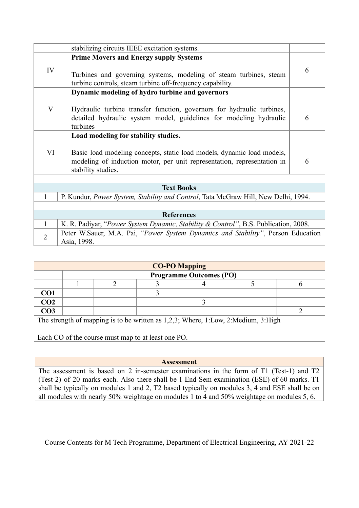|                | stabilizing circuits IEEE excitation systems.                                                                                                                                                                   |   |
|----------------|-----------------------------------------------------------------------------------------------------------------------------------------------------------------------------------------------------------------|---|
| IV             | <b>Prime Movers and Energy supply Systems</b><br>Turbines and governing systems, modeling of steam turbines, steam<br>turbine controls, steam turbine off-frequency capability.                                 | 6 |
| $\mathbf{V}$   | Dynamic modeling of hydro turbine and governors<br>Hydraulic turbine transfer function, governors for hydraulic turbines,<br>detailed hydraulic system model, guidelines for modeling hydraulic<br>turbines     | 6 |
| VI             | Load modeling for stability studies.<br>Basic load modeling concepts, static load models, dynamic load models,<br>modeling of induction motor, per unit representation, representation in<br>stability studies. | 6 |
|                | <b>Text Books</b>                                                                                                                                                                                               |   |
|                | P. Kundur, <i>Power System, Stability and Control</i> , Tata McGraw Hill, New Delhi, 1994.                                                                                                                      |   |
|                |                                                                                                                                                                                                                 |   |
|                | <b>References</b>                                                                                                                                                                                               |   |
| 1              | K. R. Padiyar, "Power System Dynamic, Stability & Control", B.S. Publication, 2008.                                                                                                                             |   |
| $\overline{2}$ | Peter W.Sauer, M.A. Pai, "Power System Dynamics and Stability", Person Education<br>Asia, 1998.                                                                                                                 |   |

| <b>CO-PO Mapping</b>                                                              |                                |  |  |  |  |  |  |  |
|-----------------------------------------------------------------------------------|--------------------------------|--|--|--|--|--|--|--|
|                                                                                   | <b>Programme Outcomes (PO)</b> |  |  |  |  |  |  |  |
|                                                                                   |                                |  |  |  |  |  |  |  |
| CO <sub>1</sub>                                                                   |                                |  |  |  |  |  |  |  |
| CO <sub>2</sub>                                                                   |                                |  |  |  |  |  |  |  |
| CO <sub>3</sub>                                                                   |                                |  |  |  |  |  |  |  |
| The strength of mapping is to be written as 1,2,3; Where, 1:Low, 2:Medium, 3:High |                                |  |  |  |  |  |  |  |

Each CO of the course must map to at least one PO.

**Assessment**

The assessment is based on 2 in-semester examinations in the form of T1 (Test-1) and T2 (Test-2) of 20 marks each. Also there shall be 1 End-Sem examination (ESE) of 60 marks. T1 shall be typically on modules 1 and 2, T2 based typically on modules 3, 4 and ESE shall be on all modules with nearly 50% weightage on modules 1 to 4 and 50% weightage on modules 5, 6.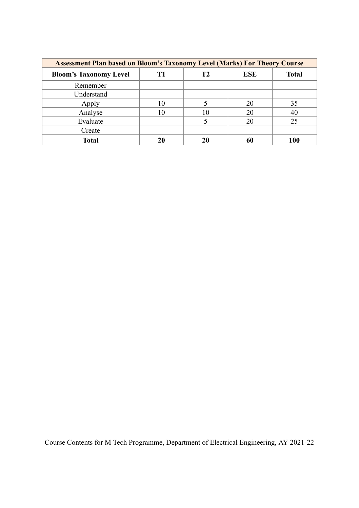| <b>Assessment Plan based on Bloom's Taxonomy Level (Marks) For Theory Course</b> |    |    |            |              |  |  |
|----------------------------------------------------------------------------------|----|----|------------|--------------|--|--|
| <b>Bloom's Taxonomy Level</b>                                                    | T1 | Т2 | <b>ESE</b> | <b>Total</b> |  |  |
| Remember                                                                         |    |    |            |              |  |  |
| Understand                                                                       |    |    |            |              |  |  |
| Apply                                                                            | 10 |    | 20         | 35           |  |  |
| Analyse                                                                          | 10 | 10 | 20         | 40           |  |  |
| Evaluate                                                                         |    |    | 20         | 25           |  |  |
| Create                                                                           |    |    |            |              |  |  |
| <b>Total</b>                                                                     | 20 | 20 | 60         | 100          |  |  |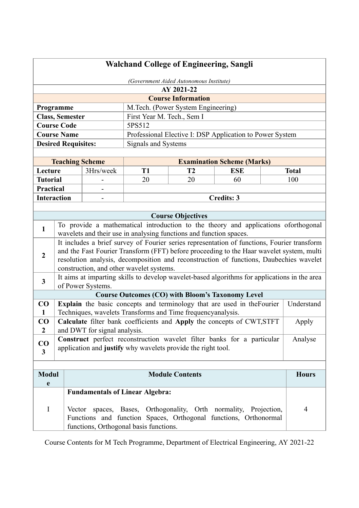| <b>Walchand College of Engineering, Sangli</b> |                            |                              |                                          |                                                                                              |                                   |              |
|------------------------------------------------|----------------------------|------------------------------|------------------------------------------|----------------------------------------------------------------------------------------------|-----------------------------------|--------------|
| (Government Aided Autonomous Institute)        |                            |                              |                                          |                                                                                              |                                   |              |
|                                                |                            |                              |                                          | AY 2021-22                                                                                   |                                   |              |
|                                                |                            |                              |                                          | <b>Course Information</b>                                                                    |                                   |              |
|                                                | Programme                  |                              |                                          | M.Tech. (Power System Engineering)                                                           |                                   |              |
|                                                | <b>Class, Semester</b>     |                              | First Year M. Tech., Sem I               |                                                                                              |                                   |              |
|                                                | <b>Course Code</b>         |                              | 5PS512                                   |                                                                                              |                                   |              |
|                                                | <b>Course Name</b>         |                              |                                          | Professional Elective I: DSP Application to Power System                                     |                                   |              |
|                                                | <b>Desired Requisites:</b> |                              | Signals and Systems                      |                                                                                              |                                   |              |
|                                                |                            |                              |                                          |                                                                                              |                                   |              |
|                                                | <b>Teaching Scheme</b>     |                              |                                          |                                                                                              | <b>Examination Scheme (Marks)</b> |              |
| Lecture                                        |                            | 3Hrs/week                    | T <sub>1</sub>                           | T <sub>2</sub>                                                                               | <b>ESE</b>                        | <b>Total</b> |
| <b>Tutorial</b>                                |                            |                              | 20                                       | 20                                                                                           | 60                                | 100          |
| <b>Practical</b>                               |                            |                              |                                          |                                                                                              |                                   |              |
| <b>Interaction</b>                             |                            |                              |                                          |                                                                                              | <b>Credits: 3</b>                 |              |
|                                                |                            |                              |                                          |                                                                                              |                                   |              |
|                                                |                            |                              |                                          | <b>Course Objectives</b>                                                                     |                                   |              |
| 1                                              |                            |                              |                                          | To provide a mathematical introduction to the theory and applications oforthogonal           |                                   |              |
|                                                |                            |                              |                                          | wavelets and their use in analysing functions and function spaces.                           |                                   |              |
|                                                |                            |                              |                                          | It includes a brief survey of Fourier series representation of functions, Fourier transform  |                                   |              |
| $\overline{2}$                                 |                            |                              |                                          | and the Fast Fourier Transform (FFT) before proceeding to the Haar wavelet system, multi     |                                   |              |
|                                                |                            |                              | construction, and other wavelet systems. | resolution analysis, decomposition and reconstruction of functions, Daubechies wavelet       |                                   |              |
|                                                |                            |                              |                                          | It aims at imparting skills to develop wavelet-based algorithms for applications in the area |                                   |              |
| $\overline{\mathbf{3}}$                        |                            | of Power Systems.            |                                          |                                                                                              |                                   |              |
|                                                |                            |                              |                                          | <b>Course Outcomes (CO) with Bloom's Taxonomy Level</b>                                      |                                   |              |
| $\bf CO$                                       |                            |                              |                                          | Explain the basic concepts and terminology that are used in the Fourier                      |                                   | Understand   |
| $\mathbf{1}$                                   |                            |                              |                                          | Techniques, wavelets Transforms and Time frequencyanalysis.                                  |                                   |              |
| CO                                             |                            |                              |                                          | Calculate filter bank coefficients and Apply the concepts of CWT, STFT                       |                                   | Apply        |
| $\boldsymbol{2}$                               |                            | and DWT for signal analysis. |                                          |                                                                                              |                                   |              |
| $\bf CO$                                       |                            |                              |                                          | Construct perfect reconstruction wavelet filter banks for a particular                       |                                   | Analyse      |
| 3                                              |                            |                              |                                          | application and justify why wavelets provide the right tool.                                 |                                   |              |
|                                                |                            |                              |                                          |                                                                                              |                                   |              |
|                                                |                            |                              |                                          |                                                                                              |                                   |              |
| <b>Modul</b><br>e                              |                            |                              |                                          | <b>Module Contents</b>                                                                       |                                   | <b>Hours</b> |
|                                                |                            |                              | <b>Fundamentals of Linear Algebra:</b>   |                                                                                              |                                   |              |
|                                                |                            |                              |                                          |                                                                                              |                                   |              |
| I                                              | Vector                     |                              |                                          | spaces, Bases, Orthogonality, Orth normality, Projection,                                    |                                   | 4            |
|                                                |                            |                              |                                          | Functions and function Spaces, Orthogonal functions, Orthonormal                             |                                   |              |
|                                                |                            |                              | functions, Orthogonal basis functions.   |                                                                                              |                                   |              |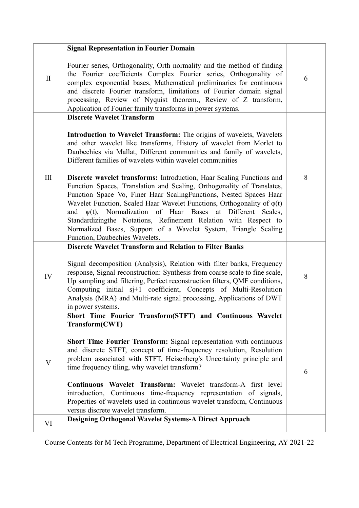|              | <b>Signal Representation in Fourier Domain</b>                                                                                                                                                                                                                                                                                                                                                                                                                                                                                                         |       |
|--------------|--------------------------------------------------------------------------------------------------------------------------------------------------------------------------------------------------------------------------------------------------------------------------------------------------------------------------------------------------------------------------------------------------------------------------------------------------------------------------------------------------------------------------------------------------------|-------|
| $\mathbf{I}$ | Fourier series, Orthogonality, Orth normality and the method of finding<br>the Fourier coefficients Complex Fourier series, Orthogonality of<br>complex exponential bases, Mathematical preliminaries for continuous<br>and discrete Fourier transform, limitations of Fourier domain signal<br>processing, Review of Nyquist theorem., Review of Z transform,<br>Application of Fourier family transforms in power systems.                                                                                                                           | 6     |
|              | <b>Discrete Wavelet Transform</b><br>Introduction to Wavelet Transform: The origins of wavelets, Wavelets<br>and other wavelet like transforms, History of wavelet from Morlet to<br>Daubechies via Mallat, Different communities and family of wavelets,<br>Different families of wavelets within wavelet communities                                                                                                                                                                                                                                 |       |
| III          | Discrete wavelet transforms: Introduction, Haar Scaling Functions and<br>Function Spaces, Translation and Scaling, Orthogonality of Translates,<br>Function Space Vo, Finer Haar ScalingFunctions, Nested Spaces Haar<br>Wavelet Function, Scaled Haar Wavelet Functions, Orthogonality of $\varphi(t)$<br>and $\psi(t)$ , Normalization of Haar Bases<br>at Different Scales,<br>Standardizingthe Notations, Refinement Relation with Respect to<br>Normalized Bases, Support of a Wavelet System, Triangle Scaling<br>Function, Daubechies Wavelets. | 8     |
|              | <b>Discrete Wavelet Transform and Relation to Filter Banks</b>                                                                                                                                                                                                                                                                                                                                                                                                                                                                                         |       |
| IV           | Signal decomposition (Analysis), Relation with filter banks, Frequency<br>response, Signal reconstruction: Synthesis from coarse scale to fine scale,<br>Up sampling and filtering, Perfect reconstruction filters, QMF conditions,<br>Computing initial sj+1 coefficient, Concepts of Multi-Resolution<br>Analysis (MRA) and Multi-rate signal processing, Applications of DWT<br>in power systems.                                                                                                                                                   | $8\,$ |
|              | Short Time Fourier Transform(STFT) and Continuous Wavelet                                                                                                                                                                                                                                                                                                                                                                                                                                                                                              |       |
| $\mathbf V$  | Transform(CWT)<br>Short Time Fourier Transform: Signal representation with continuous<br>and discrete STFT, concept of time-frequency resolution, Resolution<br>problem associated with STFT, Heisenberg's Uncertainty principle and<br>time frequency tiling, why wavelet transform?                                                                                                                                                                                                                                                                  | 6     |
|              | Continuous Wavelet Transform: Wavelet transform-A first level<br>Continuous time-frequency representation of signals,<br>introduction,<br>Properties of wavelets used in continuous wavelet transform, Continuous<br>versus discrete wavelet transform.                                                                                                                                                                                                                                                                                                |       |
| VI           | <b>Designing Orthogonal Wavelet Systems-A Direct Approach</b>                                                                                                                                                                                                                                                                                                                                                                                                                                                                                          |       |
|              |                                                                                                                                                                                                                                                                                                                                                                                                                                                                                                                                                        |       |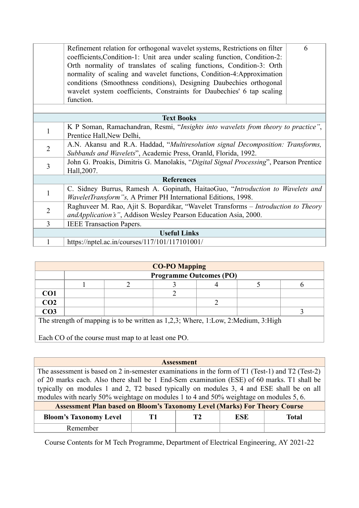|                     | Refinement relation for orthogonal wavelet systems, Restrictions on filter<br>coefficients, Condition-1: Unit area under scaling function, Condition-2:<br>Orth normality of translates of scaling functions, Condition-3: Orth | 6 |  |  |  |
|---------------------|---------------------------------------------------------------------------------------------------------------------------------------------------------------------------------------------------------------------------------|---|--|--|--|
|                     | normality of scaling and wavelet functions, Condition-4:Approximation                                                                                                                                                           |   |  |  |  |
|                     | conditions (Smoothness conditions), Designing Daubechies orthogonal                                                                                                                                                             |   |  |  |  |
|                     | wavelet system coefficients, Constraints for Daubechies' 6 tap scaling                                                                                                                                                          |   |  |  |  |
|                     | function.                                                                                                                                                                                                                       |   |  |  |  |
|                     |                                                                                                                                                                                                                                 |   |  |  |  |
|                     | <b>Text Books</b>                                                                                                                                                                                                               |   |  |  |  |
| 1                   | K P Soman, Ramachandran, Resmi, "Insights into wavelets from theory to practice",                                                                                                                                               |   |  |  |  |
|                     |                                                                                                                                                                                                                                 |   |  |  |  |
| $\overline{2}$      | A.N. Akansu and R.A. Haddad, "Multiresolution signal Decomposition: Transforms,                                                                                                                                                 |   |  |  |  |
|                     | Subbands and Wavelets", Academic Press, Oranld, Florida, 1992.                                                                                                                                                                  |   |  |  |  |
| 3                   | John G. Proakis, Dimitris G. Manolakis, "Digital Signal Processing", Pearson Prentice                                                                                                                                           |   |  |  |  |
|                     | Hall, 2007.                                                                                                                                                                                                                     |   |  |  |  |
|                     | <b>References</b>                                                                                                                                                                                                               |   |  |  |  |
| $\mathbf{1}$        | C. Sidney Burrus, Ramesh A. Gopinath, HaitaoGuo, "Introduction to Wavelets and                                                                                                                                                  |   |  |  |  |
|                     | <i>WaveletTransform"s, A Primer PH International Editions, 1998.</i>                                                                                                                                                            |   |  |  |  |
| $\overline{2}$      | Raghuveer M. Rao, Ajit S. Bopardikar, "Wavelet Transforms – Introduction to Theory                                                                                                                                              |   |  |  |  |
|                     | andApplication's", Addison Wesley Pearson Education Asia, 2000.                                                                                                                                                                 |   |  |  |  |
| $\overline{3}$      | <b>IEEE</b> Transaction Papers.                                                                                                                                                                                                 |   |  |  |  |
| <b>Useful Links</b> |                                                                                                                                                                                                                                 |   |  |  |  |
|                     | https://nptel.ac.in/courses/117/101/117101001/                                                                                                                                                                                  |   |  |  |  |

| <b>CO-PO Mapping</b>                                                              |                                |  |  |  |  |  |
|-----------------------------------------------------------------------------------|--------------------------------|--|--|--|--|--|
|                                                                                   | <b>Programme Outcomes (PO)</b> |  |  |  |  |  |
|                                                                                   |                                |  |  |  |  |  |
| CO <sub>1</sub>                                                                   |                                |  |  |  |  |  |
| CO <sub>2</sub>                                                                   |                                |  |  |  |  |  |
| CO <sub>3</sub>                                                                   |                                |  |  |  |  |  |
| The strength of mapping is to be written as 1,2,3; Where, 1:Low, 2:Medium, 3:High |                                |  |  |  |  |  |

Each CO of the course must map to at least one PO.

**Assessment**

The assessment is based on 2 in-semester examinations in the form of T1 (Test-1) and T2 (Test-2) of 20 marks each. Also there shall be 1 End-Sem examination (ESE) of 60 marks. T1 shall be typically on modules 1 and 2, T2 based typically on modules 3, 4 and ESE shall be on all modules with nearly 50% weightage on modules 1 to 4 and 50% weightage on modules 5, 6.

| <b>Assessment Plan based on Bloom's Taxonomy Level (Marks) For Theory Course</b> |  |  |            |       |  |  |
|----------------------------------------------------------------------------------|--|--|------------|-------|--|--|
| <b>Bloom's Taxonomy Level</b>                                                    |  |  | <b>ESE</b> | Total |  |  |
| Remember                                                                         |  |  |            |       |  |  |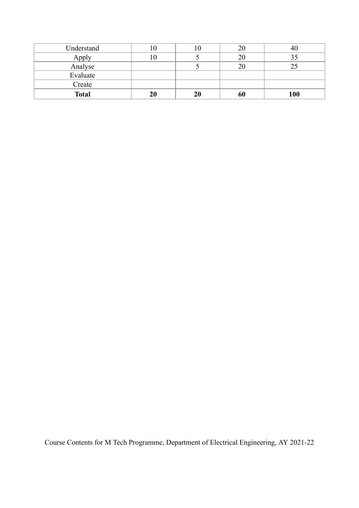| Understand   | 1 U | 1 U |     |
|--------------|-----|-----|-----|
| Apply        |     |     |     |
| Analyse      |     |     |     |
| Evaluate     |     |     |     |
| Create       |     |     |     |
| <b>Total</b> | 20  | 20  | 100 |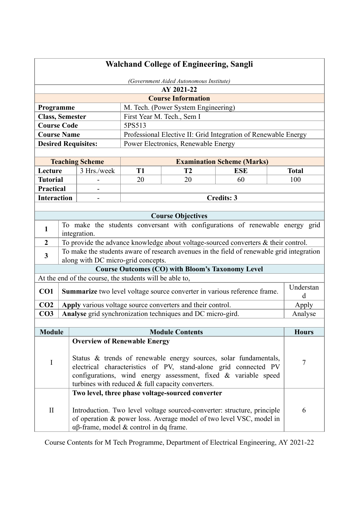| <b>Walchand College of Engineering, Sangli</b> |                                                                |                                                         |                 |                                                                                           |                                   |                     |  |
|------------------------------------------------|----------------------------------------------------------------|---------------------------------------------------------|-----------------|-------------------------------------------------------------------------------------------|-----------------------------------|---------------------|--|
|                                                |                                                                |                                                         |                 | (Government Aided Autonomous Institute)                                                   |                                   |                     |  |
|                                                |                                                                |                                                         |                 | AY 2021-22                                                                                |                                   |                     |  |
|                                                | <b>Course Information</b>                                      |                                                         |                 |                                                                                           |                                   |                     |  |
| Programme                                      |                                                                |                                                         |                 | M. Tech. (Power System Engineering)                                                       |                                   |                     |  |
| <b>Class, Semester</b>                         |                                                                |                                                         |                 | First Year M. Tech., Sem I                                                                |                                   |                     |  |
| <b>Course Code</b><br>5PS513                   |                                                                |                                                         |                 |                                                                                           |                                   |                     |  |
| <b>Course Name</b>                             |                                                                |                                                         |                 | Professional Elective II: Grid Integration of Renewable Energy                            |                                   |                     |  |
| <b>Desired Requisites:</b>                     |                                                                |                                                         |                 | Power Electronics, Renewable Energy                                                       |                                   |                     |  |
|                                                |                                                                |                                                         |                 |                                                                                           |                                   |                     |  |
|                                                |                                                                | <b>Teaching Scheme</b><br>3 Hrs./week                   |                 |                                                                                           | <b>Examination Scheme (Marks)</b> |                     |  |
| Lecture<br><b>Tutorial</b>                     |                                                                |                                                         | <b>T1</b><br>20 | T2<br>20                                                                                  | <b>ESE</b><br>60                  | <b>Total</b><br>100 |  |
| <b>Practical</b>                               |                                                                |                                                         |                 |                                                                                           |                                   |                     |  |
| <b>Interaction</b>                             |                                                                |                                                         |                 |                                                                                           | <b>Credits: 3</b>                 |                     |  |
|                                                |                                                                |                                                         |                 |                                                                                           |                                   |                     |  |
|                                                |                                                                |                                                         |                 | <b>Course Objectives</b>                                                                  |                                   |                     |  |
|                                                |                                                                |                                                         |                 | To make the students conversant with configurations of renewable energy grid              |                                   |                     |  |
| 1                                              |                                                                | integration.                                            |                 |                                                                                           |                                   |                     |  |
| $\overline{2}$                                 |                                                                |                                                         |                 | To provide the advance knowledge about voltage-sourced converters & their control.        |                                   |                     |  |
| $\mathbf{3}$                                   |                                                                |                                                         |                 | To make the students aware of research avenues in the field of renewable grid integration |                                   |                     |  |
|                                                |                                                                | along with DC micro-grid concepts.                      |                 |                                                                                           |                                   |                     |  |
|                                                |                                                                |                                                         |                 | <b>Course Outcomes (CO) with Bloom's Taxonomy Level</b>                                   |                                   |                     |  |
|                                                |                                                                | At the end of the course, the students will be able to, |                 |                                                                                           |                                   |                     |  |
| CO <sub>1</sub>                                |                                                                |                                                         |                 | Summarize two level voltage source converter in various reference frame.                  |                                   | Understan<br>d      |  |
| CO <sub>2</sub>                                |                                                                |                                                         |                 | Apply various voltage source converters and their control.                                |                                   | Apply               |  |
| CO <sub>3</sub>                                |                                                                |                                                         |                 | Analyse grid synchronization techniques and DC micro-gird.                                |                                   | Analyse             |  |
|                                                |                                                                |                                                         |                 |                                                                                           |                                   |                     |  |
| <b>Module</b>                                  |                                                                | <b>Overview of Renewable Energy</b>                     |                 | <b>Module Contents</b>                                                                    |                                   | <b>Hours</b>        |  |
|                                                |                                                                |                                                         |                 |                                                                                           |                                   |                     |  |
| I                                              |                                                                |                                                         |                 | Status & trends of renewable energy sources, solar fundamentals,                          |                                   |                     |  |
|                                                |                                                                |                                                         |                 | electrical characteristics of PV, stand-alone grid connected PV                           |                                   | 7                   |  |
|                                                | configurations, wind energy assessment, fixed & variable speed |                                                         |                 |                                                                                           |                                   |                     |  |
|                                                |                                                                |                                                         |                 | turbines with reduced & full capacity converters.                                         |                                   |                     |  |
|                                                |                                                                |                                                         |                 | Two level, three phase voltage-sourced converter                                          |                                   |                     |  |
| $\mathbf{I}$                                   |                                                                |                                                         |                 | Introduction. Two level voltage sourced-converter: structure, principle                   |                                   | 6                   |  |
|                                                |                                                                |                                                         |                 | of operation & power loss. Average model of two level VSC, model in                       |                                   |                     |  |
|                                                |                                                                | $\alpha\beta$ -frame, model & control in dq frame.      |                 |                                                                                           |                                   |                     |  |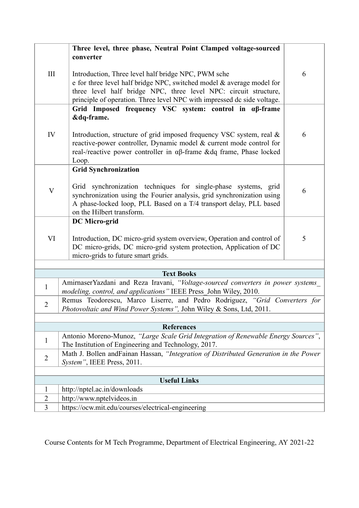|                           | Three level, three phase, Neutral Point Clamped voltage-sourced                                                                                                                                                                                                             |   |  |  |  |
|---------------------------|-----------------------------------------------------------------------------------------------------------------------------------------------------------------------------------------------------------------------------------------------------------------------------|---|--|--|--|
|                           | converter                                                                                                                                                                                                                                                                   |   |  |  |  |
| III                       | Introduction, Three level half bridge NPC, PWM sche<br>e for three level half bridge NPC, switched model & average model for<br>three level half bridge NPC, three level NPC: circuit structure,<br>principle of operation. Three level NPC with impressed dc side voltage. | 6 |  |  |  |
|                           | Grid Imposed frequency VSC system: control in aß-frame<br>&dq-frame.                                                                                                                                                                                                        |   |  |  |  |
| IV                        | Introduction, structure of grid imposed frequency VSC system, real &<br>reactive-power controller, Dynamic model & current mode control for<br>real-/reactive power controller in $\alpha\beta$ -frame &dq frame, Phase locked<br>Loop.                                     | 6 |  |  |  |
|                           | <b>Grid Synchronization</b>                                                                                                                                                                                                                                                 |   |  |  |  |
| $\boldsymbol{\mathrm{V}}$ | Grid synchronization techniques for single-phase systems, grid<br>synchronization using the Fourier analysis, grid synchronization using<br>A phase-locked loop, PLL Based on a T/4 transport delay, PLL based<br>on the Hilbert transform.                                 | 6 |  |  |  |
|                           | <b>DC</b> Micro-grid                                                                                                                                                                                                                                                        |   |  |  |  |
| VI                        | Introduction, DC micro-grid system overview, Operation and control of<br>DC micro-grids, DC micro-grid system protection, Application of DC<br>micro-grids to future smart grids.                                                                                           | 5 |  |  |  |
|                           |                                                                                                                                                                                                                                                                             |   |  |  |  |
|                           | <b>Text Books</b><br>AmirnaserYazdani and Reza Iravani, "Voltage-sourced converters in power systems                                                                                                                                                                        |   |  |  |  |
| $\mathbf{1}$              | modeling, control, and applications" IEEE Press_John Wiley, 2010.                                                                                                                                                                                                           |   |  |  |  |
| $\overline{2}$            | Remus Teodorescu, Marco Liserre, and Pedro Rodriguez, "Grid Converters for<br>Photovoltaic and Wind Power Systems", John Wiley & Sons, Ltd, 2011.                                                                                                                           |   |  |  |  |
|                           |                                                                                                                                                                                                                                                                             |   |  |  |  |
|                           | <b>References</b>                                                                                                                                                                                                                                                           |   |  |  |  |
| 1                         | Antonio Moreno-Munoz, "Large Scale Grid Integration of Renewable Energy Sources",<br>The Institution of Engineering and Technology, 2017.                                                                                                                                   |   |  |  |  |
| $\overline{2}$            | Math J. Bollen and Fainan Hassan, "Integration of Distributed Generation in the Power<br>System", IEEE Press, 2011.                                                                                                                                                         |   |  |  |  |
|                           |                                                                                                                                                                                                                                                                             |   |  |  |  |
|                           | <b>Useful Links</b>                                                                                                                                                                                                                                                         |   |  |  |  |
| 1<br>$\overline{2}$       | http://nptel.ac.in/downloads                                                                                                                                                                                                                                                |   |  |  |  |
| 3                         | http://www.nptelvideos.in<br>https://ocw.mit.edu/courses/electrical-engineering                                                                                                                                                                                             |   |  |  |  |
|                           |                                                                                                                                                                                                                                                                             |   |  |  |  |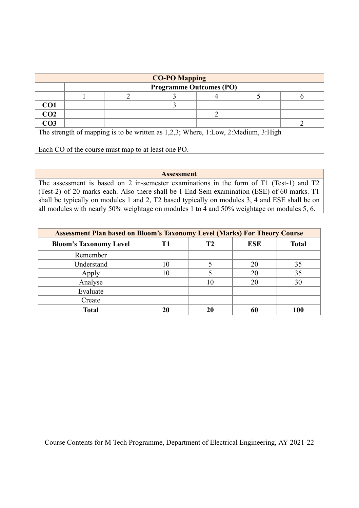| <b>CO-PO Mapping</b>                                                              |  |  |                                |  |  |  |
|-----------------------------------------------------------------------------------|--|--|--------------------------------|--|--|--|
|                                                                                   |  |  | <b>Programme Outcomes (PO)</b> |  |  |  |
|                                                                                   |  |  |                                |  |  |  |
| CO <sub>1</sub>                                                                   |  |  |                                |  |  |  |
| CO <sub>2</sub>                                                                   |  |  |                                |  |  |  |
| CO <sub>3</sub>                                                                   |  |  |                                |  |  |  |
| The strength of mapping is to be written as 1,2,3; Where, 1:Low, 2:Medium, 3:High |  |  |                                |  |  |  |
|                                                                                   |  |  |                                |  |  |  |
| Each CO of the course must map to at least one PO.                                |  |  |                                |  |  |  |

**Assessment** The assessment is based on 2 in-semester examinations in the form of T1 (Test-1) and T2 (Test-2) of 20 marks each. Also there shall be 1 End-Sem examination (ESE) of 60 marks. T1 shall be typically on modules 1 and 2, T2 based typically on modules 3, 4 and ESE shall be on all modules with nearly 50% weightage on modules 1 to 4 and 50% weightage on modules 5, 6.

| <b>Assessment Plan based on Bloom's Taxonomy Level (Marks) For Theory Course</b> |    |    |            |              |  |  |
|----------------------------------------------------------------------------------|----|----|------------|--------------|--|--|
| <b>Bloom's Taxonomy Level</b>                                                    | T1 | Т2 | <b>ESE</b> | <b>Total</b> |  |  |
| Remember                                                                         |    |    |            |              |  |  |
| Understand                                                                       | 10 |    | 20         | 35           |  |  |
| Apply                                                                            | 10 |    | 20         | 35           |  |  |
| Analyse                                                                          |    | 10 | 20         | 30           |  |  |
| Evaluate                                                                         |    |    |            |              |  |  |
| Create                                                                           |    |    |            |              |  |  |
| <b>Total</b>                                                                     | 20 |    |            | 100          |  |  |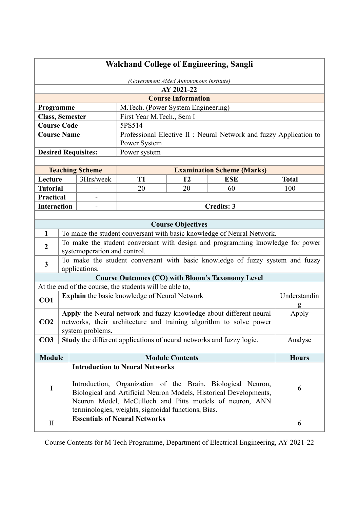| <b>Walchand College of Engineering, Sangli</b>      |                                         |                              |                                                                                |                           |                                                                    |  |              |
|-----------------------------------------------------|-----------------------------------------|------------------------------|--------------------------------------------------------------------------------|---------------------------|--------------------------------------------------------------------|--|--------------|
|                                                     | (Government Aided Autonomous Institute) |                              |                                                                                |                           |                                                                    |  |              |
|                                                     |                                         |                              |                                                                                | AY 2021-22                |                                                                    |  |              |
|                                                     |                                         |                              |                                                                                | <b>Course Information</b> |                                                                    |  |              |
| M.Tech. (Power System Engineering)<br>Programme     |                                         |                              |                                                                                |                           |                                                                    |  |              |
| <b>Class, Semester</b><br>First Year M.Tech., Sem I |                                         |                              |                                                                                |                           |                                                                    |  |              |
| <b>Course Code</b>                                  |                                         |                              | 5PS514                                                                         |                           |                                                                    |  |              |
| <b>Course Name</b>                                  |                                         |                              |                                                                                |                           | Professional Elective II : Neural Network and fuzzy Application to |  |              |
|                                                     |                                         |                              | Power System                                                                   |                           |                                                                    |  |              |
|                                                     |                                         | <b>Desired Requisites:</b>   | Power system                                                                   |                           |                                                                    |  |              |
|                                                     |                                         |                              |                                                                                |                           |                                                                    |  |              |
|                                                     |                                         | <b>Teaching Scheme</b>       |                                                                                |                           | <b>Examination Scheme (Marks)</b>                                  |  |              |
| Lecture                                             |                                         | 3Hrs/week                    | <b>T1</b>                                                                      | <b>T2</b>                 | <b>ESE</b>                                                         |  | <b>Total</b> |
| <b>Tutorial</b>                                     |                                         |                              | 20                                                                             | 20                        | 60                                                                 |  | 100          |
| <b>Practical</b>                                    |                                         |                              |                                                                                |                           |                                                                    |  |              |
| <b>Interaction</b>                                  |                                         |                              |                                                                                |                           | <b>Credits: 3</b>                                                  |  |              |
|                                                     |                                         |                              |                                                                                |                           |                                                                    |  |              |
|                                                     |                                         |                              |                                                                                | <b>Course Objectives</b>  |                                                                    |  |              |
| $\mathbf{1}$                                        |                                         |                              | To make the student conversant with basic knowledge of Neural Network.         |                           |                                                                    |  |              |
| $\overline{2}$                                      |                                         |                              | To make the student conversant with design and programming knowledge for power |                           |                                                                    |  |              |
|                                                     |                                         | systemoperation and control. |                                                                                |                           |                                                                    |  |              |
| $\mathbf{3}$                                        |                                         | applications.                | To make the student conversant with basic knowledge of fuzzy system and fuzzy  |                           |                                                                    |  |              |
|                                                     |                                         |                              | <b>Course Outcomes (CO) with Bloom's Taxonomy Level</b>                        |                           |                                                                    |  |              |
|                                                     |                                         |                              | At the end of the course, the students will be able to,                        |                           |                                                                    |  |              |
|                                                     |                                         |                              | Explain the basic knowledge of Neural Network                                  |                           |                                                                    |  | Understandin |
| CO1                                                 |                                         |                              |                                                                                |                           |                                                                    |  |              |
|                                                     |                                         |                              | Apply the Neural network and fuzzy knowledge about different neural            |                           |                                                                    |  | Apply        |
| CO <sub>2</sub>                                     |                                         |                              | networks, their architecture and training algorithm to solve power             |                           |                                                                    |  |              |
|                                                     |                                         | system problems.             |                                                                                |                           |                                                                    |  |              |
| CO <sub>3</sub>                                     |                                         |                              | Study the different applications of neural networks and fuzzy logic.           |                           |                                                                    |  | Analyse      |
|                                                     |                                         |                              |                                                                                |                           |                                                                    |  |              |
| <b>Module</b>                                       |                                         |                              |                                                                                | <b>Module Contents</b>    |                                                                    |  | <b>Hours</b> |
|                                                     |                                         |                              | <b>Introduction to Neural Networks</b>                                         |                           |                                                                    |  |              |
|                                                     |                                         |                              |                                                                                |                           |                                                                    |  |              |
| I                                                   |                                         |                              | Introduction, Organization of the Brain, Biological Neuron,                    |                           |                                                                    |  | 6            |
|                                                     |                                         |                              | Biological and Artificial Neuron Models, Historical Developments,              |                           |                                                                    |  |              |
|                                                     |                                         |                              | Neuron Model, McCulloch and Pitts models of neuron, ANN                        |                           |                                                                    |  |              |
|                                                     |                                         |                              | terminologies, weights, sigmoidal functions, Bias.                             |                           |                                                                    |  |              |
| $\rm II$                                            | <b>Essentials of Neural Networks</b>    |                              |                                                                                |                           | 6                                                                  |  |              |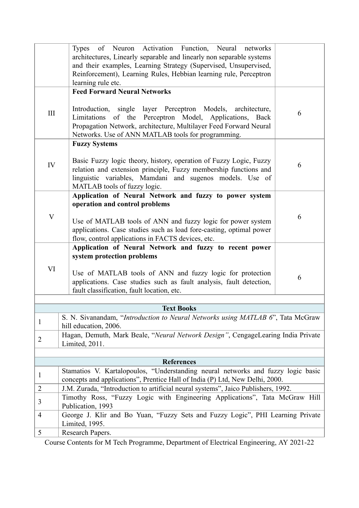|                | of Neuron Activation Function, Neural networks<br><b>Types</b><br>architectures, Linearly separable and linearly non separable systems<br>and their examples, Learning Strategy (Supervised, Unsupervised,<br>Reinforcement), Learning Rules, Hebbian learning rule, Perceptron<br>learning rule etc. |   |  |  |  |  |
|----------------|-------------------------------------------------------------------------------------------------------------------------------------------------------------------------------------------------------------------------------------------------------------------------------------------------------|---|--|--|--|--|
|                | <b>Feed Forward Neural Networks</b>                                                                                                                                                                                                                                                                   |   |  |  |  |  |
| III            | Introduction, single layer Perceptron Models, architecture,<br>Limitations of the Perceptron Model, Applications, Back<br>Propagation Network, architecture, Multilayer Feed Forward Neural<br>Networks. Use of ANN MATLAB tools for programming.                                                     | 6 |  |  |  |  |
|                | <b>Fuzzy Systems</b>                                                                                                                                                                                                                                                                                  |   |  |  |  |  |
| IV             | Basic Fuzzy logic theory, history, operation of Fuzzy Logic, Fuzzy<br>relation and extension principle, Fuzzy membership functions and<br>linguistic variables, Mamdani and sugenos models. Use of<br>MATLAB tools of fuzzy logic.                                                                    | 6 |  |  |  |  |
|                | Application of Neural Network and fuzzy to power system                                                                                                                                                                                                                                               |   |  |  |  |  |
|                | operation and control problems                                                                                                                                                                                                                                                                        |   |  |  |  |  |
| V              | Use of MATLAB tools of ANN and fuzzy logic for power system<br>applications. Case studies such as load fore-casting, optimal power<br>flow, control applications in FACTS devices, etc.                                                                                                               | 6 |  |  |  |  |
|                | Application of Neural Network and fuzzy to recent power                                                                                                                                                                                                                                               |   |  |  |  |  |
|                | system protection problems                                                                                                                                                                                                                                                                            |   |  |  |  |  |
| VI             | Use of MATLAB tools of ANN and fuzzy logic for protection<br>applications. Case studies such as fault analysis, fault detection,<br>fault classification, fault location, etc.                                                                                                                        | 6 |  |  |  |  |
|                |                                                                                                                                                                                                                                                                                                       |   |  |  |  |  |
|                | <b>Text Books</b>                                                                                                                                                                                                                                                                                     |   |  |  |  |  |
| $\mathbf{1}$   | S. N. Sivanandam, "Introduction to Neural Networks using MATLAB 6", Tata McGraw<br>hill education, 2006.                                                                                                                                                                                              |   |  |  |  |  |
| $\overline{2}$ | Hagan, Demuth, Mark Beale, "Neural Network Design", CengageLearing India Private<br>Limited, 2011.                                                                                                                                                                                                    |   |  |  |  |  |
|                |                                                                                                                                                                                                                                                                                                       |   |  |  |  |  |
|                | <b>References</b>                                                                                                                                                                                                                                                                                     |   |  |  |  |  |
| $\mathbf{1}$   | Stamatios V. Kartalopoulos, "Understanding neural networks and fuzzy logic basic                                                                                                                                                                                                                      |   |  |  |  |  |
| 2              | concepts and applications", Prentice Hall of India (P) Ltd, New Delhi, 2000.<br>J.M. Zurada, "Introduction to artificial neural systems", Jaico Publishers, 1992.                                                                                                                                     |   |  |  |  |  |
|                | Timothy Ross, "Fuzzy Logic with Engineering Applications", Tata McGraw Hill                                                                                                                                                                                                                           |   |  |  |  |  |
| 3              | Publication, 1993                                                                                                                                                                                                                                                                                     |   |  |  |  |  |
| $\overline{4}$ | George J. Klir and Bo Yuan, "Fuzzy Sets and Fuzzy Logic", PHI Learning Private<br>Limited, 1995.                                                                                                                                                                                                      |   |  |  |  |  |
| 5              | Research Papers.                                                                                                                                                                                                                                                                                      |   |  |  |  |  |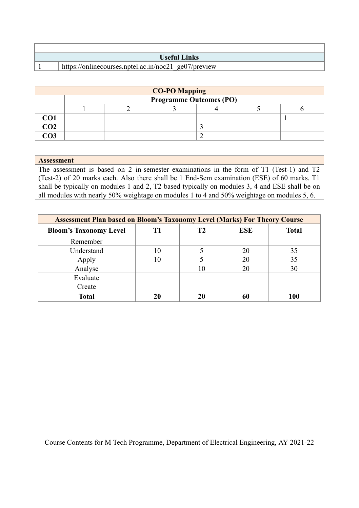| Useful Links' |                                                      |  |  |  |
|---------------|------------------------------------------------------|--|--|--|
|               | https://onlinecourses.nptel.ac.in/noc21 ge07/preview |  |  |  |

| <b>CO-PO Mapping</b> |                                |  |  |  |  |  |  |
|----------------------|--------------------------------|--|--|--|--|--|--|
|                      | <b>Programme Outcomes (PO)</b> |  |  |  |  |  |  |
|                      |                                |  |  |  |  |  |  |
| CO1                  |                                |  |  |  |  |  |  |
| CO <sub>2</sub>      |                                |  |  |  |  |  |  |
| $\bigcirc$ 03        |                                |  |  |  |  |  |  |

### **Assessment**

The assessment is based on 2 in-semester examinations in the form of T1 (Test-1) and T2 (Test-2) of 20 marks each. Also there shall be 1 End-Sem examination (ESE) of 60 marks. T1 shall be typically on modules 1 and 2, T2 based typically on modules 3, 4 and ESE shall be on all modules with nearly 50% weightage on modules 1 to 4 and 50% weightage on modules 5, 6.

| <b>Assessment Plan based on Bloom's Taxonomy Level (Marks) For Theory Course</b> |    |  |            |              |  |
|----------------------------------------------------------------------------------|----|--|------------|--------------|--|
| <b>Bloom's Taxonomy Level</b>                                                    |    |  | <b>ESE</b> | <b>Total</b> |  |
| Remember                                                                         |    |  |            |              |  |
| Understand                                                                       | 10 |  | 20         | 35           |  |
| Apply                                                                            | 10 |  | 20         | 35           |  |
| Analyse                                                                          |    |  | 20         | 30           |  |
| Evaluate                                                                         |    |  |            |              |  |
| Create                                                                           |    |  |            |              |  |
| <b>Total</b>                                                                     |    |  |            | 100          |  |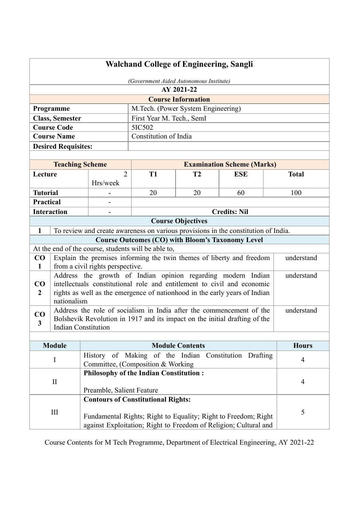| <b>Walchand College of Engineering, Sangli</b> |  |  |
|------------------------------------------------|--|--|
|------------------------------------------------|--|--|

| (Government Aided Autonomous Institute)             |                                    |  |  |
|-----------------------------------------------------|------------------------------------|--|--|
| AY 2021-22                                          |                                    |  |  |
| <b>Course Information</b>                           |                                    |  |  |
| Programme                                           | M.Tech. (Power System Engineering) |  |  |
| <b>Class, Semester</b><br>First Year M. Tech., SemI |                                    |  |  |
| <b>Course Code</b>                                  | 5IC502                             |  |  |
| <b>Course Name</b>                                  | Constitution of India              |  |  |
| <b>Desired Requisites:</b>                          |                                    |  |  |

|                                                         | <b>Teaching Scheme</b>                                                              |           | <b>Examination Scheme (Marks)</b> |            |              |  |  |
|---------------------------------------------------------|-------------------------------------------------------------------------------------|-----------|-----------------------------------|------------|--------------|--|--|
| $\overline{2}$<br>Lecture                               |                                                                                     | <b>T1</b> | T2                                | <b>ESE</b> | <b>Total</b> |  |  |
|                                                         |                                                                                     | Hrs/week  |                                   |            |              |  |  |
| <b>Tutorial</b>                                         |                                                                                     |           | 20<br>20<br>100<br>60             |            |              |  |  |
|                                                         | Practical                                                                           |           |                                   |            |              |  |  |
|                                                         | <b>Interaction</b><br><b>Credits: Nil</b>                                           |           |                                   |            |              |  |  |
| <b>Course Objectives</b>                                |                                                                                     |           |                                   |            |              |  |  |
| $\mathbf{1}$                                            | To review and create awareness on various provisions in the constitution of India.  |           |                                   |            |              |  |  |
| <b>Course Outcomes (CO) with Bloom's Taxonomy Level</b> |                                                                                     |           |                                   |            |              |  |  |
| At the end of the course, students will be able to,     |                                                                                     |           |                                   |            |              |  |  |
| CO                                                      | Explain the premises informing the twin themes of liberty and freedom<br>understand |           |                                   |            |              |  |  |
| $\mathbf{1}$                                            | from a civil rights perspective.                                                    |           |                                   |            |              |  |  |
|                                                         | Address the growth of Indian opinion regarding modern Indian                        |           |                                   |            | understand   |  |  |
| CO.                                                     | intellectuals constitutional role and entitlement to civil and economic             |           |                                   |            |              |  |  |
| $\mathbf{2}$                                            | rights as well as the emergence of nationhood in the early years of Indian          |           |                                   |            |              |  |  |
|                                                         | nationalism                                                                         |           |                                   |            |              |  |  |
| CO                                                      | Address the role of socialism in India after the commencement of the                |           |                                   |            | understand   |  |  |
| $\overline{\mathbf{3}}$                                 | Bolshevik Revolution in 1917 and its impact on the initial drafting of the          |           |                                   |            |              |  |  |
|                                                         | <b>Indian Constitution</b>                                                          |           |                                   |            |              |  |  |
|                                                         |                                                                                     |           |                                   |            |              |  |  |

| <b>Module</b> | <b>Module Contents</b>                                           | <b>Hours</b> |  |  |  |
|---------------|------------------------------------------------------------------|--------------|--|--|--|
|               | History of Making of the Indian Constitution Drafting            | 4            |  |  |  |
|               | Committee, (Composition & Working)                               |              |  |  |  |
|               |                                                                  |              |  |  |  |
| $_{\rm II}$   |                                                                  | 4            |  |  |  |
|               | Preamble, Salient Feature                                        |              |  |  |  |
|               | <b>Contours of Constitutional Rights:</b>                        |              |  |  |  |
| Ш             |                                                                  |              |  |  |  |
|               | Fundamental Rights; Right to Equality; Right to Freedom; Right   |              |  |  |  |
|               | against Exploitation; Right to Freedom of Religion; Cultural and |              |  |  |  |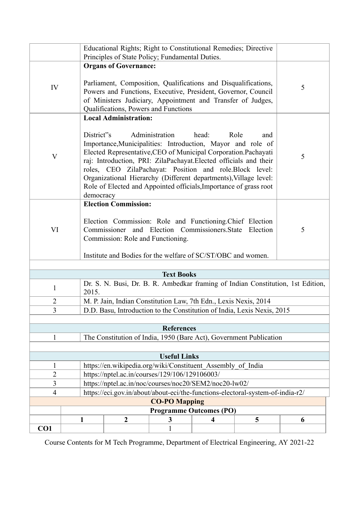| Principles of State Policy; Fundamental Duties.                                               |                                                                                                                                                                                                                                                                                                                                                                                                                                                                             |                                                                                                                                                          |   |                                |   |   |
|-----------------------------------------------------------------------------------------------|-----------------------------------------------------------------------------------------------------------------------------------------------------------------------------------------------------------------------------------------------------------------------------------------------------------------------------------------------------------------------------------------------------------------------------------------------------------------------------|----------------------------------------------------------------------------------------------------------------------------------------------------------|---|--------------------------------|---|---|
| IV                                                                                            | <b>Organs of Governance:</b><br>Parliament, Composition, Qualifications and Disqualifications,<br>Powers and Functions, Executive, President, Governor, Council<br>of Ministers Judiciary, Appointment and Transfer of Judges,<br>Qualifications, Powers and Functions                                                                                                                                                                                                      |                                                                                                                                                          |   |                                | 5 |   |
|                                                                                               |                                                                                                                                                                                                                                                                                                                                                                                                                                                                             | <b>Local Administration:</b>                                                                                                                             |   |                                |   |   |
| $\mathbf{V}$                                                                                  | District"s<br>Administration<br>head:<br>Role<br>and<br>Importance, Municipalities: Introduction, Mayor and role of<br>Elected Representative, CEO of Municipal Corporation. Pachayati<br>raj: Introduction, PRI: ZilaPachayat.Elected officials and their<br>roles, CEO ZilaPachayat: Position and role.Block level:<br>Organizational Hierarchy (Different departments), Village level:<br>Role of Elected and Appointed officials, Importance of grass root<br>democracy |                                                                                                                                                          |   |                                |   | 5 |
|                                                                                               |                                                                                                                                                                                                                                                                                                                                                                                                                                                                             | <b>Election Commission:</b>                                                                                                                              |   |                                |   |   |
| VI                                                                                            |                                                                                                                                                                                                                                                                                                                                                                                                                                                                             | Election Commission: Role and Functioning. Chief Election<br>Commissioner and Election Commissioners.State Election<br>Commission: Role and Functioning. |   |                                |   |   |
|                                                                                               | Institute and Bodies for the welfare of SC/ST/OBC and women.                                                                                                                                                                                                                                                                                                                                                                                                                |                                                                                                                                                          |   |                                |   |   |
|                                                                                               |                                                                                                                                                                                                                                                                                                                                                                                                                                                                             |                                                                                                                                                          |   |                                |   |   |
| <b>Text Books</b>                                                                             |                                                                                                                                                                                                                                                                                                                                                                                                                                                                             |                                                                                                                                                          |   |                                |   |   |
| Dr. S. N. Busi, Dr. B. R. Ambedkar framing of Indian Constitution, 1st Edition,<br>1<br>2015. |                                                                                                                                                                                                                                                                                                                                                                                                                                                                             |                                                                                                                                                          |   |                                |   |   |
| 2<br>M. P. Jain, Indian Constitution Law, 7th Edn., Lexis Nexis, 2014                         |                                                                                                                                                                                                                                                                                                                                                                                                                                                                             |                                                                                                                                                          |   |                                |   |   |
| 3<br>D.D. Basu, Introduction to the Constitution of India, Lexis Nexis, 2015                  |                                                                                                                                                                                                                                                                                                                                                                                                                                                                             |                                                                                                                                                          |   |                                |   |   |
|                                                                                               |                                                                                                                                                                                                                                                                                                                                                                                                                                                                             |                                                                                                                                                          |   |                                |   |   |
| <b>References</b>                                                                             |                                                                                                                                                                                                                                                                                                                                                                                                                                                                             |                                                                                                                                                          |   |                                |   |   |
| $\mathbf{1}$<br>The Constitution of India, 1950 (Bare Act), Government Publication            |                                                                                                                                                                                                                                                                                                                                                                                                                                                                             |                                                                                                                                                          |   |                                |   |   |
| <b>Useful Links</b>                                                                           |                                                                                                                                                                                                                                                                                                                                                                                                                                                                             |                                                                                                                                                          |   |                                |   |   |
| 1                                                                                             | https://en.wikipedia.org/wiki/Constituent_Assembly_of_India                                                                                                                                                                                                                                                                                                                                                                                                                 |                                                                                                                                                          |   |                                |   |   |
| $\overline{2}$                                                                                | https://nptel.ac.in/courses/129/106/129106003/                                                                                                                                                                                                                                                                                                                                                                                                                              |                                                                                                                                                          |   |                                |   |   |
| 3                                                                                             |                                                                                                                                                                                                                                                                                                                                                                                                                                                                             | https://nptel.ac.in/noc/courses/noc20/SEM2/noc20-lw02/                                                                                                   |   |                                |   |   |
| $\overline{4}$                                                                                |                                                                                                                                                                                                                                                                                                                                                                                                                                                                             | https://eci.gov.in/about/about-eci/the-functions-electoral-system-of-india-r2/                                                                           |   |                                |   |   |
|                                                                                               | <b>CO-PO Mapping</b>                                                                                                                                                                                                                                                                                                                                                                                                                                                        |                                                                                                                                                          |   |                                |   |   |
|                                                                                               |                                                                                                                                                                                                                                                                                                                                                                                                                                                                             |                                                                                                                                                          |   | <b>Programme Outcomes (PO)</b> |   |   |
|                                                                                               | 1                                                                                                                                                                                                                                                                                                                                                                                                                                                                           | $\boldsymbol{2}$                                                                                                                                         | 3 | 4                              | 5 | 6 |
| CO <sub>1</sub>                                                                               |                                                                                                                                                                                                                                                                                                                                                                                                                                                                             |                                                                                                                                                          | 1 |                                |   |   |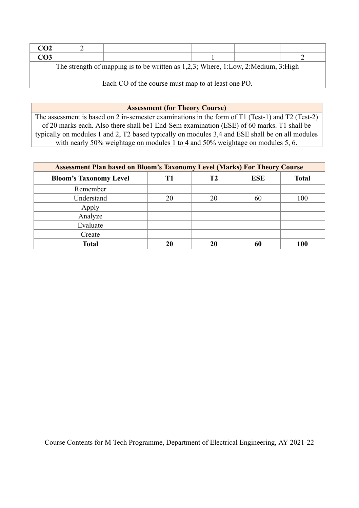| CO <sub>2</sub>                                                                   |  |  |  |  |  |  |  |
|-----------------------------------------------------------------------------------|--|--|--|--|--|--|--|
| CO <sub>3</sub>                                                                   |  |  |  |  |  |  |  |
| The strength of mapping is to be written as 1,2,3; Where, 1:Low, 2:Medium, 3:High |  |  |  |  |  |  |  |

Each CO of the course must map to at least one PO.

**Assessment (for Theory Course)**

The assessment is based on 2 in-semester examinations in the form of T1 (Test-1) and T2 (Test-2) of 20 marks each. Also there shall be1 End-Sem examination (ESE) of 60 marks. T1 shall be typically on modules 1 and 2, T2 based typically on modules 3,4 and ESE shall be on all modules with nearly 50% weightage on modules 1 to 4 and 50% weightage on modules 5, 6.

| <b>Assessment Plan based on Bloom's Taxonomy Level (Marks) For Theory Course</b> |    |                |            |              |  |  |
|----------------------------------------------------------------------------------|----|----------------|------------|--------------|--|--|
| <b>Bloom's Taxonomy Level</b>                                                    | T1 | T <sub>2</sub> | <b>ESE</b> | <b>Total</b> |  |  |
| Remember                                                                         |    |                |            |              |  |  |
| Understand                                                                       | 20 | 20             | 60         | 100          |  |  |
| Apply                                                                            |    |                |            |              |  |  |
| Analyze                                                                          |    |                |            |              |  |  |
| Evaluate                                                                         |    |                |            |              |  |  |
| Create                                                                           |    |                |            |              |  |  |
| <b>Total</b>                                                                     |    | 20             |            | 100          |  |  |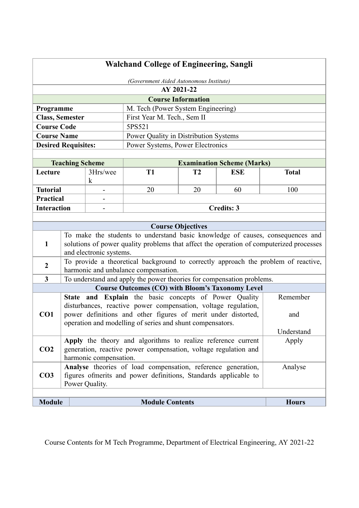| <b>Walchand College of Engineering, Sangli</b> |                                         |                                                                                                                                 |                                                                       |                           |                                                                                    |                                                                                                                                                                           |  |  |
|------------------------------------------------|-----------------------------------------|---------------------------------------------------------------------------------------------------------------------------------|-----------------------------------------------------------------------|---------------------------|------------------------------------------------------------------------------------|---------------------------------------------------------------------------------------------------------------------------------------------------------------------------|--|--|
|                                                | (Government Aided Autonomous Institute) |                                                                                                                                 |                                                                       |                           |                                                                                    |                                                                                                                                                                           |  |  |
|                                                |                                         |                                                                                                                                 |                                                                       | AY 2021-22                |                                                                                    |                                                                                                                                                                           |  |  |
|                                                |                                         |                                                                                                                                 |                                                                       | <b>Course Information</b> |                                                                                    |                                                                                                                                                                           |  |  |
| Programme                                      |                                         |                                                                                                                                 | M. Tech (Power System Engineering)                                    |                           |                                                                                    |                                                                                                                                                                           |  |  |
| <b>Class, Semester</b>                         |                                         |                                                                                                                                 | First Year M. Tech., Sem II                                           |                           |                                                                                    |                                                                                                                                                                           |  |  |
| <b>Course Code</b>                             |                                         |                                                                                                                                 | 5PS521                                                                |                           |                                                                                    |                                                                                                                                                                           |  |  |
| <b>Course Name</b>                             |                                         |                                                                                                                                 | Power Quality in Distribution Systems                                 |                           |                                                                                    |                                                                                                                                                                           |  |  |
| <b>Desired Requisites:</b>                     |                                         |                                                                                                                                 | Power Systems, Power Electronics                                      |                           |                                                                                    |                                                                                                                                                                           |  |  |
|                                                |                                         |                                                                                                                                 |                                                                       |                           |                                                                                    |                                                                                                                                                                           |  |  |
|                                                | <b>Teaching Scheme</b>                  |                                                                                                                                 |                                                                       |                           | <b>Examination Scheme (Marks)</b>                                                  |                                                                                                                                                                           |  |  |
| Lecture                                        |                                         | 3Hrs/wee                                                                                                                        | T <sub>1</sub>                                                        | T <sub>2</sub>            | <b>ESE</b>                                                                         | <b>Total</b>                                                                                                                                                              |  |  |
|                                                |                                         | k                                                                                                                               |                                                                       |                           |                                                                                    |                                                                                                                                                                           |  |  |
| <b>Tutorial</b>                                |                                         |                                                                                                                                 | 20                                                                    | 20                        | 60                                                                                 | 100                                                                                                                                                                       |  |  |
| <b>Practical</b>                               |                                         | $\overline{\phantom{0}}$                                                                                                        |                                                                       |                           |                                                                                    |                                                                                                                                                                           |  |  |
| <b>Interaction</b>                             |                                         |                                                                                                                                 |                                                                       |                           | <b>Credits: 3</b>                                                                  |                                                                                                                                                                           |  |  |
|                                                |                                         |                                                                                                                                 |                                                                       | <b>Course Objectives</b>  |                                                                                    |                                                                                                                                                                           |  |  |
| $\mathbf{1}$                                   |                                         |                                                                                                                                 |                                                                       |                           |                                                                                    | To make the students to understand basic knowledge of causes, consequences and<br>solutions of power quality problems that affect the operation of computerized processes |  |  |
|                                                | and electronic systems.                 |                                                                                                                                 |                                                                       |                           |                                                                                    |                                                                                                                                                                           |  |  |
| $\boldsymbol{2}$                               |                                         |                                                                                                                                 |                                                                       |                           | To provide a theoretical background to correctly approach the problem of reactive, |                                                                                                                                                                           |  |  |
|                                                |                                         |                                                                                                                                 | harmonic and unbalance compensation.                                  |                           |                                                                                    |                                                                                                                                                                           |  |  |
| $\mathbf{3}$                                   |                                         |                                                                                                                                 | To understand and apply the power theories for compensation problems. |                           |                                                                                    |                                                                                                                                                                           |  |  |
|                                                |                                         |                                                                                                                                 | <b>Course Outcomes (CO) with Bloom's Taxonomy Level</b>               |                           |                                                                                    |                                                                                                                                                                           |  |  |
|                                                |                                         |                                                                                                                                 | State and Explain the basic concepts of Power Quality                 |                           |                                                                                    | Remember                                                                                                                                                                  |  |  |
| CO <sub>1</sub>                                |                                         | disturbances, reactive power compensation, voltage regulation,<br>power definitions and other figures of merit under distorted, | and                                                                   |                           |                                                                                    |                                                                                                                                                                           |  |  |
|                                                |                                         |                                                                                                                                 | operation and modelling of series and shunt compensators.             |                           |                                                                                    |                                                                                                                                                                           |  |  |
|                                                |                                         |                                                                                                                                 |                                                                       |                           |                                                                                    | Understand                                                                                                                                                                |  |  |
|                                                |                                         |                                                                                                                                 | Apply the theory and algorithms to realize reference current          |                           |                                                                                    | Apply                                                                                                                                                                     |  |  |
| CO <sub>2</sub>                                |                                         | harmonic compensation.                                                                                                          | generation, reactive power compensation, voltage regulation and       |                           |                                                                                    |                                                                                                                                                                           |  |  |
|                                                |                                         |                                                                                                                                 | Analyse theories of load compensation, reference generation,          |                           |                                                                                    | Analyse                                                                                                                                                                   |  |  |
| CO <sub>3</sub>                                |                                         | Power Quality.                                                                                                                  | figures ofmerits and power definitions, Standards applicable to       |                           |                                                                                    |                                                                                                                                                                           |  |  |
|                                                |                                         |                                                                                                                                 |                                                                       |                           |                                                                                    |                                                                                                                                                                           |  |  |
| <b>Module</b>                                  |                                         |                                                                                                                                 | <b>Module Contents</b>                                                |                           |                                                                                    | <b>Hours</b>                                                                                                                                                              |  |  |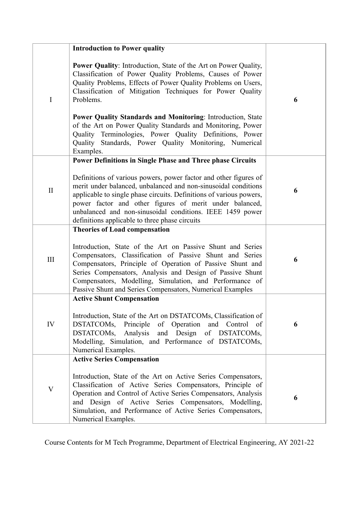|              | <b>Introduction to Power quality</b>                                                                                                                                                                                                                                                                                                                                                |   |
|--------------|-------------------------------------------------------------------------------------------------------------------------------------------------------------------------------------------------------------------------------------------------------------------------------------------------------------------------------------------------------------------------------------|---|
| I            | <b>Power Quality:</b> Introduction, State of the Art on Power Quality,<br>Classification of Power Quality Problems, Causes of Power<br>Quality Problems, Effects of Power Quality Problems on Users,<br>Classification of Mitigation Techniques for Power Quality<br>Problems.                                                                                                      | 6 |
|              | Power Quality Standards and Monitoring: Introduction, State<br>of the Art on Power Quality Standards and Monitoring, Power<br>Quality Terminologies, Power Quality Definitions, Power<br>Quality Standards, Power Quality Monitoring, Numerical<br>Examples.                                                                                                                        |   |
|              | <b>Power Definitions in Single Phase and Three phase Circuits</b>                                                                                                                                                                                                                                                                                                                   |   |
| $\mathbf{I}$ | Definitions of various powers, power factor and other figures of<br>merit under balanced, unbalanced and non-sinusoidal conditions<br>applicable to single phase circuits. Definitions of various powers,<br>power factor and other figures of merit under balanced,<br>unbalanced and non-sinusoidal conditions. IEEE 1459 power<br>definitions applicable to three phase circuits | 6 |
|              | <b>Theories of Load compensation</b>                                                                                                                                                                                                                                                                                                                                                |   |
| III          | Introduction, State of the Art on Passive Shunt and Series<br>Compensators, Classification of Passive Shunt and Series<br>Compensators, Principle of Operation of Passive Shunt and<br>Series Compensators, Analysis and Design of Passive Shunt<br>Compensators, Modelling, Simulation, and Performance of<br>Passive Shunt and Series Compensators, Numerical Examples            | 6 |
|              | <b>Active Shunt Compensation</b>                                                                                                                                                                                                                                                                                                                                                    |   |
| IV           | Introduction, State of the Art on DSTATCOMs, Classification of<br>of Operation and Control<br>DSTATCOMs,<br>Principle<br>of<br>and Design of DSTATCOMs,<br>DSTATCOMs,<br>Analysis<br>Modelling, Simulation, and Performance of DSTATCOMs,<br>Numerical Examples.                                                                                                                    | 6 |
|              | <b>Active Series Compensation</b>                                                                                                                                                                                                                                                                                                                                                   |   |
| V            | Introduction, State of the Art on Active Series Compensators,<br>Classification of Active Series Compensators, Principle of<br>Operation and Control of Active Series Compensators, Analysis<br>and Design of Active Series Compensators, Modelling,<br>Simulation, and Performance of Active Series Compensators,<br>Numerical Examples.                                           | 6 |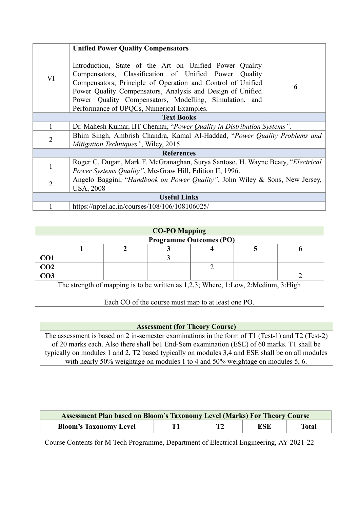|                     | <b>Unified Power Quality Compensators</b>                                                                                                                                                                                                                                                                                                            |   |  |  |  |  |
|---------------------|------------------------------------------------------------------------------------------------------------------------------------------------------------------------------------------------------------------------------------------------------------------------------------------------------------------------------------------------------|---|--|--|--|--|
| VI                  | Introduction, State of the Art on Unified Power Quality<br>Compensators, Classification of Unified Power Quality<br>Compensators, Principle of Operation and Control of Unified<br>Power Quality Compensators, Analysis and Design of Unified<br>Power Quality Compensators, Modelling, Simulation, and<br>Performance of UPQCs, Numerical Examples. | 6 |  |  |  |  |
| <b>Text Books</b>   |                                                                                                                                                                                                                                                                                                                                                      |   |  |  |  |  |
| $\mathbf{1}$        | Dr. Mahesh Kumar, IIT Chennai, "Power Quality in Distribution Systems".                                                                                                                                                                                                                                                                              |   |  |  |  |  |
| $\overline{2}$      | Bhim Singh, Ambrish Chandra, Kamal Al-Haddad, "Power Quality Problems and<br><i>Mitigation Techniques</i> ", Wiley, 2015.                                                                                                                                                                                                                            |   |  |  |  |  |
|                     | <b>References</b>                                                                                                                                                                                                                                                                                                                                    |   |  |  |  |  |
| $\mathbf{1}$        | Roger C. Dugan, Mark F. McGranaghan, Surya Santoso, H. Wayne Beaty, "Electrical<br>Power Systems Quality", Mc-Graw Hill, Edition II, 1996.                                                                                                                                                                                                           |   |  |  |  |  |
| $\overline{2}$      | Angelo Baggini, "Handbook on Power Quality", John Wiley & Sons, New Jersey,<br><b>USA, 2008</b>                                                                                                                                                                                                                                                      |   |  |  |  |  |
| <b>Useful Links</b> |                                                                                                                                                                                                                                                                                                                                                      |   |  |  |  |  |
|                     | https://nptel.ac.in/courses/108/106/108106025/                                                                                                                                                                                                                                                                                                       |   |  |  |  |  |

| <b>CO-PO Mapping</b>                                                              |                                |  |  |  |  |  |  |  |
|-----------------------------------------------------------------------------------|--------------------------------|--|--|--|--|--|--|--|
|                                                                                   | <b>Programme Outcomes (PO)</b> |  |  |  |  |  |  |  |
|                                                                                   |                                |  |  |  |  |  |  |  |
| CO1                                                                               |                                |  |  |  |  |  |  |  |
| CO <sub>2</sub>                                                                   |                                |  |  |  |  |  |  |  |
| CO <sub>3</sub>                                                                   |                                |  |  |  |  |  |  |  |
| The strength of mapping is to be written as 1,2,3; Where, 1:Low, 2:Medium, 3:High |                                |  |  |  |  |  |  |  |

Each CO of the course must map to at least one PO.

**Assessment (for Theory Course)**

The assessment is based on 2 in-semester examinations in the form of T1 (Test-1) and T2 (Test-2) of 20 marks each. Also there shall be1 End-Sem examination (ESE) of 60 marks. T1 shall be typically on modules 1 and 2, T2 based typically on modules 3,4 and ESE shall be on all modules with nearly 50% weightage on modules 1 to 4 and 50% weightage on modules 5, 6.

| <b>Assessment Plan based on Bloom's Taxonomy Level (Marks) For Theory Course</b> |  |  |     |       |  |  |
|----------------------------------------------------------------------------------|--|--|-----|-------|--|--|
| <b>Bloom's Taxonomy Level</b>                                                    |  |  | ESE | Total |  |  |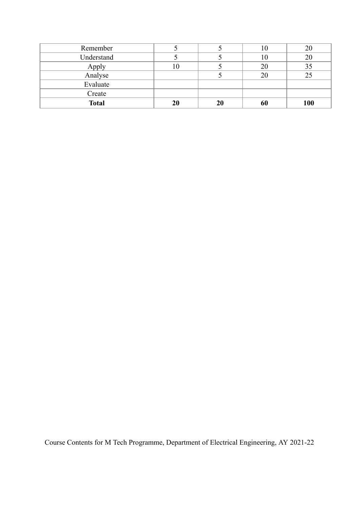| Remember     |    |    |            |
|--------------|----|----|------------|
| Understand   |    |    | 20         |
| Apply        |    |    |            |
| Analyse      |    |    |            |
| Evaluate     |    |    |            |
| Create       |    |    |            |
| <b>Total</b> | 20 | 20 | <b>100</b> |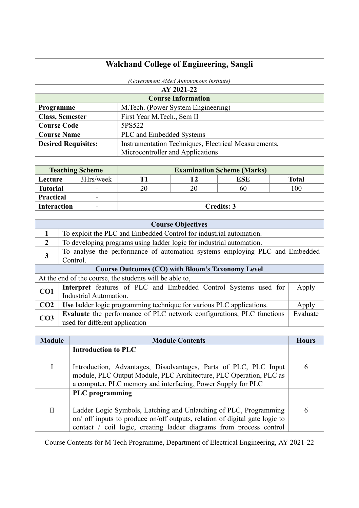| <b>Walchand College of Engineering, Sangli</b> |          |                                |                                                                                                                                                                                                                         |                           |                                                      |  |              |
|------------------------------------------------|----------|--------------------------------|-------------------------------------------------------------------------------------------------------------------------------------------------------------------------------------------------------------------------|---------------------------|------------------------------------------------------|--|--------------|
| (Government Aided Autonomous Institute)        |          |                                |                                                                                                                                                                                                                         |                           |                                                      |  |              |
|                                                |          |                                |                                                                                                                                                                                                                         | AY 2021-22                |                                                      |  |              |
|                                                |          |                                |                                                                                                                                                                                                                         | <b>Course Information</b> |                                                      |  |              |
| Programme                                      |          |                                | M.Tech. (Power System Engineering)                                                                                                                                                                                      |                           |                                                      |  |              |
| <b>Class, Semester</b>                         |          |                                | First Year M.Tech., Sem II                                                                                                                                                                                              |                           |                                                      |  |              |
| <b>Course Code</b>                             |          |                                | 5PS522                                                                                                                                                                                                                  |                           |                                                      |  |              |
| <b>Course Name</b>                             |          |                                | PLC and Embedded Systems                                                                                                                                                                                                |                           |                                                      |  |              |
|                                                |          | <b>Desired Requisites:</b>     |                                                                                                                                                                                                                         |                           | Instrumentation Techniques, Electrical Measurements, |  |              |
|                                                |          |                                | Microcontroller and Applications                                                                                                                                                                                        |                           |                                                      |  |              |
|                                                |          | <b>Teaching Scheme</b>         |                                                                                                                                                                                                                         |                           | <b>Examination Scheme (Marks)</b>                    |  |              |
| Lecture                                        |          | 3Hrs/week                      | T <sub>1</sub>                                                                                                                                                                                                          | <b>T2</b>                 | <b>ESE</b>                                           |  | <b>Total</b> |
| <b>Tutorial</b>                                |          |                                | 20                                                                                                                                                                                                                      | 20                        | 60                                                   |  | 100          |
| <b>Practical</b>                               |          |                                |                                                                                                                                                                                                                         |                           |                                                      |  |              |
| <b>Interaction</b>                             |          |                                |                                                                                                                                                                                                                         |                           | <b>Credits: 3</b>                                    |  |              |
|                                                |          |                                |                                                                                                                                                                                                                         |                           |                                                      |  |              |
|                                                |          |                                |                                                                                                                                                                                                                         | <b>Course Objectives</b>  |                                                      |  |              |
| 1                                              |          |                                | To exploit the PLC and Embedded Control for industrial automation.                                                                                                                                                      |                           |                                                      |  |              |
| $\overline{2}$                                 |          |                                | To developing programs using ladder logic for industrial automation.                                                                                                                                                    |                           |                                                      |  |              |
| $\mathbf{3}$                                   | Control. |                                | To analyse the performance of automation systems employing PLC and Embedded                                                                                                                                             |                           |                                                      |  |              |
|                                                |          |                                | <b>Course Outcomes (CO) with Bloom's Taxonomy Level</b>                                                                                                                                                                 |                           |                                                      |  |              |
|                                                |          |                                | At the end of the course, the students will be able to,                                                                                                                                                                 |                           |                                                      |  |              |
| CO1                                            |          | Industrial Automation.         | Interpret features of PLC and Embedded Control Systems used for                                                                                                                                                         |                           |                                                      |  | Apply        |
| CO <sub>2</sub>                                |          |                                | Use ladder logic programming technique for various PLC applications.                                                                                                                                                    |                           |                                                      |  | Apply        |
| CO <sub>3</sub>                                |          | used for different application | Evaluate the performance of PLC network configurations, PLC functions                                                                                                                                                   |                           |                                                      |  | Evaluate     |
|                                                |          |                                |                                                                                                                                                                                                                         |                           |                                                      |  |              |
| <b>Module</b>                                  |          |                                |                                                                                                                                                                                                                         | <b>Module Contents</b>    |                                                      |  | <b>Hours</b> |
|                                                |          | <b>Introduction to PLC</b>     |                                                                                                                                                                                                                         |                           |                                                      |  |              |
| $\mathbf I$                                    |          |                                | Introduction, Advantages, Disadvantages, Parts of PLC, PLC Input<br>module, PLC Output Module, PLC Architecture, PLC Operation, PLC as<br>a computer, PLC memory and interfacing, Power Supply for PLC                  |                           |                                                      |  | 6            |
|                                                |          | <b>PLC</b> programming         |                                                                                                                                                                                                                         |                           |                                                      |  |              |
| $\mathbf{I}$                                   |          |                                | Ladder Logic Symbols, Latching and Unlatching of PLC, Programming<br>on/ off inputs to produce on/off outputs, relation of digital gate logic to<br>contact / coil logic, creating ladder diagrams from process control |                           |                                                      |  | 6            |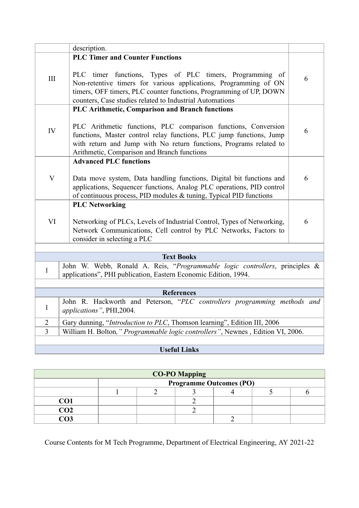|                                                                                                                                                                                     | description.                                                                                                                                                                                                                                                   |   |  |  |  |
|-------------------------------------------------------------------------------------------------------------------------------------------------------------------------------------|----------------------------------------------------------------------------------------------------------------------------------------------------------------------------------------------------------------------------------------------------------------|---|--|--|--|
|                                                                                                                                                                                     | <b>PLC Timer and Counter Functions</b>                                                                                                                                                                                                                         |   |  |  |  |
| $\rm III$                                                                                                                                                                           | PLC timer functions, Types of PLC timers, Programming of<br>Non-retentive timers for various applications, Programming of ON<br>timers, OFF timers, PLC counter functions, Programming of UP, DOWN<br>counters, Case studies related to Industrial Automations |   |  |  |  |
|                                                                                                                                                                                     | PLC Arithmetic, Comparison and Branch functions                                                                                                                                                                                                                |   |  |  |  |
| IV                                                                                                                                                                                  | PLC Arithmetic functions, PLC comparison functions, Conversion<br>functions, Master control relay functions, PLC jump functions, Jump<br>with return and Jump with No return functions, Programs related to<br>Arithmetic, Comparison and Branch functions     | 6 |  |  |  |
|                                                                                                                                                                                     | <b>Advanced PLC functions</b>                                                                                                                                                                                                                                  |   |  |  |  |
| $\boldsymbol{\mathrm{V}}$                                                                                                                                                           | Data move system, Data handling functions, Digital bit functions and<br>applications, Sequencer functions, Analog PLC operations, PID control<br>of continuous process, PID modules & tuning, Typical PID functions                                            | 6 |  |  |  |
|                                                                                                                                                                                     | <b>PLC Networking</b>                                                                                                                                                                                                                                          |   |  |  |  |
| VI                                                                                                                                                                                  | Networking of PLCs, Levels of Industrial Control, Types of Networking,<br>Network Communications, Cell control by PLC Networks, Factors to<br>consider in selecting a PLC                                                                                      | 6 |  |  |  |
|                                                                                                                                                                                     |                                                                                                                                                                                                                                                                |   |  |  |  |
| <b>Text Books</b><br>John W. Webb, Ronald A. Reis, "Programmable logic controllers, principles &<br>$\mathbf{1}$<br>applications", PHI publication, Eastern Economic Edition, 1994. |                                                                                                                                                                                                                                                                |   |  |  |  |
|                                                                                                                                                                                     | <b>References</b>                                                                                                                                                                                                                                              |   |  |  |  |
| $\mathbf{1}$                                                                                                                                                                        | John R. Hackworth and Peterson, "PLC controllers programming methods and<br>applications", PHI,2004.                                                                                                                                                           |   |  |  |  |
| $\overline{2}$                                                                                                                                                                      | Gary dunning, "Introduction to PLC, Thomson learning", Edition III, 2006                                                                                                                                                                                       |   |  |  |  |
| 3                                                                                                                                                                                   | William H. Bolton," Programmable logic controllers", Newnes, Edition VI, 2006.                                                                                                                                                                                 |   |  |  |  |
|                                                                                                                                                                                     | <b>Useful Links</b>                                                                                                                                                                                                                                            |   |  |  |  |
|                                                                                                                                                                                     |                                                                                                                                                                                                                                                                |   |  |  |  |

| <b>CO-PO Mapping</b> |                                |  |  |  |  |  |  |
|----------------------|--------------------------------|--|--|--|--|--|--|
|                      | <b>Programme Outcomes (PO)</b> |  |  |  |  |  |  |
|                      |                                |  |  |  |  |  |  |
| CO1                  |                                |  |  |  |  |  |  |
| CO2                  |                                |  |  |  |  |  |  |
|                      |                                |  |  |  |  |  |  |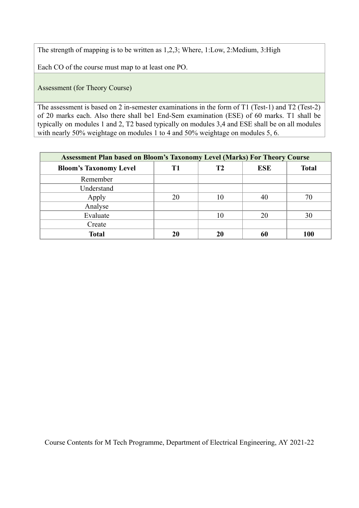The strength of mapping is to be written as 1,2,3; Where, 1:Low, 2:Medium, 3:High

Each CO of the course must map to at least one PO.

Assessment (for Theory Course)

The assessment is based on 2 in-semester examinations in the form of T1 (Test-1) and T2 (Test-2) of 20 marks each. Also there shall be1 End-Sem examination (ESE) of 60 marks. T1 shall be typically on modules 1 and 2, T2 based typically on modules 3,4 and ESE shall be on all modules with nearly 50% weightage on modules 1 to 4 and 50% weightage on modules 5, 6.

| <b>Assessment Plan based on Bloom's Taxonomy Level (Marks) For Theory Course</b> |    |    |            |              |  |  |  |
|----------------------------------------------------------------------------------|----|----|------------|--------------|--|--|--|
| <b>Bloom's Taxonomy Level</b>                                                    |    | Т2 | <b>ESE</b> | <b>Total</b> |  |  |  |
| Remember                                                                         |    |    |            |              |  |  |  |
| Understand                                                                       |    |    |            |              |  |  |  |
| Apply                                                                            | 20 | 10 | 40         |              |  |  |  |
| Analyse                                                                          |    |    |            |              |  |  |  |
| Evaluate                                                                         |    | 10 | 20         | 30           |  |  |  |
| Create                                                                           |    |    |            |              |  |  |  |
| <b>Total</b>                                                                     | 20 | 20 | 60         | 100          |  |  |  |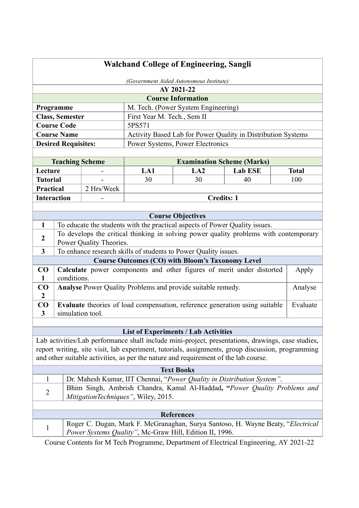| (Government Aided Autonomous Institute)<br>AY 2021-22<br><b>Course Information</b><br>M. Tech. (Power System Engineering)<br>Programme<br>First Year M. Tech., Sem II<br><b>Class, Semester</b><br><b>Course Code</b><br>5PS571<br>Activity Based Lab for Power Quality in Distribution Systems<br><b>Course Name</b><br>Power Systems, Power Electronics<br><b>Desired Requisites:</b><br><b>Examination Scheme (Marks)</b><br><b>Teaching Scheme</b><br>Lecture<br>LA1<br>LA2<br><b>Lab ESE</b><br><b>Total</b><br><b>Tutorial</b><br>30<br>30<br>40<br>100<br>2 Hrs/Week<br><b>Practical</b><br><b>Credits: 1</b><br><b>Interaction</b><br><b>Course Objectives</b><br>To educate the students with the practical aspects of Power Quality issues.<br>1<br>To develops the critical thinking in solving power quality problems with contemporary<br>$\boldsymbol{2}$<br>Power Quality Theories.<br>$\overline{3}$<br>To enhance research skills of students to Power Quality issues.<br><b>Course Outcomes (CO) with Bloom's Taxonomy Level</b><br>Calculate power components and other figures of merit under distorted<br>CO<br>Apply<br>conditions.<br>1<br>Analyse Power Quality Problems and provide suitable remedy.<br>$\bf CO$<br>$\overline{2}$<br>CO<br><b>Evaluate</b> theories of load compensation, reference generation using suitable<br>simulation tool.<br>3<br><b>List of Experiments / Lab Activities</b><br>Lab activities/Lab performance shall include mini-project, presentations, drawings, case studies,<br>report writing, site visit, lab experiment, tutorials, assignments, group discussion, programming | <b>Walchand College of Engineering, Sangli</b> |          |  |  |  |  |         |
|-------------------------------------------------------------------------------------------------------------------------------------------------------------------------------------------------------------------------------------------------------------------------------------------------------------------------------------------------------------------------------------------------------------------------------------------------------------------------------------------------------------------------------------------------------------------------------------------------------------------------------------------------------------------------------------------------------------------------------------------------------------------------------------------------------------------------------------------------------------------------------------------------------------------------------------------------------------------------------------------------------------------------------------------------------------------------------------------------------------------------------------------------------------------------------------------------------------------------------------------------------------------------------------------------------------------------------------------------------------------------------------------------------------------------------------------------------------------------------------------------------------------------------------------------------------------------------------------------------------------------------------------|------------------------------------------------|----------|--|--|--|--|---------|
|                                                                                                                                                                                                                                                                                                                                                                                                                                                                                                                                                                                                                                                                                                                                                                                                                                                                                                                                                                                                                                                                                                                                                                                                                                                                                                                                                                                                                                                                                                                                                                                                                                           |                                                |          |  |  |  |  |         |
|                                                                                                                                                                                                                                                                                                                                                                                                                                                                                                                                                                                                                                                                                                                                                                                                                                                                                                                                                                                                                                                                                                                                                                                                                                                                                                                                                                                                                                                                                                                                                                                                                                           |                                                |          |  |  |  |  |         |
|                                                                                                                                                                                                                                                                                                                                                                                                                                                                                                                                                                                                                                                                                                                                                                                                                                                                                                                                                                                                                                                                                                                                                                                                                                                                                                                                                                                                                                                                                                                                                                                                                                           |                                                |          |  |  |  |  |         |
|                                                                                                                                                                                                                                                                                                                                                                                                                                                                                                                                                                                                                                                                                                                                                                                                                                                                                                                                                                                                                                                                                                                                                                                                                                                                                                                                                                                                                                                                                                                                                                                                                                           |                                                |          |  |  |  |  |         |
|                                                                                                                                                                                                                                                                                                                                                                                                                                                                                                                                                                                                                                                                                                                                                                                                                                                                                                                                                                                                                                                                                                                                                                                                                                                                                                                                                                                                                                                                                                                                                                                                                                           |                                                |          |  |  |  |  |         |
|                                                                                                                                                                                                                                                                                                                                                                                                                                                                                                                                                                                                                                                                                                                                                                                                                                                                                                                                                                                                                                                                                                                                                                                                                                                                                                                                                                                                                                                                                                                                                                                                                                           |                                                |          |  |  |  |  |         |
|                                                                                                                                                                                                                                                                                                                                                                                                                                                                                                                                                                                                                                                                                                                                                                                                                                                                                                                                                                                                                                                                                                                                                                                                                                                                                                                                                                                                                                                                                                                                                                                                                                           |                                                |          |  |  |  |  |         |
|                                                                                                                                                                                                                                                                                                                                                                                                                                                                                                                                                                                                                                                                                                                                                                                                                                                                                                                                                                                                                                                                                                                                                                                                                                                                                                                                                                                                                                                                                                                                                                                                                                           |                                                |          |  |  |  |  |         |
|                                                                                                                                                                                                                                                                                                                                                                                                                                                                                                                                                                                                                                                                                                                                                                                                                                                                                                                                                                                                                                                                                                                                                                                                                                                                                                                                                                                                                                                                                                                                                                                                                                           |                                                |          |  |  |  |  |         |
|                                                                                                                                                                                                                                                                                                                                                                                                                                                                                                                                                                                                                                                                                                                                                                                                                                                                                                                                                                                                                                                                                                                                                                                                                                                                                                                                                                                                                                                                                                                                                                                                                                           |                                                |          |  |  |  |  |         |
|                                                                                                                                                                                                                                                                                                                                                                                                                                                                                                                                                                                                                                                                                                                                                                                                                                                                                                                                                                                                                                                                                                                                                                                                                                                                                                                                                                                                                                                                                                                                                                                                                                           |                                                |          |  |  |  |  |         |
|                                                                                                                                                                                                                                                                                                                                                                                                                                                                                                                                                                                                                                                                                                                                                                                                                                                                                                                                                                                                                                                                                                                                                                                                                                                                                                                                                                                                                                                                                                                                                                                                                                           |                                                |          |  |  |  |  |         |
|                                                                                                                                                                                                                                                                                                                                                                                                                                                                                                                                                                                                                                                                                                                                                                                                                                                                                                                                                                                                                                                                                                                                                                                                                                                                                                                                                                                                                                                                                                                                                                                                                                           |                                                |          |  |  |  |  |         |
|                                                                                                                                                                                                                                                                                                                                                                                                                                                                                                                                                                                                                                                                                                                                                                                                                                                                                                                                                                                                                                                                                                                                                                                                                                                                                                                                                                                                                                                                                                                                                                                                                                           |                                                |          |  |  |  |  |         |
|                                                                                                                                                                                                                                                                                                                                                                                                                                                                                                                                                                                                                                                                                                                                                                                                                                                                                                                                                                                                                                                                                                                                                                                                                                                                                                                                                                                                                                                                                                                                                                                                                                           |                                                |          |  |  |  |  |         |
|                                                                                                                                                                                                                                                                                                                                                                                                                                                                                                                                                                                                                                                                                                                                                                                                                                                                                                                                                                                                                                                                                                                                                                                                                                                                                                                                                                                                                                                                                                                                                                                                                                           |                                                |          |  |  |  |  |         |
|                                                                                                                                                                                                                                                                                                                                                                                                                                                                                                                                                                                                                                                                                                                                                                                                                                                                                                                                                                                                                                                                                                                                                                                                                                                                                                                                                                                                                                                                                                                                                                                                                                           |                                                |          |  |  |  |  |         |
|                                                                                                                                                                                                                                                                                                                                                                                                                                                                                                                                                                                                                                                                                                                                                                                                                                                                                                                                                                                                                                                                                                                                                                                                                                                                                                                                                                                                                                                                                                                                                                                                                                           |                                                |          |  |  |  |  |         |
|                                                                                                                                                                                                                                                                                                                                                                                                                                                                                                                                                                                                                                                                                                                                                                                                                                                                                                                                                                                                                                                                                                                                                                                                                                                                                                                                                                                                                                                                                                                                                                                                                                           |                                                |          |  |  |  |  |         |
|                                                                                                                                                                                                                                                                                                                                                                                                                                                                                                                                                                                                                                                                                                                                                                                                                                                                                                                                                                                                                                                                                                                                                                                                                                                                                                                                                                                                                                                                                                                                                                                                                                           |                                                |          |  |  |  |  |         |
|                                                                                                                                                                                                                                                                                                                                                                                                                                                                                                                                                                                                                                                                                                                                                                                                                                                                                                                                                                                                                                                                                                                                                                                                                                                                                                                                                                                                                                                                                                                                                                                                                                           |                                                |          |  |  |  |  |         |
|                                                                                                                                                                                                                                                                                                                                                                                                                                                                                                                                                                                                                                                                                                                                                                                                                                                                                                                                                                                                                                                                                                                                                                                                                                                                                                                                                                                                                                                                                                                                                                                                                                           |                                                |          |  |  |  |  |         |
|                                                                                                                                                                                                                                                                                                                                                                                                                                                                                                                                                                                                                                                                                                                                                                                                                                                                                                                                                                                                                                                                                                                                                                                                                                                                                                                                                                                                                                                                                                                                                                                                                                           |                                                |          |  |  |  |  | Analyse |
|                                                                                                                                                                                                                                                                                                                                                                                                                                                                                                                                                                                                                                                                                                                                                                                                                                                                                                                                                                                                                                                                                                                                                                                                                                                                                                                                                                                                                                                                                                                                                                                                                                           |                                                |          |  |  |  |  |         |
|                                                                                                                                                                                                                                                                                                                                                                                                                                                                                                                                                                                                                                                                                                                                                                                                                                                                                                                                                                                                                                                                                                                                                                                                                                                                                                                                                                                                                                                                                                                                                                                                                                           |                                                | Evaluate |  |  |  |  |         |
|                                                                                                                                                                                                                                                                                                                                                                                                                                                                                                                                                                                                                                                                                                                                                                                                                                                                                                                                                                                                                                                                                                                                                                                                                                                                                                                                                                                                                                                                                                                                                                                                                                           |                                                |          |  |  |  |  |         |
|                                                                                                                                                                                                                                                                                                                                                                                                                                                                                                                                                                                                                                                                                                                                                                                                                                                                                                                                                                                                                                                                                                                                                                                                                                                                                                                                                                                                                                                                                                                                                                                                                                           |                                                |          |  |  |  |  |         |
|                                                                                                                                                                                                                                                                                                                                                                                                                                                                                                                                                                                                                                                                                                                                                                                                                                                                                                                                                                                                                                                                                                                                                                                                                                                                                                                                                                                                                                                                                                                                                                                                                                           |                                                |          |  |  |  |  |         |
|                                                                                                                                                                                                                                                                                                                                                                                                                                                                                                                                                                                                                                                                                                                                                                                                                                                                                                                                                                                                                                                                                                                                                                                                                                                                                                                                                                                                                                                                                                                                                                                                                                           |                                                |          |  |  |  |  |         |
| and other suitable activities, as per the nature and requirement of the lab course.                                                                                                                                                                                                                                                                                                                                                                                                                                                                                                                                                                                                                                                                                                                                                                                                                                                                                                                                                                                                                                                                                                                                                                                                                                                                                                                                                                                                                                                                                                                                                       |                                                |          |  |  |  |  |         |
| <b>Text Books</b>                                                                                                                                                                                                                                                                                                                                                                                                                                                                                                                                                                                                                                                                                                                                                                                                                                                                                                                                                                                                                                                                                                                                                                                                                                                                                                                                                                                                                                                                                                                                                                                                                         |                                                |          |  |  |  |  |         |
| $\mathbf{1}$<br>Dr. Mahesh Kumar, IIT Chennai, "Power Quality in Distribution System".                                                                                                                                                                                                                                                                                                                                                                                                                                                                                                                                                                                                                                                                                                                                                                                                                                                                                                                                                                                                                                                                                                                                                                                                                                                                                                                                                                                                                                                                                                                                                    |                                                |          |  |  |  |  |         |
| Bhim Singh, Ambrish Chandra, Kamal Al-Haddad, "Power Quality Problems and                                                                                                                                                                                                                                                                                                                                                                                                                                                                                                                                                                                                                                                                                                                                                                                                                                                                                                                                                                                                                                                                                                                                                                                                                                                                                                                                                                                                                                                                                                                                                                 |                                                |          |  |  |  |  |         |
| $\overline{2}$<br>MitigationTechniques", Wiley, 2015.                                                                                                                                                                                                                                                                                                                                                                                                                                                                                                                                                                                                                                                                                                                                                                                                                                                                                                                                                                                                                                                                                                                                                                                                                                                                                                                                                                                                                                                                                                                                                                                     |                                                |          |  |  |  |  |         |
|                                                                                                                                                                                                                                                                                                                                                                                                                                                                                                                                                                                                                                                                                                                                                                                                                                                                                                                                                                                                                                                                                                                                                                                                                                                                                                                                                                                                                                                                                                                                                                                                                                           |                                                |          |  |  |  |  |         |
| <b>References</b>                                                                                                                                                                                                                                                                                                                                                                                                                                                                                                                                                                                                                                                                                                                                                                                                                                                                                                                                                                                                                                                                                                                                                                                                                                                                                                                                                                                                                                                                                                                                                                                                                         |                                                |          |  |  |  |  |         |
| Roger C. Dugan, Mark F. McGranaghan, Surya Santoso, H. Wayne Beaty, "Electrical<br>1<br>Power Systems Quality", Mc-Graw Hill, Edition II, 1996.                                                                                                                                                                                                                                                                                                                                                                                                                                                                                                                                                                                                                                                                                                                                                                                                                                                                                                                                                                                                                                                                                                                                                                                                                                                                                                                                                                                                                                                                                           |                                                |          |  |  |  |  |         |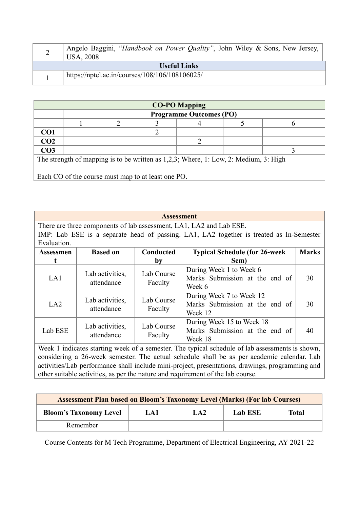|                     | Angelo Baggini, "Handbook on Power Quality", John Wiley & Sons, New Jersey,<br>USA, 2008 |  |  |  |  |  |
|---------------------|------------------------------------------------------------------------------------------|--|--|--|--|--|
| <b>Useful Links</b> |                                                                                          |  |  |  |  |  |
|                     | https://nptel.ac.in/courses/108/106/108106025/                                           |  |  |  |  |  |

| <b>CO-PO Mapping</b>                                                                    |                                |  |  |  |  |  |  |  |  |
|-----------------------------------------------------------------------------------------|--------------------------------|--|--|--|--|--|--|--|--|
|                                                                                         | <b>Programme Outcomes (PO)</b> |  |  |  |  |  |  |  |  |
|                                                                                         |                                |  |  |  |  |  |  |  |  |
| CO <sub>1</sub>                                                                         |                                |  |  |  |  |  |  |  |  |
| CO <sub>2</sub>                                                                         |                                |  |  |  |  |  |  |  |  |
| CO <sub>3</sub>                                                                         |                                |  |  |  |  |  |  |  |  |
| The strength of mapping is to be written as $1,2,3$ ; Where, 1: Low, 2: Medium, 3: High |                                |  |  |  |  |  |  |  |  |
|                                                                                         |                                |  |  |  |  |  |  |  |  |
| Each CO of the course must map to at least one PO.                                      |                                |  |  |  |  |  |  |  |  |

| <b>Assessment</b>                                                                                                                                                                             |                 |                  |                                                                                         |              |  |  |
|-----------------------------------------------------------------------------------------------------------------------------------------------------------------------------------------------|-----------------|------------------|-----------------------------------------------------------------------------------------|--------------|--|--|
|                                                                                                                                                                                               |                 |                  | There are three components of lab assessment, LA1, LA2 and Lab ESE.                     |              |  |  |
|                                                                                                                                                                                               |                 |                  | IMP: Lab ESE is a separate head of passing. LA1, LA2 together is treated as In-Semester |              |  |  |
| Evaluation.                                                                                                                                                                                   |                 |                  |                                                                                         |              |  |  |
| Assessmen                                                                                                                                                                                     | <b>Based on</b> | <b>Conducted</b> | <b>Typical Schedule (for 26-week)</b>                                                   | <b>Marks</b> |  |  |
|                                                                                                                                                                                               |                 | by               | Sem)                                                                                    |              |  |  |
| During Week 1 to Week 6<br>Lab Course<br>Lab activities,<br>Marks Submission at the end of<br>LA1<br>30<br>attendance<br>Faculty<br>Week 6                                                    |                 |                  |                                                                                         |              |  |  |
| During Week 7 to Week 12<br>Lab Course<br>Lab activities,<br>Marks Submission at the end of<br>LA2<br>30<br>attendance<br>Faculty<br>Week 12                                                  |                 |                  |                                                                                         |              |  |  |
| During Week 15 to Week 18<br>Lab Course<br>Lab activities,<br>Marks Submission at the end of<br>Lab ESE<br>40<br>attendance<br>Faculty<br>Week 18                                             |                 |                  |                                                                                         |              |  |  |
| Week 1 indicates starting week of a semester. The typical schedule of lab assessments is shown,<br>considering a 26-week semester. The actual schedule shall be as per academic calendar. Lab |                 |                  |                                                                                         |              |  |  |

activities/Lab performance shall include mini-project, presentations, drawings, programming and other suitable activities, as per the nature and requirement of the lab course.

| <b>Assessment Plan based on Bloom's Taxonomy Level (Marks) (For lab Courses)</b> |     |     |         |       |  |  |  |  |
|----------------------------------------------------------------------------------|-----|-----|---------|-------|--|--|--|--|
| <b>Bloom's Taxonomy Level</b>                                                    | LA1 | LA2 | Lab ESE | Total |  |  |  |  |
| Remember                                                                         |     |     |         |       |  |  |  |  |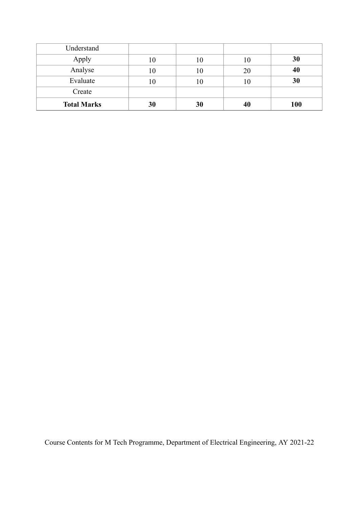| Understand         |    |    |    |     |
|--------------------|----|----|----|-----|
| Apply              | 10 | 10 | 10 | 30  |
| Analyse            | 10 | 10 | 20 | 40  |
| Evaluate           | 10 | 10 |    | 30  |
| Create             |    |    |    |     |
| <b>Total Marks</b> | 30 | 30 | 40 | 100 |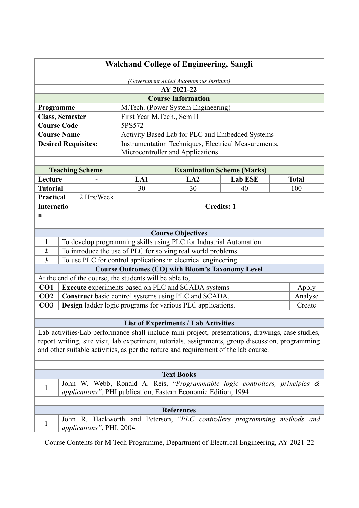| <b>Walchand College of Engineering, Sangli</b>                                                                     |                                                                             |                            |                                                              |                                                                          |                |              |  |  |
|--------------------------------------------------------------------------------------------------------------------|-----------------------------------------------------------------------------|----------------------------|--------------------------------------------------------------|--------------------------------------------------------------------------|----------------|--------------|--|--|
| (Government Aided Autonomous Institute)                                                                            |                                                                             |                            |                                                              |                                                                          |                |              |  |  |
|                                                                                                                    |                                                                             |                            |                                                              | AY 2021-22                                                               |                |              |  |  |
|                                                                                                                    |                                                                             |                            |                                                              | <b>Course Information</b>                                                |                |              |  |  |
| Programme                                                                                                          |                                                                             |                            |                                                              | M.Tech. (Power System Engineering)                                       |                |              |  |  |
| <b>Class, Semester</b>                                                                                             |                                                                             |                            | First Year M.Tech., Sem II                                   |                                                                          |                |              |  |  |
| <b>Course Code</b>                                                                                                 |                                                                             |                            | 5PS572                                                       |                                                                          |                |              |  |  |
| <b>Course Name</b>                                                                                                 |                                                                             |                            |                                                              | Activity Based Lab for PLC and Embedded Systems                          |                |              |  |  |
|                                                                                                                    |                                                                             | <b>Desired Requisites:</b> |                                                              | Instrumentation Techniques, Electrical Measurements,                     |                |              |  |  |
|                                                                                                                    |                                                                             |                            |                                                              | Microcontroller and Applications                                         |                |              |  |  |
|                                                                                                                    |                                                                             |                            |                                                              |                                                                          |                |              |  |  |
|                                                                                                                    |                                                                             | <b>Teaching Scheme</b>     |                                                              | <b>Examination Scheme (Marks)</b>                                        |                |              |  |  |
| Lecture                                                                                                            |                                                                             |                            | LA1                                                          | LA2                                                                      | <b>Lab ESE</b> | <b>Total</b> |  |  |
| <b>Tutorial</b>                                                                                                    |                                                                             |                            | 30                                                           | 30                                                                       | 40             | 100          |  |  |
| Practical                                                                                                          |                                                                             | 2 Hrs/Week                 |                                                              |                                                                          |                |              |  |  |
| <b>Interactio</b>                                                                                                  |                                                                             |                            |                                                              | <b>Credits: 1</b>                                                        |                |              |  |  |
| n                                                                                                                  |                                                                             |                            |                                                              |                                                                          |                |              |  |  |
|                                                                                                                    |                                                                             |                            |                                                              |                                                                          |                |              |  |  |
| <b>Course Objectives</b>                                                                                           |                                                                             |                            |                                                              |                                                                          |                |              |  |  |
| 1                                                                                                                  | To develop programming skills using PLC for Industrial Automation           |                            |                                                              |                                                                          |                |              |  |  |
| $\boldsymbol{2}$                                                                                                   |                                                                             |                            | To introduce the use of PLC for solving real world problems. |                                                                          |                |              |  |  |
| $\mathbf{3}$<br>To use PLC for control applications in electrical engineering                                      |                                                                             |                            |                                                              |                                                                          |                |              |  |  |
| <b>Course Outcomes (CO) with Bloom's Taxonomy Level</b><br>At the end of the course, the students will be able to, |                                                                             |                            |                                                              |                                                                          |                |              |  |  |
| CO <sub>1</sub>                                                                                                    |                                                                             |                            |                                                              | Execute experiments based on PLC and SCADA systems                       |                | Apply        |  |  |
| CO <sub>2</sub>                                                                                                    |                                                                             |                            |                                                              | Construct basic control systems using PLC and SCADA.                     |                | Analyse      |  |  |
| CO <sub>3</sub>                                                                                                    |                                                                             |                            |                                                              |                                                                          |                | Create       |  |  |
|                                                                                                                    | Design ladder logic programs for various PLC applications.                  |                            |                                                              |                                                                          |                |              |  |  |
| <b>List of Experiments / Lab Activities</b>                                                                        |                                                                             |                            |                                                              |                                                                          |                |              |  |  |
| Lab activities/Lab performance shall include mini-project, presentations, drawings, case studies,                  |                                                                             |                            |                                                              |                                                                          |                |              |  |  |
| report writing, site visit, lab experiment, tutorials, assignments, group discussion, programming                  |                                                                             |                            |                                                              |                                                                          |                |              |  |  |
| and other suitable activities, as per the nature and requirement of the lab course.                                |                                                                             |                            |                                                              |                                                                          |                |              |  |  |
|                                                                                                                    |                                                                             |                            |                                                              |                                                                          |                |              |  |  |
| <b>Text Books</b>                                                                                                  |                                                                             |                            |                                                              |                                                                          |                |              |  |  |
|                                                                                                                    | John W. Webb, Ronald A. Reis, "Programmable logic controllers, principles & |                            |                                                              |                                                                          |                |              |  |  |
| 1                                                                                                                  |                                                                             |                            |                                                              | applications", PHI publication, Eastern Economic Edition, 1994.          |                |              |  |  |
|                                                                                                                    |                                                                             |                            |                                                              |                                                                          |                |              |  |  |
|                                                                                                                    |                                                                             |                            |                                                              | <b>References</b>                                                        |                |              |  |  |
| 1                                                                                                                  |                                                                             | applications", PHI, 2004.  |                                                              | John R. Hackworth and Peterson, "PLC controllers programming methods and |                |              |  |  |
|                                                                                                                    |                                                                             |                            |                                                              |                                                                          |                |              |  |  |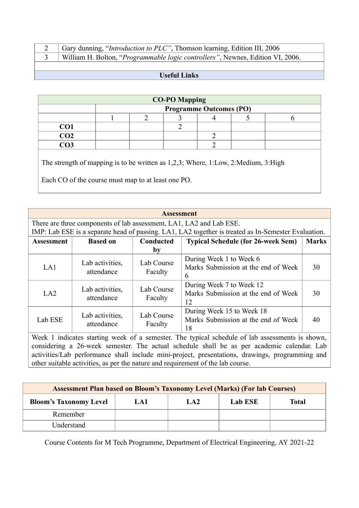| Gary dunning, " <i>Introduction to PLC</i> ", Thomson learning, Edition III, 2006       |
|-----------------------------------------------------------------------------------------|
| William H. Bolton, " <i>Programmable logic controllers</i> ", Newnes, Edition VI, 2006. |

# **Useful Links**

| <b>CO-PO Mapping</b> |                                |  |  |  |  |  |  |
|----------------------|--------------------------------|--|--|--|--|--|--|
|                      | <b>Programme Outcomes (PO)</b> |  |  |  |  |  |  |
|                      |                                |  |  |  |  |  |  |
| CO <sub>1</sub>      |                                |  |  |  |  |  |  |
| $\overline{CO2}$     |                                |  |  |  |  |  |  |
| റദ                   |                                |  |  |  |  |  |  |

The strength of mapping is to be written as 1,2,3; Where, 1:Low, 2:Medium, 3:High

Each CO of the course must map to at least one PO.

| <b>Assessment</b>                                                                                                                                                                                                                                                                                                                                                                                                                                                                                                                                                                                                                                           |                                                                                                                                                                            |                       |                                                                        |              |  |  |  |  |
|-------------------------------------------------------------------------------------------------------------------------------------------------------------------------------------------------------------------------------------------------------------------------------------------------------------------------------------------------------------------------------------------------------------------------------------------------------------------------------------------------------------------------------------------------------------------------------------------------------------------------------------------------------------|----------------------------------------------------------------------------------------------------------------------------------------------------------------------------|-----------------------|------------------------------------------------------------------------|--------------|--|--|--|--|
|                                                                                                                                                                                                                                                                                                                                                                                                                                                                                                                                                                                                                                                             | There are three components of lab assessment, LA1, LA2 and Lab ESE.<br>IMP: Lab ESE is a separate head of passing. LA1, LA2 together is treated as In-Semester Evaluation. |                       |                                                                        |              |  |  |  |  |
| Assessment                                                                                                                                                                                                                                                                                                                                                                                                                                                                                                                                                                                                                                                  | <b>Based on</b>                                                                                                                                                            | Conducted<br>by       | <b>Typical Schedule (for 26-week Sem)</b>                              | <b>Marks</b> |  |  |  |  |
| LA1                                                                                                                                                                                                                                                                                                                                                                                                                                                                                                                                                                                                                                                         | Lab activities,<br>attendance                                                                                                                                              | Lab Course<br>Faculty | During Week 1 to Week 6<br>Marks Submission at the end of Week<br>6    | 30           |  |  |  |  |
| LA2                                                                                                                                                                                                                                                                                                                                                                                                                                                                                                                                                                                                                                                         | Lab activities,<br>attendance                                                                                                                                              | Lab Course<br>Faculty | During Week 7 to Week 12<br>Marks Submission at the end of Week<br>12  | 30           |  |  |  |  |
| Lab ESE                                                                                                                                                                                                                                                                                                                                                                                                                                                                                                                                                                                                                                                     | Lab activities,<br>attendance                                                                                                                                              | Lab Course<br>Faculty | During Week 15 to Week 18<br>Marks Submission at the end of Week<br>18 | 40           |  |  |  |  |
| Week 1 indicates starting week of a semester. The typical schedule of lab assessments is shown,<br>considering a 26-week semester. The actual schedule shall be as per academic calendar. Lab<br>$\mathcal{F} = \mathcal{F} \mathcal{F} = \mathcal{F} \mathcal{F} = \mathcal{F} \mathcal{F} = \mathcal{F} \mathcal{F} = \mathcal{F} \mathcal{F} = \mathcal{F} \mathcal{F} = \mathcal{F} \mathcal{F} = \mathcal{F} \mathcal{F} = \mathcal{F} \mathcal{F} = \mathcal{F} \mathcal{F} = \mathcal{F} \mathcal{F} = \mathcal{F} \mathcal{F} = \mathcal{F} \mathcal{F} = \mathcal{F} \mathcal{F} = \mathcal{F} \mathcal{F} = \mathcal{F} \mathcal{F} = \mathcal{F$ |                                                                                                                                                                            |                       |                                                                        |              |  |  |  |  |

activities/Lab performance shall include mini-project, presentations, drawings, programming and other suitable activities, as per the nature and requirement of the lab course.

| <b>Assessment Plan based on Bloom's Taxonomy Level (Marks) (For lab Courses)</b> |     |     |         |       |  |  |  |  |
|----------------------------------------------------------------------------------|-----|-----|---------|-------|--|--|--|--|
| <b>Bloom's Taxonomy Level</b>                                                    | LA1 | LA2 | Lab ESE | Total |  |  |  |  |
| Remember                                                                         |     |     |         |       |  |  |  |  |
| Understand                                                                       |     |     |         |       |  |  |  |  |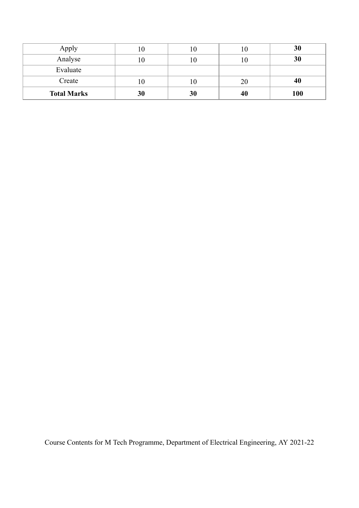| Apply              |     | 1U. | 10  | 30  |
|--------------------|-----|-----|-----|-----|
| Analyse            | ιU  | 10. | 1 ∪ | 30  |
| Evaluate           |     |     |     |     |
| Create             | 1 O | 10  | 20  | 40  |
| <b>Total Marks</b> | 30  | 30  | 40  | 100 |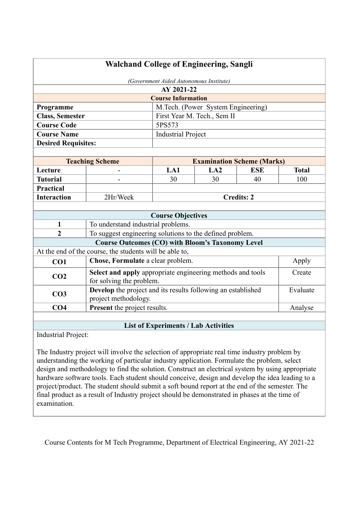| <b>Walchand College of Engineering, Sangli</b>                                                          |                                                                                        |                             |                                    |                   |              |
|---------------------------------------------------------------------------------------------------------|----------------------------------------------------------------------------------------|-----------------------------|------------------------------------|-------------------|--------------|
| (Government Aided Autonomous Institute)                                                                 |                                                                                        |                             |                                    |                   |              |
| AY 2021-22                                                                                              |                                                                                        |                             |                                    |                   |              |
|                                                                                                         |                                                                                        | <b>Course Information</b>   |                                    |                   |              |
| Programme                                                                                               |                                                                                        |                             | M.Tech. (Power System Engineering) |                   |              |
| <b>Class, Semester</b>                                                                                  |                                                                                        | First Year M. Tech., Sem II |                                    |                   |              |
| <b>Course Code</b>                                                                                      |                                                                                        | 5PS573                      |                                    |                   |              |
| <b>Course Name</b>                                                                                      |                                                                                        | <b>Industrial Project</b>   |                                    |                   |              |
| <b>Desired Requisites:</b>                                                                              |                                                                                        |                             |                                    |                   |              |
|                                                                                                         |                                                                                        |                             |                                    |                   |              |
| <b>Teaching Scheme</b><br><b>Examination Scheme (Marks)</b>                                             |                                                                                        |                             |                                    |                   |              |
| Lecture                                                                                                 |                                                                                        | LA1                         | LA2                                | <b>ESE</b>        | <b>Total</b> |
| <b>Tutorial</b>                                                                                         |                                                                                        | 30                          | 30                                 | 40                | 100          |
| <b>Practical</b>                                                                                        |                                                                                        |                             |                                    |                   |              |
| <b>Interaction</b>                                                                                      | 2Hr/Week                                                                               |                             |                                    | <b>Credits: 2</b> |              |
|                                                                                                         |                                                                                        |                             |                                    |                   |              |
|                                                                                                         |                                                                                        | <b>Course Objectives</b>    |                                    |                   |              |
| $\mathbf{1}$                                                                                            | To understand industrial problems.                                                     |                             |                                    |                   |              |
| $\overline{2}$                                                                                          | To suggest engineering solutions to the defined problem.                               |                             |                                    |                   |              |
|                                                                                                         | <b>Course Outcomes (CO) with Bloom's Taxonomy Level</b>                                |                             |                                    |                   |              |
|                                                                                                         | At the end of the course, the students will be able to,                                |                             |                                    |                   |              |
| CO1                                                                                                     | Chose, Formulate a clear problem.                                                      |                             |                                    |                   | Apply        |
| CO <sub>2</sub>                                                                                         | Select and apply appropriate engineering methods and tools<br>for solving the problem. |                             |                                    |                   | Create       |
| Develop the project and its results following an established<br>CO <sub>3</sub><br>project methodology. |                                                                                        |                             |                                    | Evaluate          |              |
| CO <sub>4</sub><br><b>Present</b> the project results.                                                  |                                                                                        |                             |                                    | Analyse           |              |
|                                                                                                         |                                                                                        |                             |                                    |                   |              |

# **List of Experiments / Lab Activities**

Industrial Project:

The Industry project will involve the selection of appropriate real time industry problem by understanding the working of particular industry application. Formulate the problem, select design and methodology to find the solution. Construct an electrical system by using appropriate hardware software tools. Each student should conceive, design and develop the idea leading to a project/product. The student should submit a soft bound report at the end of the semester. The final product as a result of Industry project should be demonstrated in phases at the time of examination.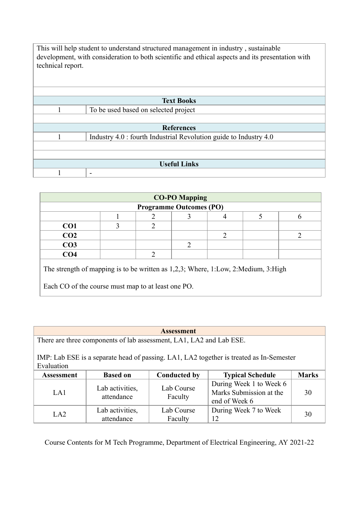| This will help student to understand structured management in industry, sustainable |                                                                                                  |  |  |  |  |
|-------------------------------------------------------------------------------------|--------------------------------------------------------------------------------------------------|--|--|--|--|
|                                                                                     | development, with consideration to both scientific and ethical aspects and its presentation with |  |  |  |  |
| technical report.                                                                   |                                                                                                  |  |  |  |  |
|                                                                                     |                                                                                                  |  |  |  |  |
|                                                                                     |                                                                                                  |  |  |  |  |
|                                                                                     |                                                                                                  |  |  |  |  |
|                                                                                     | <b>Text Books</b>                                                                                |  |  |  |  |
| 1                                                                                   | To be used based on selected project                                                             |  |  |  |  |
|                                                                                     |                                                                                                  |  |  |  |  |
|                                                                                     | <b>References</b>                                                                                |  |  |  |  |
|                                                                                     | Industry 4.0 : fourth Industrial Revolution guide to Industry 4.0                                |  |  |  |  |
|                                                                                     |                                                                                                  |  |  |  |  |
|                                                                                     |                                                                                                  |  |  |  |  |
| <b>Useful Links</b>                                                                 |                                                                                                  |  |  |  |  |
|                                                                                     | -                                                                                                |  |  |  |  |

| <b>CO-PO Mapping</b>                                                                                                                       |                                |   |  |                |  |   |  |  |
|--------------------------------------------------------------------------------------------------------------------------------------------|--------------------------------|---|--|----------------|--|---|--|--|
|                                                                                                                                            | <b>Programme Outcomes (PO)</b> |   |  |                |  |   |  |  |
|                                                                                                                                            | 5<br>6                         |   |  |                |  |   |  |  |
| CO <sub>1</sub>                                                                                                                            | 3                              | 2 |  |                |  |   |  |  |
| CO <sub>2</sub>                                                                                                                            |                                |   |  | $\overline{2}$ |  | າ |  |  |
| CO <sub>3</sub>                                                                                                                            | 2                              |   |  |                |  |   |  |  |
| CO <sub>4</sub>                                                                                                                            |                                | 2 |  |                |  |   |  |  |
| The strength of mapping is to be written as $1,2,3$ ; Where, 1:Low, 2:Medium, 3:High<br>Each CO of the course must map to at least one PO. |                                |   |  |                |  |   |  |  |
|                                                                                                                                            |                                |   |  |                |  |   |  |  |

| <b>Assessment</b>                                                                                     |                                                                     |                       |                                                                     |    |  |  |  |  |
|-------------------------------------------------------------------------------------------------------|---------------------------------------------------------------------|-----------------------|---------------------------------------------------------------------|----|--|--|--|--|
|                                                                                                       | There are three components of lab assessment, LA1, LA2 and Lab ESE. |                       |                                                                     |    |  |  |  |  |
| IMP: Lab ESE is a separate head of passing. LA1, LA2 together is treated as In-Semester<br>Evaluation |                                                                     |                       |                                                                     |    |  |  |  |  |
| <b>Conducted by</b><br><b>Typical Schedule</b><br><b>Based on</b><br><b>Assessment</b>                |                                                                     |                       |                                                                     |    |  |  |  |  |
| LA1                                                                                                   | Lab activities,<br>attendance                                       | Lab Course<br>Faculty | During Week 1 to Week 6<br>Marks Submission at the<br>end of Week 6 | 30 |  |  |  |  |
| LA2                                                                                                   | Lab activities,<br>attendance                                       | Lab Course<br>Faculty | During Week 7 to Week<br>12                                         | 30 |  |  |  |  |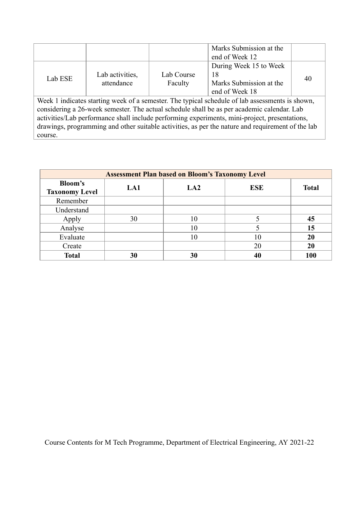|                                                                                                                                                                                                                                                                                                |                               |                       | Marks Submission at the<br>end of Week 12                                 |    |  |  |
|------------------------------------------------------------------------------------------------------------------------------------------------------------------------------------------------------------------------------------------------------------------------------------------------|-------------------------------|-----------------------|---------------------------------------------------------------------------|----|--|--|
| Lab ESE                                                                                                                                                                                                                                                                                        | Lab activities,<br>attendance | Lab Course<br>Faculty | During Week 15 to Week<br>18<br>Marks Submission at the<br>end of Week 18 | 40 |  |  |
| Week 1 indicates starting week of a semester. The typical schedule of lab assessments is shown,<br>considering a 26-week semester. The actual schedule shall be as per academic calendar. Lab<br>activities/Lab performance shall include performing experiments, mini-project, presentations, |                               |                       |                                                                           |    |  |  |

drawings, programming and other suitable activities, as per the nature and requirement of the lab course.

| <b>Assessment Plan based on Bloom's Taxonomy Level</b> |     |     |            |              |  |  |  |
|--------------------------------------------------------|-----|-----|------------|--------------|--|--|--|
| <b>Bloom's</b>                                         | LA1 | LA2 | <b>ESE</b> | <b>Total</b> |  |  |  |
| <b>Taxonomy Level</b>                                  |     |     |            |              |  |  |  |
| Remember                                               |     |     |            |              |  |  |  |
| Understand                                             |     |     |            |              |  |  |  |
| Apply                                                  | 30  | 10  |            | 45           |  |  |  |
| Analyse                                                |     | 10  |            | 15           |  |  |  |
| Evaluate                                               |     | 10  | 10         | 20           |  |  |  |
| Create                                                 |     |     | 20         | 20           |  |  |  |
| <b>Total</b>                                           | 30  | 30  | 40         | 100          |  |  |  |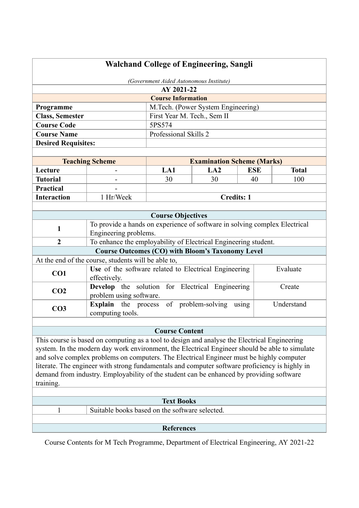| <b>Walchand College of Engineering, Sangli</b>                                                        |                                                                                                                                                                                                |                           |                                    |            |              |  |
|-------------------------------------------------------------------------------------------------------|------------------------------------------------------------------------------------------------------------------------------------------------------------------------------------------------|---------------------------|------------------------------------|------------|--------------|--|
| (Government Aided Autonomous Institute)                                                               |                                                                                                                                                                                                |                           |                                    |            |              |  |
|                                                                                                       | AY 2021-22                                                                                                                                                                                     |                           |                                    |            |              |  |
|                                                                                                       |                                                                                                                                                                                                | <b>Course Information</b> |                                    |            |              |  |
| Programme                                                                                             |                                                                                                                                                                                                |                           | M.Tech. (Power System Engineering) |            |              |  |
| <b>Class, Semester</b>                                                                                | First Year M. Tech., Sem II                                                                                                                                                                    |                           |                                    |            |              |  |
| <b>Course Code</b>                                                                                    |                                                                                                                                                                                                | 5PS574                    |                                    |            |              |  |
| <b>Course Name</b>                                                                                    |                                                                                                                                                                                                | Professional Skills 2     |                                    |            |              |  |
| <b>Desired Requisites:</b>                                                                            |                                                                                                                                                                                                |                           |                                    |            |              |  |
|                                                                                                       |                                                                                                                                                                                                |                           |                                    |            |              |  |
|                                                                                                       | <b>Teaching Scheme</b>                                                                                                                                                                         |                           | <b>Examination Scheme (Marks)</b>  |            |              |  |
| Lecture                                                                                               |                                                                                                                                                                                                | LA1                       | LA2                                | <b>ESE</b> | <b>Total</b> |  |
| <b>Tutorial</b>                                                                                       |                                                                                                                                                                                                | 30                        | 30                                 | 40         | 100          |  |
| <b>Practical</b>                                                                                      |                                                                                                                                                                                                |                           |                                    |            |              |  |
| <b>Interaction</b>                                                                                    | 1 Hr/Week                                                                                                                                                                                      |                           | <b>Credits: 1</b>                  |            |              |  |
|                                                                                                       |                                                                                                                                                                                                |                           |                                    |            |              |  |
|                                                                                                       |                                                                                                                                                                                                | <b>Course Objectives</b>  |                                    |            |              |  |
| $\mathbf{1}$                                                                                          | To provide a hands on experience of software in solving complex Electrical                                                                                                                     |                           |                                    |            |              |  |
|                                                                                                       | Engineering problems.                                                                                                                                                                          |                           |                                    |            |              |  |
| $\overline{2}$                                                                                        | To enhance the employability of Electrical Engineering student.                                                                                                                                |                           |                                    |            |              |  |
|                                                                                                       | <b>Course Outcomes (CO) with Bloom's Taxonomy Level</b>                                                                                                                                        |                           |                                    |            |              |  |
|                                                                                                       | At the end of the course, students will be able to,                                                                                                                                            |                           |                                    |            | Evaluate     |  |
| CO1                                                                                                   | Use of the software related to Electrical Engineering<br>effectively.                                                                                                                          |                           |                                    |            |              |  |
| CO <sub>2</sub>                                                                                       | <b>Develop</b> the solution for Electrical Engineering<br>problem using software.                                                                                                              |                           |                                    |            | Create       |  |
| CO <sub>3</sub>                                                                                       | <b>Explain</b> the process of problem-solving                                                                                                                                                  |                           |                                    | using      | Understand   |  |
|                                                                                                       | computing tools.                                                                                                                                                                               |                           |                                    |            |              |  |
|                                                                                                       |                                                                                                                                                                                                | <b>Course Content</b>     |                                    |            |              |  |
|                                                                                                       |                                                                                                                                                                                                |                           |                                    |            |              |  |
|                                                                                                       | This course is based on computing as a tool to design and analyse the Electrical Engineering<br>system. In the modern day work environment, the Electrical Engineer should be able to simulate |                           |                                    |            |              |  |
|                                                                                                       | and solve complex problems on computers. The Electrical Engineer must be highly computer                                                                                                       |                           |                                    |            |              |  |
|                                                                                                       | literate. The engineer with strong fundamentals and computer software proficiency is highly in                                                                                                 |                           |                                    |            |              |  |
|                                                                                                       |                                                                                                                                                                                                |                           |                                    |            |              |  |
| demand from industry. Employability of the student can be enhanced by providing software<br>training. |                                                                                                                                                                                                |                           |                                    |            |              |  |
|                                                                                                       |                                                                                                                                                                                                |                           |                                    |            |              |  |
| <b>Text Books</b>                                                                                     |                                                                                                                                                                                                |                           |                                    |            |              |  |
| $\mathbf{1}$                                                                                          | Suitable books based on the software selected.                                                                                                                                                 |                           |                                    |            |              |  |
|                                                                                                       |                                                                                                                                                                                                |                           |                                    |            |              |  |
|                                                                                                       |                                                                                                                                                                                                | <b>References</b>         |                                    |            |              |  |
|                                                                                                       |                                                                                                                                                                                                |                           |                                    |            |              |  |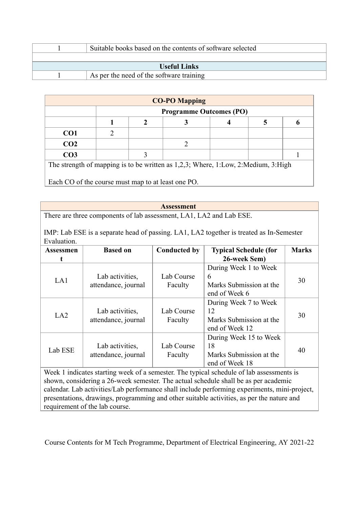|                     | Suitable books based on the contents of software selected |  |  |  |  |
|---------------------|-----------------------------------------------------------|--|--|--|--|
|                     |                                                           |  |  |  |  |
| <b>Useful Links</b> |                                                           |  |  |  |  |
|                     | As per the need of the software training                  |  |  |  |  |

| <b>CO-PO Mapping</b>                                                              |   |                                |  |  |  |  |  |
|-----------------------------------------------------------------------------------|---|--------------------------------|--|--|--|--|--|
|                                                                                   |   | <b>Programme Outcomes (PO)</b> |  |  |  |  |  |
|                                                                                   | o |                                |  |  |  |  |  |
| CO <sub>1</sub>                                                                   |   |                                |  |  |  |  |  |
| CO <sub>2</sub>                                                                   |   |                                |  |  |  |  |  |
| CO <sub>3</sub>                                                                   |   |                                |  |  |  |  |  |
| The strength of mapping is to be written as 1,2,3; Where, 1:Low, 2:Medium, 3:High |   |                                |  |  |  |  |  |
| Each CO of the course must map to at least one PO.                                |   |                                |  |  |  |  |  |

#### **Assessment**

There are three components of lab assessment, LA1, LA2 and Lab ESE.

IMP: Lab ESE is a separate head of passing. LA1, LA2 together is treated as In-Semester Evaluation.

| <b>Assessmen</b> | <b>Based on</b>                        |                       | <b>Typical Schedule (for</b>                                              | <b>Marks</b> |
|------------------|----------------------------------------|-----------------------|---------------------------------------------------------------------------|--------------|
| t                |                                        |                       | 26-week Sem)                                                              |              |
| LA1              | Lab activities,<br>attendance, journal | Lab Course<br>Faculty | During Week 1 to Week<br>6<br>Marks Submission at the<br>end of Week 6    | 30           |
| LA2              | Lab activities,<br>attendance, journal | Lab Course<br>Faculty | During Week 7 to Week<br>12<br>Marks Submission at the<br>end of Week 12  | 30           |
| Lab ESE          | Lab activities,<br>attendance, journal | Lab Course<br>Faculty | During Week 15 to Week<br>18<br>Marks Submission at the<br>end of Week 18 | 40           |

Week 1 indicates starting week of a semester. The typical schedule of lab assessments is shown, considering a 26-week semester. The actual schedule shall be as per academic calendar. Lab activities/Lab performance shall include performing experiments, mini-project, presentations, drawings, programming and other suitable activities, as per the nature and requirement of the lab course.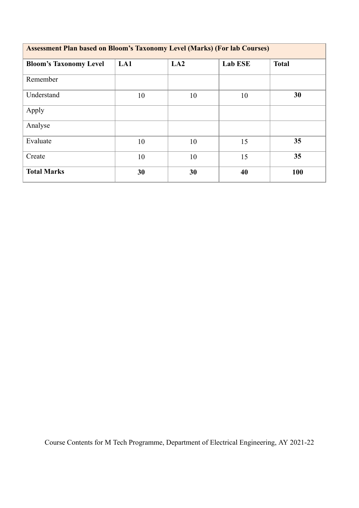| <b>Assessment Plan based on Bloom's Taxonomy Level (Marks) (For lab Courses)</b> |     |     |                |              |  |  |
|----------------------------------------------------------------------------------|-----|-----|----------------|--------------|--|--|
| <b>Bloom's Taxonomy Level</b>                                                    | LA1 | LA2 | <b>Lab ESE</b> | <b>Total</b> |  |  |
| Remember                                                                         |     |     |                |              |  |  |
| Understand                                                                       | 10  | 10  | 10             | 30           |  |  |
| Apply                                                                            |     |     |                |              |  |  |
| Analyse                                                                          |     |     |                |              |  |  |
| Evaluate                                                                         | 10  | 10  | 15             | 35           |  |  |
| Create                                                                           | 10  | 10  | 15             | 35           |  |  |
| <b>Total Marks</b>                                                               | 30  | 30  | 40             | 100          |  |  |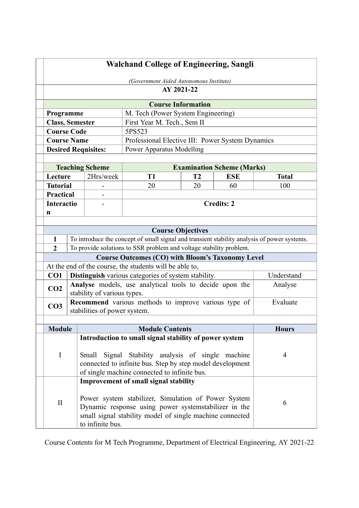| <b>Walchand College of Engineering, Sangli</b> |  |                              |                                                                                                                                                                                                                         |    |                                   |              |
|------------------------------------------------|--|------------------------------|-------------------------------------------------------------------------------------------------------------------------------------------------------------------------------------------------------------------------|----|-----------------------------------|--------------|
| (Government Aided Autonomous Institute)        |  |                              |                                                                                                                                                                                                                         |    |                                   |              |
|                                                |  |                              | AY 2021-22                                                                                                                                                                                                              |    |                                   |              |
|                                                |  |                              | <b>Course Information</b>                                                                                                                                                                                               |    |                                   |              |
| Programme                                      |  |                              | M. Tech (Power System Engineering)                                                                                                                                                                                      |    |                                   |              |
| <b>Class, Semester</b>                         |  |                              | First Year M. Tech., Sem II                                                                                                                                                                                             |    |                                   |              |
| <b>Course Code</b>                             |  |                              | 5PS523                                                                                                                                                                                                                  |    |                                   |              |
| <b>Course Name</b>                             |  |                              | Professional Elective III: Power System Dynamics                                                                                                                                                                        |    |                                   |              |
|                                                |  | <b>Desired Requisites:</b>   | <b>Power Apparatus Modelling</b>                                                                                                                                                                                        |    |                                   |              |
|                                                |  |                              |                                                                                                                                                                                                                         |    |                                   |              |
|                                                |  | <b>Teaching Scheme</b>       |                                                                                                                                                                                                                         |    | <b>Examination Scheme (Marks)</b> |              |
| Lecture                                        |  | 2Hrs/week                    | <b>T1</b>                                                                                                                                                                                                               | T2 | <b>ESE</b>                        | <b>Total</b> |
| <b>Tutorial</b>                                |  |                              | 20                                                                                                                                                                                                                      | 20 | 60                                | 100          |
| <b>Practical</b>                               |  |                              |                                                                                                                                                                                                                         |    |                                   |              |
| <b>Interactio</b><br>n                         |  |                              |                                                                                                                                                                                                                         |    | <b>Credits: 2</b>                 |              |
|                                                |  |                              |                                                                                                                                                                                                                         |    |                                   |              |
|                                                |  |                              | <b>Course Objectives</b>                                                                                                                                                                                                |    |                                   |              |
| $\mathbf{1}$                                   |  |                              | To introduce the concept of small signal and transient stability analysis of power systems.                                                                                                                             |    |                                   |              |
| $\overline{2}$                                 |  |                              | To provide solutions to SSR problem and voltage stability problem.                                                                                                                                                      |    |                                   |              |
|                                                |  |                              | <b>Course Outcomes (CO) with Bloom's Taxonomy Level</b>                                                                                                                                                                 |    |                                   |              |
|                                                |  |                              | At the end of the course, the students will be able to,                                                                                                                                                                 |    |                                   |              |
| CO1                                            |  |                              | Distinguish various categories of system stability.                                                                                                                                                                     |    |                                   | Understand   |
| CO <sub>2</sub>                                |  | stability of various types.  | Analyse models, use analytical tools to decide upon the                                                                                                                                                                 |    |                                   | Analyse      |
| CO <sub>3</sub>                                |  | stabilities of power system. | Recommend various methods to improve various type of                                                                                                                                                                    |    |                                   | Evaluate     |
|                                                |  |                              |                                                                                                                                                                                                                         |    |                                   |              |
| <b>Module</b>                                  |  |                              | <b>Module Contents</b>                                                                                                                                                                                                  |    |                                   | <b>Hours</b> |
|                                                |  |                              | Introduction to small signal stability of power system                                                                                                                                                                  |    |                                   |              |
| I<br>Small                                     |  |                              | Signal Stability analysis of single machine<br>connected to infinite bus. Step by step model development<br>of single machine connected to infinite bus.                                                                |    | 4                                 |              |
| $\mathbf{I}$                                   |  | to infinite bus.             | <b>Improvement of small signal stability</b><br>Power system stabilizer, Simulation of Power System<br>Dynamic response using power systemstabilizer in the<br>small signal stability model of single machine connected |    |                                   | 6            |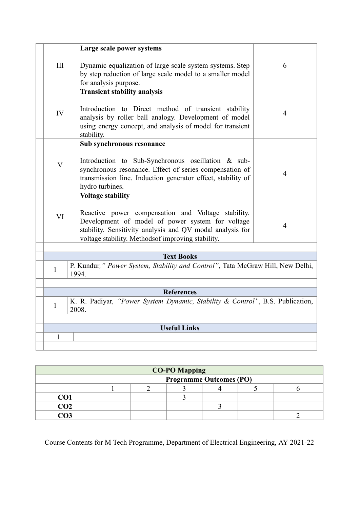|              | Large scale power systems                                                                                                                                                                                                                            |                |  |  |  |  |
|--------------|------------------------------------------------------------------------------------------------------------------------------------------------------------------------------------------------------------------------------------------------------|----------------|--|--|--|--|
| III          | Dynamic equalization of large scale system systems. Step<br>by step reduction of large scale model to a smaller model<br>for analysis purpose.                                                                                                       | 6              |  |  |  |  |
| IV           | <b>Transient stability analysis</b><br>Introduction to Direct method of transient stability<br>analysis by roller ball analogy. Development of model<br>using energy concept, and analysis of model for transient<br>stability.                      | $\overline{4}$ |  |  |  |  |
| $\mathbf{V}$ | Sub synchronous resonance<br>Introduction to Sub-Synchronous oscillation & sub-<br>synchronous resonance. Effect of series compensation of<br>transmission line. Induction generator effect, stability of<br>hydro turbines.                         | $\overline{4}$ |  |  |  |  |
| VI           | <b>Voltage stability</b><br>Reactive power compensation and Voltage stability.<br>Development of model of power system for voltage<br>stability. Sensitivity analysis and QV modal analysis for<br>voltage stability. Methodsof improving stability. | $\overline{4}$ |  |  |  |  |
|              |                                                                                                                                                                                                                                                      |                |  |  |  |  |
|              | <b>Text Books</b>                                                                                                                                                                                                                                    |                |  |  |  |  |
| 1            | P. Kundur," Power System, Stability and Control", Tata McGraw Hill, New Delhi,<br>1994.                                                                                                                                                              |                |  |  |  |  |
|              |                                                                                                                                                                                                                                                      |                |  |  |  |  |
|              | <b>References</b>                                                                                                                                                                                                                                    |                |  |  |  |  |
| $\mathbf{1}$ | K. R. Padiyar, "Power System Dynamic, Stability & Control", B.S. Publication,<br>2008.                                                                                                                                                               |                |  |  |  |  |
|              |                                                                                                                                                                                                                                                      |                |  |  |  |  |
|              | <b>Useful Links</b>                                                                                                                                                                                                                                  |                |  |  |  |  |
| $\mathbf{1}$ |                                                                                                                                                                                                                                                      |                |  |  |  |  |
|              |                                                                                                                                                                                                                                                      |                |  |  |  |  |

| <b>CO-PO Mapping</b> |  |                                |  |  |  |  |  |
|----------------------|--|--------------------------------|--|--|--|--|--|
|                      |  | <b>Programme Outcomes (PO)</b> |  |  |  |  |  |
|                      |  |                                |  |  |  |  |  |
| CO1                  |  |                                |  |  |  |  |  |
| CO <sub>2</sub>      |  |                                |  |  |  |  |  |
|                      |  |                                |  |  |  |  |  |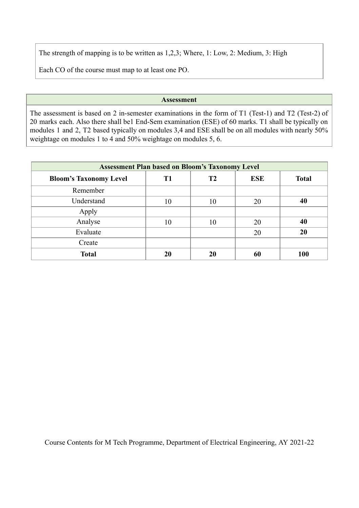The strength of mapping is to be written as 1,2,3; Where, 1: Low, 2: Medium, 3: High

Each CO of the course must map to at least one PO.

## **Assessment**

The assessment is based on 2 in-semester examinations in the form of T1 (Test-1) and T2 (Test-2) of 20 marks each. Also there shall be1 End-Sem examination (ESE) of 60 marks. T1 shall be typically on modules 1 and 2, T2 based typically on modules 3,4 and ESE shall be on all modules with nearly 50% weightage on modules 1 to 4 and 50% weightage on modules 5, 6.

| <b>Assessment Plan based on Bloom's Taxonomy Level</b> |    |    |            |              |  |  |
|--------------------------------------------------------|----|----|------------|--------------|--|--|
| <b>Bloom's Taxonomy Level</b>                          | T1 | T2 | <b>ESE</b> | <b>Total</b> |  |  |
| Remember                                               |    |    |            |              |  |  |
| Understand                                             | 10 | 10 | 20         | 40           |  |  |
| Apply                                                  |    |    |            |              |  |  |
| Analyse                                                | 10 | 10 | 20         | 40           |  |  |
| Evaluate                                               |    |    | 20         | 20           |  |  |
| Create                                                 |    |    |            |              |  |  |
| <b>Total</b>                                           | 20 | 20 | 60         | 100          |  |  |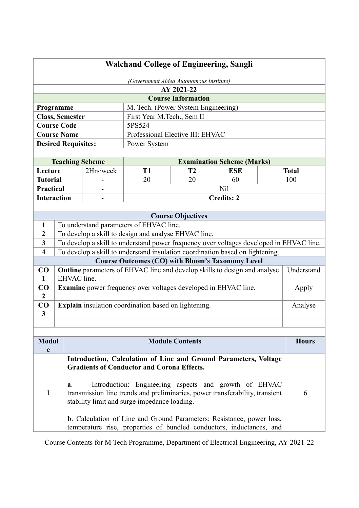|                                                                                                                                                      | <b>Walchand College of Engineering, Sangli</b> |                        |                                                                                                                                                                                |                                         |                                   |   |              |
|------------------------------------------------------------------------------------------------------------------------------------------------------|------------------------------------------------|------------------------|--------------------------------------------------------------------------------------------------------------------------------------------------------------------------------|-----------------------------------------|-----------------------------------|---|--------------|
|                                                                                                                                                      |                                                |                        |                                                                                                                                                                                | (Government Aided Autonomous Institute) |                                   |   |              |
|                                                                                                                                                      |                                                |                        |                                                                                                                                                                                | AY 2021-22                              |                                   |   |              |
|                                                                                                                                                      |                                                |                        |                                                                                                                                                                                | <b>Course Information</b>               |                                   |   |              |
|                                                                                                                                                      | Programme                                      |                        | M. Tech. (Power System Engineering)                                                                                                                                            |                                         |                                   |   |              |
|                                                                                                                                                      | <b>Class, Semester</b>                         |                        | First Year M.Tech., Sem II                                                                                                                                                     |                                         |                                   |   |              |
|                                                                                                                                                      | <b>Course Code</b>                             |                        | 5PS524                                                                                                                                                                         |                                         |                                   |   |              |
|                                                                                                                                                      | <b>Course Name</b>                             |                        | Professional Elective III: EHVAC                                                                                                                                               |                                         |                                   |   |              |
|                                                                                                                                                      | <b>Desired Requisites:</b>                     |                        | Power System                                                                                                                                                                   |                                         |                                   |   |              |
|                                                                                                                                                      |                                                |                        |                                                                                                                                                                                |                                         |                                   |   |              |
|                                                                                                                                                      |                                                | <b>Teaching Scheme</b> |                                                                                                                                                                                |                                         | <b>Examination Scheme (Marks)</b> |   |              |
| Lecture                                                                                                                                              |                                                | 2Hrs/week              | T <sub>1</sub>                                                                                                                                                                 | T2                                      | <b>ESE</b>                        |   | <b>Total</b> |
| <b>Tutorial</b>                                                                                                                                      |                                                |                        | 20                                                                                                                                                                             | 20                                      | 60                                |   | 100          |
| <b>Practical</b>                                                                                                                                     |                                                |                        |                                                                                                                                                                                |                                         | Nil                               |   |              |
| <b>Interaction</b>                                                                                                                                   |                                                |                        |                                                                                                                                                                                |                                         | <b>Credits: 2</b>                 |   |              |
|                                                                                                                                                      |                                                |                        |                                                                                                                                                                                |                                         |                                   |   |              |
|                                                                                                                                                      |                                                |                        |                                                                                                                                                                                | <b>Course Objectives</b>                |                                   |   |              |
| 1                                                                                                                                                    |                                                |                        | To understand parameters of EHVAC line.                                                                                                                                        |                                         |                                   |   |              |
| $\boldsymbol{2}$                                                                                                                                     |                                                |                        | To develop a skill to design and analyse EHVAC line.                                                                                                                           |                                         |                                   |   |              |
| 3                                                                                                                                                    |                                                |                        | To develop a skill to understand power frequency over voltages developed in EHVAC line.                                                                                        |                                         |                                   |   |              |
| $\overline{\mathbf{4}}$                                                                                                                              |                                                |                        | To develop a skill to understand insulation coordination based on lightening.                                                                                                  |                                         |                                   |   |              |
|                                                                                                                                                      |                                                |                        | <b>Course Outcomes (CO) with Bloom's Taxonomy Level</b>                                                                                                                        |                                         |                                   |   |              |
| CO<br>1                                                                                                                                              | EHVAC line.                                    |                        | Outline parameters of EHVAC line and develop skills to design and analyse                                                                                                      |                                         |                                   |   | Understand   |
| CO                                                                                                                                                   |                                                |                        | <b>Examine</b> power frequency over voltages developed in EHVAC line.                                                                                                          |                                         |                                   |   | Apply        |
| $\overline{2}$                                                                                                                                       |                                                |                        |                                                                                                                                                                                |                                         |                                   |   |              |
| CO                                                                                                                                                   |                                                |                        | Explain insulation coordination based on lightening.                                                                                                                           |                                         |                                   |   | Analyse      |
| 3                                                                                                                                                    |                                                |                        |                                                                                                                                                                                |                                         |                                   |   |              |
|                                                                                                                                                      |                                                |                        |                                                                                                                                                                                |                                         |                                   |   |              |
|                                                                                                                                                      |                                                |                        |                                                                                                                                                                                |                                         |                                   |   |              |
| <b>Modul</b>                                                                                                                                         |                                                |                        |                                                                                                                                                                                | <b>Module Contents</b>                  |                                   |   | <b>Hours</b> |
| e                                                                                                                                                    |                                                |                        |                                                                                                                                                                                |                                         |                                   |   |              |
|                                                                                                                                                      | a <sub>1</sub>                                 |                        | Introduction, Calculation of Line and Ground Parameters, Voltage<br><b>Gradients of Conductor and Corona Effects.</b><br>Introduction: Engineering aspects and growth of EHVAC |                                         |                                   |   |              |
| $\mathbf I$                                                                                                                                          |                                                |                        | transmission line trends and preliminaries, power transferability, transient<br>stability limit and surge impedance loading.                                                   |                                         |                                   | 6 |              |
| <b>b.</b> Calculation of Line and Ground Parameters: Resistance, power loss,<br>temperature rise, properties of bundled conductors, inductances, and |                                                |                        |                                                                                                                                                                                |                                         |                                   |   |              |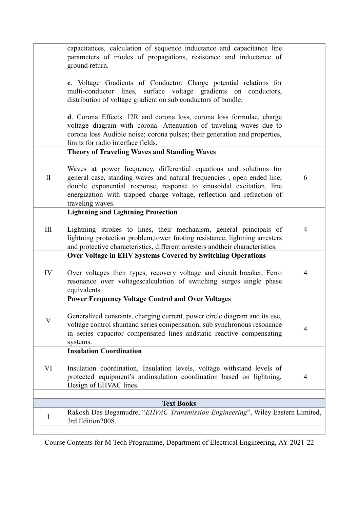|                    | capacitances, calculation of sequence inductance and capacitance line<br>parameters of modes of propagations, resistance and inductance of<br>ground return.                                                                                                                                                       |                |
|--------------------|--------------------------------------------------------------------------------------------------------------------------------------------------------------------------------------------------------------------------------------------------------------------------------------------------------------------|----------------|
|                    | c. Voltage Gradients of Conductor: Charge potential relations for<br>multi-conductor lines, surface voltage gradients on conductors,<br>distribution of voltage gradient on sub conductors of bundle.                                                                                                              |                |
|                    | d. Corona Effects: I2R and corona loss, corona loss formulae, charge<br>voltage diagram with corona. Attenuation of traveling waves due to<br>corona loss Audible noise; corona pulses; their generation and properties,<br>limits for radio interface fields.                                                     |                |
|                    | <b>Theory of Traveling Waves and Standing Waves</b>                                                                                                                                                                                                                                                                |                |
| $\mathbf{I}$       | Waves at power frequency, differential equations and solutions for<br>general case, standing waves and natural frequencies, open ended line;<br>double exponential response, response to sinusoidal excitation, line<br>energization with trapped charge voltage, reflection and refraction of<br>traveling waves. | 6              |
|                    | <b>Lightning and Lightning Protection</b>                                                                                                                                                                                                                                                                          |                |
| $\mathop{\rm III}$ | Lightning strokes to lines, their mechanism, general principals of<br>lightning protection problem, tower footing resistance, lightning arresters<br>and protective characteristics, different arresters andtheir characteristics.                                                                                 | $\overline{4}$ |
|                    | <b>Over Voltage in EHV Systems Covered by Switching Operations</b>                                                                                                                                                                                                                                                 |                |
| IV                 | Over voltages their types, recovery voltage and circuit breaker, Ferro<br>resonance over voltagescalculation of switching surges single phase<br>equivalents.                                                                                                                                                      | $\overline{4}$ |
|                    | <b>Power Frequency Voltage Control and Over Voltages</b>                                                                                                                                                                                                                                                           |                |
| $\mathbf{V}$       | Generalized constants, charging current, power circle diagram and its use,<br>voltage control shuntand series compensation, sub synchronous resonance<br>in series capacitor compensated lines and tatic reactive compensating<br>systems.                                                                         | $\overline{4}$ |
|                    | <b>Insulation Coordination</b>                                                                                                                                                                                                                                                                                     |                |
| VI                 | Insulation coordination, Insulation levels, voltage withstand levels of<br>protected equipment's andinsulation coordination based on lightning,<br>Design of EHVAC lines.                                                                                                                                          | $\overline{4}$ |
|                    | <b>Text Books</b>                                                                                                                                                                                                                                                                                                  |                |
|                    | Rakosh Das Begamudre, "EHVAC Transmission Engineering", Wiley Eastern Limited,                                                                                                                                                                                                                                     |                |
| 1                  | 3rd Edition2008.                                                                                                                                                                                                                                                                                                   |                |
|                    |                                                                                                                                                                                                                                                                                                                    |                |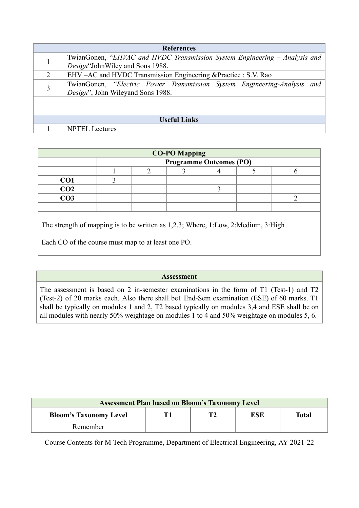| <b>References</b>   |                                                                                                               |  |  |  |  |  |
|---------------------|---------------------------------------------------------------------------------------------------------------|--|--|--|--|--|
|                     | TwianGonen, "EHVAC and HVDC Transmission System Engineering – Analysis and                                    |  |  |  |  |  |
|                     | Design"JohnWiley and Sons 1988.<br>EHV-AC and HVDC Transmission Engineering & Practice : S.V. Rao             |  |  |  |  |  |
|                     | TwianGonen, "Electric Power Transmission System Engineering-Analysis and<br>Design", John Wileyand Sons 1988. |  |  |  |  |  |
|                     |                                                                                                               |  |  |  |  |  |
|                     |                                                                                                               |  |  |  |  |  |
| <b>Useful Links</b> |                                                                                                               |  |  |  |  |  |
|                     | <b>NPTEL</b> Lectures                                                                                         |  |  |  |  |  |

| <b>CO-PO Mapping</b><br><b>Programme Outcomes (PO)</b>                            |  |  |  |  |  |  |
|-----------------------------------------------------------------------------------|--|--|--|--|--|--|
|                                                                                   |  |  |  |  |  |  |
| CO <sub>1</sub>                                                                   |  |  |  |  |  |  |
| CO <sub>2</sub>                                                                   |  |  |  |  |  |  |
| CO <sub>3</sub>                                                                   |  |  |  |  |  |  |
|                                                                                   |  |  |  |  |  |  |
|                                                                                   |  |  |  |  |  |  |
| The strength of mapping is to be written as 1,2,3; Where, 1:Low, 2:Medium, 3:High |  |  |  |  |  |  |

Each CO of the course must map to at least one PO.

# **Assessment**

The assessment is based on 2 in-semester examinations in the form of T1 (Test-1) and T2 (Test-2) of 20 marks each. Also there shall be1 End-Sem examination (ESE) of 60 marks. T1 shall be typically on modules 1 and 2, T2 based typically on modules 3,4 and ESE shall be on all modules with nearly 50% weightage on modules 1 to 4 and 50% weightage on modules 5, 6.

| <b>Assessment Plan based on Bloom's Taxonomy Level</b> |  |    |            |              |  |  |
|--------------------------------------------------------|--|----|------------|--------------|--|--|
| <b>Bloom's Taxonomy Level</b>                          |  | T2 | <b>ESE</b> | <b>Total</b> |  |  |
| Remember                                               |  |    |            |              |  |  |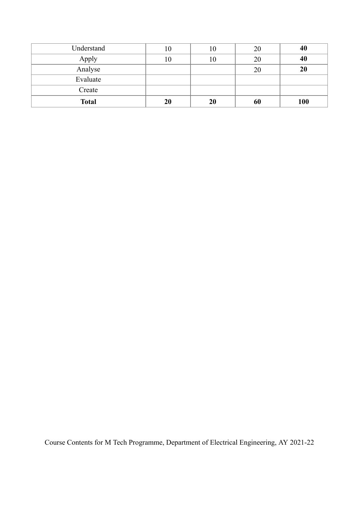| Understand   | 10 | 10 | 20 | 40  |
|--------------|----|----|----|-----|
| Apply        | 10 | 10 | 20 | 40  |
| Analyse      |    |    | 20 | 20  |
| Evaluate     |    |    |    |     |
| Create       |    |    |    |     |
| <b>Total</b> | 20 | 20 | 60 | 100 |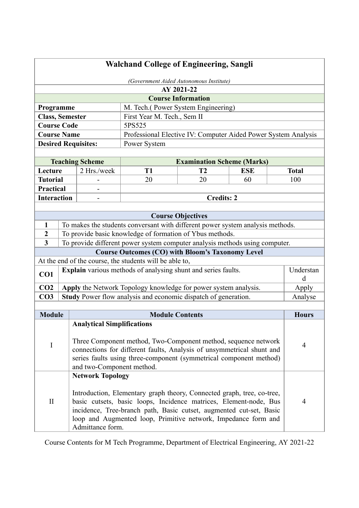| <b>Walchand College of Engineering, Sangli</b>                                                                                                                                                                                                            |  |                                                                                                                                                                                                                                                                                      |                                                                                |                                         |                          |                |
|-----------------------------------------------------------------------------------------------------------------------------------------------------------------------------------------------------------------------------------------------------------|--|--------------------------------------------------------------------------------------------------------------------------------------------------------------------------------------------------------------------------------------------------------------------------------------|--------------------------------------------------------------------------------|-----------------------------------------|--------------------------|----------------|
|                                                                                                                                                                                                                                                           |  |                                                                                                                                                                                                                                                                                      |                                                                                | (Government Aided Autonomous Institute) |                          |                |
|                                                                                                                                                                                                                                                           |  |                                                                                                                                                                                                                                                                                      |                                                                                | AY 2021-22                              |                          |                |
|                                                                                                                                                                                                                                                           |  |                                                                                                                                                                                                                                                                                      |                                                                                | <b>Course Information</b>               |                          |                |
| Programme                                                                                                                                                                                                                                                 |  |                                                                                                                                                                                                                                                                                      | M. Tech.(Power System Engineering)                                             |                                         |                          |                |
| <b>Class, Semester</b>                                                                                                                                                                                                                                    |  |                                                                                                                                                                                                                                                                                      | First Year M. Tech., Sem II                                                    |                                         |                          |                |
| <b>Course Code</b>                                                                                                                                                                                                                                        |  |                                                                                                                                                                                                                                                                                      | 5PS525                                                                         |                                         |                          |                |
| <b>Course Name</b>                                                                                                                                                                                                                                        |  |                                                                                                                                                                                                                                                                                      | Professional Elective IV: Computer Aided Power System Analysis                 |                                         |                          |                |
|                                                                                                                                                                                                                                                           |  | <b>Desired Requisites:</b>                                                                                                                                                                                                                                                           | Power System                                                                   |                                         |                          |                |
|                                                                                                                                                                                                                                                           |  |                                                                                                                                                                                                                                                                                      |                                                                                |                                         |                          |                |
|                                                                                                                                                                                                                                                           |  | <b>Teaching Scheme</b>                                                                                                                                                                                                                                                               |                                                                                | <b>Examination Scheme (Marks)</b>       |                          |                |
| Lecture                                                                                                                                                                                                                                                   |  | 2 Hrs./week                                                                                                                                                                                                                                                                          | T <sub>1</sub>                                                                 | T <sub>2</sub>                          | <b>ESE</b>               | <b>Total</b>   |
| <b>Tutorial</b>                                                                                                                                                                                                                                           |  |                                                                                                                                                                                                                                                                                      | 20                                                                             | 20                                      | 60                       | 100            |
| <b>Practical</b>                                                                                                                                                                                                                                          |  | $\overline{\phantom{0}}$                                                                                                                                                                                                                                                             |                                                                                |                                         |                          |                |
| <b>Interaction</b>                                                                                                                                                                                                                                        |  |                                                                                                                                                                                                                                                                                      |                                                                                | <b>Credits: 2</b>                       |                          |                |
|                                                                                                                                                                                                                                                           |  |                                                                                                                                                                                                                                                                                      |                                                                                | <b>Course Objectives</b>                |                          |                |
| 1                                                                                                                                                                                                                                                         |  |                                                                                                                                                                                                                                                                                      | To makes the students conversant with different power system analysis methods. |                                         |                          |                |
| $\boldsymbol{2}$                                                                                                                                                                                                                                          |  |                                                                                                                                                                                                                                                                                      | To provide basic knowledge of formation of Ybus methods.                       |                                         |                          |                |
| $\overline{\mathbf{3}}$                                                                                                                                                                                                                                   |  |                                                                                                                                                                                                                                                                                      | To provide different power system computer analysis methods using computer.    |                                         |                          |                |
|                                                                                                                                                                                                                                                           |  |                                                                                                                                                                                                                                                                                      | <b>Course Outcomes (CO) with Bloom's Taxonomy Level</b>                        |                                         |                          |                |
|                                                                                                                                                                                                                                                           |  |                                                                                                                                                                                                                                                                                      | At the end of the course, the students will be able to,                        |                                         |                          |                |
| CO1                                                                                                                                                                                                                                                       |  |                                                                                                                                                                                                                                                                                      | Explain various methods of analysing shunt and series faults.                  |                                         |                          | Understan<br>d |
| CO <sub>2</sub>                                                                                                                                                                                                                                           |  |                                                                                                                                                                                                                                                                                      | Apply the Network Topology knowledge for power system analysis.                |                                         |                          | Apply          |
| CO <sub>3</sub>                                                                                                                                                                                                                                           |  |                                                                                                                                                                                                                                                                                      | Study Power flow analysis and economic dispatch of generation.                 |                                         |                          | Analyse        |
|                                                                                                                                                                                                                                                           |  |                                                                                                                                                                                                                                                                                      |                                                                                |                                         |                          |                |
| <b>Module</b>                                                                                                                                                                                                                                             |  |                                                                                                                                                                                                                                                                                      | <b>Module Contents</b>                                                         |                                         |                          | <b>Hours</b>   |
|                                                                                                                                                                                                                                                           |  | <b>Analytical Simplifications</b>                                                                                                                                                                                                                                                    |                                                                                |                                         |                          |                |
| Three Component method, Two-Component method, sequence network<br>$\mathbf I$<br>connections for different faults, Analysis of unsymmetrical shunt and<br>series faults using three-component (symmetrical component method)<br>and two-Component method. |  |                                                                                                                                                                                                                                                                                      | $\overline{\mathcal{A}}$                                                       |                                         |                          |                |
| <b>Network Topology</b><br>$\mathbf{I}$<br>Admittance form.                                                                                                                                                                                               |  | Introduction, Elementary graph theory, Connected graph, tree, co-tree,<br>basic cutsets, basic loops, Incidence matrices, Element-node, Bus<br>incidence, Tree-branch path, Basic cutset, augmented cut-set, Basic<br>loop and Augmented loop, Primitive network, Impedance form and |                                                                                |                                         | $\overline{\mathcal{A}}$ |                |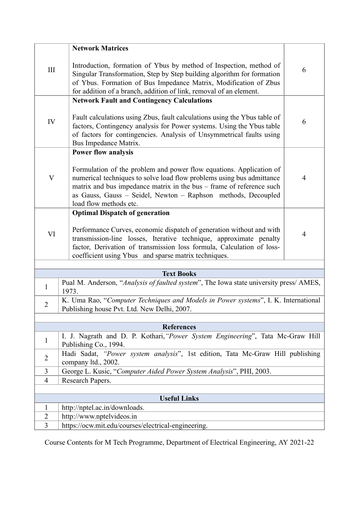|                           | <b>Network Matrices</b>                                                                                                                                                                                                                                                                                         |                |  |  |  |  |
|---------------------------|-----------------------------------------------------------------------------------------------------------------------------------------------------------------------------------------------------------------------------------------------------------------------------------------------------------------|----------------|--|--|--|--|
|                           |                                                                                                                                                                                                                                                                                                                 |                |  |  |  |  |
| III                       | Introduction, formation of Ybus by method of Inspection, method of<br>Singular Transformation, Step by Step building algorithm for formation<br>of Ybus. Formation of Bus Impedance Matrix, Modification of Zbus<br>for addition of a branch, addition of link, removal of an element.                          | 6              |  |  |  |  |
|                           | <b>Network Fault and Contingency Calculations</b>                                                                                                                                                                                                                                                               |                |  |  |  |  |
| IV                        | Fault calculations using Zbus, fault calculations using the Ybus table of<br>factors, Contingency analysis for Power systems. Using the Ybus table<br>of factors for contingencies. Analysis of Unsymmetrical faults using<br>Bus Impedance Matrix.                                                             | 6              |  |  |  |  |
|                           | <b>Power flow analysis</b>                                                                                                                                                                                                                                                                                      |                |  |  |  |  |
| $\boldsymbol{\mathrm{V}}$ | Formulation of the problem and power flow equations. Application of<br>numerical techniques to solve load flow problems using bus admittance<br>matrix and bus impedance matrix in the bus – frame of reference such<br>as Gauss, Gauss - Seidel, Newton - Raphson methods, Decoupled<br>load flow methods etc. | $\overline{4}$ |  |  |  |  |
|                           | <b>Optimal Dispatch of generation</b>                                                                                                                                                                                                                                                                           |                |  |  |  |  |
| VI                        | Performance Curves, economic dispatch of generation without and with<br>transmission-line losses, Iterative technique, approximate penalty<br>factor, Derivation of transmission loss formula, Calculation of loss-<br>coefficient using Ybus and sparse matrix techniques.                                     | $\overline{4}$ |  |  |  |  |
|                           |                                                                                                                                                                                                                                                                                                                 |                |  |  |  |  |
|                           | <b>Text Books</b>                                                                                                                                                                                                                                                                                               |                |  |  |  |  |
| 1                         | Pual M. Anderson, "Analysis of faulted system", The Iowa state university press/ AMES,<br>1973.                                                                                                                                                                                                                 |                |  |  |  |  |
| $\overline{2}$            | K. Uma Rao, "Computer Techniques and Models in Power systems", I. K. International<br>Publishing house Pvt. Ltd. New Delhi, 2007.                                                                                                                                                                               |                |  |  |  |  |
|                           |                                                                                                                                                                                                                                                                                                                 |                |  |  |  |  |
|                           | <b>References</b>                                                                                                                                                                                                                                                                                               |                |  |  |  |  |
| 1                         | I. J. Nagrath and D. P. Kothari, "Power System Engineering", Tata Mc-Graw Hill<br>Publishing Co., 1994.                                                                                                                                                                                                         |                |  |  |  |  |
| $\overline{2}$            | Hadi Sadat, "Power system analysis", 1st edition, Tata Mc-Graw Hill publishing<br>company ltd., 2002.                                                                                                                                                                                                           |                |  |  |  |  |
| 3                         | George L. Kusic, "Computer Aided Power System Analysis", PHI, 2003.                                                                                                                                                                                                                                             |                |  |  |  |  |
| $\overline{4}$            | Research Papers.                                                                                                                                                                                                                                                                                                |                |  |  |  |  |
|                           |                                                                                                                                                                                                                                                                                                                 |                |  |  |  |  |
| 1                         | <b>Useful Links</b><br>http://nptel.ac.in/downloads.                                                                                                                                                                                                                                                            |                |  |  |  |  |
| $\overline{2}$            | http://www.nptelvideos.in                                                                                                                                                                                                                                                                                       |                |  |  |  |  |
| 3                         | https://ocw.mit.edu/courses/electrical-engineering.                                                                                                                                                                                                                                                             |                |  |  |  |  |
|                           |                                                                                                                                                                                                                                                                                                                 |                |  |  |  |  |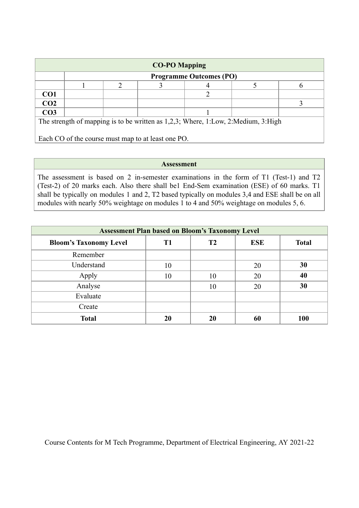| <b>CO-PO Mapping</b>                                                              |  |  |  |                                |  |  |
|-----------------------------------------------------------------------------------|--|--|--|--------------------------------|--|--|
|                                                                                   |  |  |  | <b>Programme Outcomes (PO)</b> |  |  |
|                                                                                   |  |  |  |                                |  |  |
| CO <sub>1</sub>                                                                   |  |  |  |                                |  |  |
| CO <sub>2</sub>                                                                   |  |  |  |                                |  |  |
| CO <sub>3</sub>                                                                   |  |  |  |                                |  |  |
| The strength of mapping is to be written as 1,2,3; Where, 1:Low, 2:Medium, 3:High |  |  |  |                                |  |  |
| Each CO of the course must map to at least one PO.                                |  |  |  |                                |  |  |

#### **Assessment**

The assessment is based on 2 in-semester examinations in the form of T1 (Test-1) and T2 (Test-2) of 20 marks each. Also there shall be1 End-Sem examination (ESE) of 60 marks. T1 shall be typically on modules 1 and 2, T2 based typically on modules 3,4 and ESE shall be on all modules with nearly 50% weightage on modules 1 to 4 and 50% weightage on modules 5, 6.

| <b>Assessment Plan based on Bloom's Taxonomy Level</b> |                |    |            |              |  |  |
|--------------------------------------------------------|----------------|----|------------|--------------|--|--|
| <b>Bloom's Taxonomy Level</b>                          | T <sub>1</sub> | T2 | <b>ESE</b> | <b>Total</b> |  |  |
| Remember                                               |                |    |            |              |  |  |
| Understand                                             | 10             |    | 20         | 30           |  |  |
| Apply                                                  | 10             | 10 | 20         | 40           |  |  |
| Analyse                                                |                | 10 | 20         | 30           |  |  |
| Evaluate                                               |                |    |            |              |  |  |
| Create                                                 |                |    |            |              |  |  |
| <b>Total</b>                                           | 20             | 20 | 60         | 100          |  |  |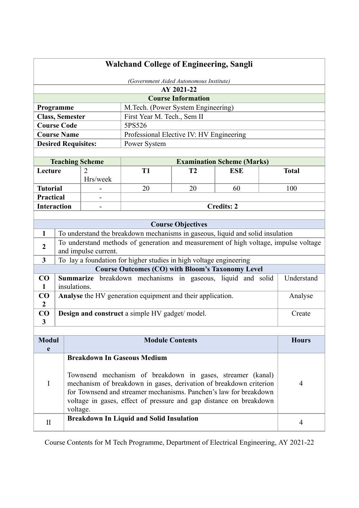| <b>Walchand College of Engineering, Sangli</b> |                                                                                                  |                            |                                                                                                                                         |                           |                                   |  |                |
|------------------------------------------------|--------------------------------------------------------------------------------------------------|----------------------------|-----------------------------------------------------------------------------------------------------------------------------------------|---------------------------|-----------------------------------|--|----------------|
| (Government Aided Autonomous Institute)        |                                                                                                  |                            |                                                                                                                                         |                           |                                   |  |                |
|                                                |                                                                                                  |                            |                                                                                                                                         | AY 2021-22                |                                   |  |                |
|                                                |                                                                                                  |                            |                                                                                                                                         | <b>Course Information</b> |                                   |  |                |
|                                                | Programme                                                                                        |                            | M.Tech. (Power System Engineering)                                                                                                      |                           |                                   |  |                |
|                                                | <b>Class, Semester</b>                                                                           |                            | First Year M. Tech., Sem II                                                                                                             |                           |                                   |  |                |
|                                                | <b>Course Code</b>                                                                               |                            | 5PS526                                                                                                                                  |                           |                                   |  |                |
|                                                | <b>Course Name</b>                                                                               |                            | Professional Elective IV: HV Engineering                                                                                                |                           |                                   |  |                |
|                                                | <b>Desired Requisites:</b>                                                                       |                            | Power System                                                                                                                            |                           |                                   |  |                |
|                                                |                                                                                                  |                            |                                                                                                                                         |                           |                                   |  |                |
|                                                |                                                                                                  | <b>Teaching Scheme</b>     |                                                                                                                                         |                           | <b>Examination Scheme (Marks)</b> |  |                |
| Lecture                                        |                                                                                                  | $\overline{2}$<br>Hrs/week | <b>T1</b>                                                                                                                               | T <sub>2</sub>            | <b>ESE</b>                        |  | <b>Total</b>   |
| <b>Tutorial</b>                                |                                                                                                  |                            | 20                                                                                                                                      | 20                        | 60                                |  | 100            |
| Practical                                      |                                                                                                  |                            |                                                                                                                                         |                           |                                   |  |                |
| <b>Interaction</b>                             |                                                                                                  | $\overline{\phantom{a}}$   |                                                                                                                                         |                           | <b>Credits: 2</b>                 |  |                |
|                                                |                                                                                                  |                            |                                                                                                                                         |                           |                                   |  |                |
|                                                |                                                                                                  |                            |                                                                                                                                         | <b>Course Objectives</b>  |                                   |  |                |
| $\mathbf{1}$                                   |                                                                                                  |                            | To understand the breakdown mechanisms in gaseous, liquid and solid insulation                                                          |                           |                                   |  |                |
| $\boldsymbol{2}$                               |                                                                                                  | and impulse current.       | To understand methods of generation and measurement of high voltage, impulse voltage                                                    |                           |                                   |  |                |
| 3                                              |                                                                                                  |                            | To lay a foundation for higher studies in high voltage engineering                                                                      |                           |                                   |  |                |
|                                                |                                                                                                  |                            | <b>Course Outcomes (CO) with Bloom's Taxonomy Level</b>                                                                                 |                           |                                   |  |                |
| CO<br>1                                        | insulations.                                                                                     |                            | Summarize breakdown mechanisms in gaseous, liquid and solid                                                                             |                           |                                   |  | Understand     |
| CO                                             |                                                                                                  |                            | Analyse the HV generation equipment and their application.                                                                              |                           |                                   |  | Analyse        |
| $\mathbf{2}$                                   |                                                                                                  |                            |                                                                                                                                         |                           |                                   |  |                |
| CO                                             |                                                                                                  |                            | Design and construct a simple HV gadget/ model.                                                                                         |                           |                                   |  | Create         |
| 3                                              |                                                                                                  |                            |                                                                                                                                         |                           |                                   |  |                |
|                                                |                                                                                                  |                            |                                                                                                                                         |                           |                                   |  |                |
| <b>Modul</b>                                   |                                                                                                  |                            | <b>Module Contents</b>                                                                                                                  |                           |                                   |  | <b>Hours</b>   |
| e                                              |                                                                                                  |                            |                                                                                                                                         |                           |                                   |  |                |
|                                                | <b>Breakdown In Gaseous Medium</b><br>Townsend mechanism of breakdown in gases, streamer (kanal) |                            |                                                                                                                                         |                           |                                   |  |                |
| I                                              |                                                                                                  |                            | mechanism of breakdown in gases, derivation of breakdown criterion                                                                      |                           |                                   |  | $\overline{4}$ |
|                                                |                                                                                                  |                            |                                                                                                                                         |                           |                                   |  |                |
| voltage.                                       |                                                                                                  |                            | for Townsend and streamer mechanisms. Panchen's law for breakdown<br>voltage in gases, effect of pressure and gap distance on breakdown |                           |                                   |  |                |
| $\rm II$                                       |                                                                                                  |                            | <b>Breakdown In Liquid and Solid Insulation</b>                                                                                         |                           |                                   |  | $\overline{4}$ |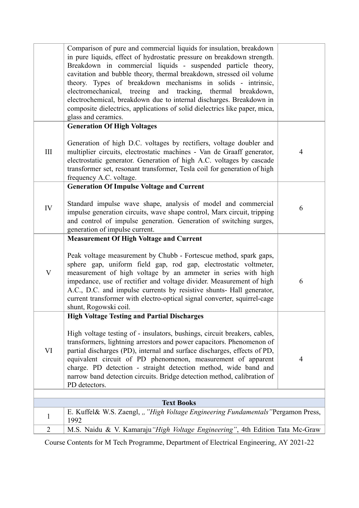|                | Comparison of pure and commercial liquids for insulation, breakdown<br>in pure liquids, effect of hydrostatic pressure on breakdown strength.<br>Breakdown in commercial liquids - suspended particle theory,<br>cavitation and bubble theory, thermal breakdown, stressed oil volume<br>theory. Types of breakdown mechanisms in solids - intrinsic,<br>electromechanical, treeing and tracking, thermal breakdown,<br>electrochemical, breakdown due to internal discharges. Breakdown in<br>composite dielectrics, applications of solid dielectrics like paper, mica,<br>glass and ceramics. |                |
|----------------|--------------------------------------------------------------------------------------------------------------------------------------------------------------------------------------------------------------------------------------------------------------------------------------------------------------------------------------------------------------------------------------------------------------------------------------------------------------------------------------------------------------------------------------------------------------------------------------------------|----------------|
|                | <b>Generation Of High Voltages</b>                                                                                                                                                                                                                                                                                                                                                                                                                                                                                                                                                               |                |
| III            | Generation of high D.C. voltages by rectifiers, voltage doubler and<br>multiplier circuits, electrostatic machines - Van de Graaff generator,<br>electrostatic generator. Generation of high A.C. voltages by cascade<br>transformer set, resonant transformer, Tesla coil for generation of high<br>frequency A.C. voltage.                                                                                                                                                                                                                                                                     | $\overline{4}$ |
|                | <b>Generation Of Impulse Voltage and Current</b>                                                                                                                                                                                                                                                                                                                                                                                                                                                                                                                                                 |                |
| IV             | Standard impulse wave shape, analysis of model and commercial<br>impulse generation circuits, wave shape control, Marx circuit, tripping<br>and control of impulse generation. Generation of switching surges,<br>generation of impulse current.                                                                                                                                                                                                                                                                                                                                                 | 6              |
|                | <b>Measurement Of High Voltage and Current</b>                                                                                                                                                                                                                                                                                                                                                                                                                                                                                                                                                   |                |
| V              | Peak voltage measurement by Chubb - Fortescue method, spark gaps,<br>sphere gap, uniform field gap, rod gap, electrostatic voltmeter,<br>measurement of high voltage by an ammeter in series with high<br>impedance, use of rectifier and voltage divider. Measurement of high<br>A.C., D.C. and impulse currents by resistive shunts- Hall generator,<br>current transformer with electro-optical signal converter, squirrel-cage<br>shunt, Rogowski coil.                                                                                                                                      | 6              |
|                | <b>High Voltage Testing and Partial Discharges</b>                                                                                                                                                                                                                                                                                                                                                                                                                                                                                                                                               |                |
| VI             | High voltage testing of - insulators, bushings, circuit breakers, cables,<br>transformers, lightning arrestors and power capacitors. Phenomenon of<br>partial discharges (PD), internal and surface discharges, effects of PD,<br>equivalent circuit of PD phenomenon, measurement of apparent<br>charge. PD detection - straight detection method, wide band and<br>narrow band detection circuits. Bridge detection method, calibration of<br>PD detectors.                                                                                                                                    | $\overline{4}$ |
|                | <b>Text Books</b>                                                                                                                                                                                                                                                                                                                                                                                                                                                                                                                                                                                |                |
|                | E. Kuffel& W.S. Zaengl, ""High Voltage Engineering Fundamentals "Pergamon Press,                                                                                                                                                                                                                                                                                                                                                                                                                                                                                                                 |                |
| $\mathbf{1}$   | 1992                                                                                                                                                                                                                                                                                                                                                                                                                                                                                                                                                                                             |                |
| $\overline{2}$ | M.S. Naidu & V. Kamaraju "High Voltage Engineering", 4th Edition Tata Mc-Graw                                                                                                                                                                                                                                                                                                                                                                                                                                                                                                                    |                |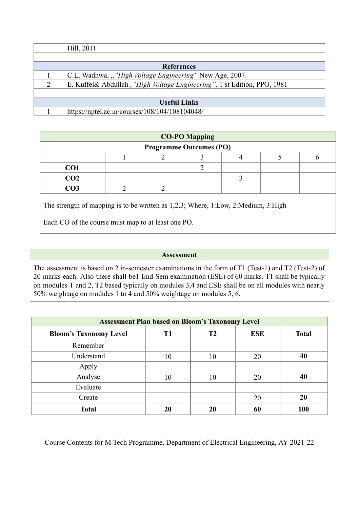|               | Hill, 2011                                                               |
|---------------|--------------------------------------------------------------------------|
|               |                                                                          |
|               | <b>References</b>                                                        |
|               | C.L. Wadhwa, ""High Voltage Engineering" New Age, 2007.                  |
| $\mathcal{D}$ | E. Kuffel& Abdullah, "High Voltage Engineering", 1 st Edition, PPO, 1981 |
|               |                                                                          |
|               | <b>Useful Links</b>                                                      |
|               | https://nptel.ac.in/courses/108/104/108104048/                           |

| <b>CO-PO Mapping</b> |                                |  |  |  |  |  |  |
|----------------------|--------------------------------|--|--|--|--|--|--|
|                      | <b>Programme Outcomes (PO)</b> |  |  |  |  |  |  |
|                      |                                |  |  |  |  |  |  |
| CO <sub>1</sub>      |                                |  |  |  |  |  |  |
| CO <sub>2</sub>      |                                |  |  |  |  |  |  |
| CO <sub>3</sub>      |                                |  |  |  |  |  |  |
|                      |                                |  |  |  |  |  |  |

The strength of mapping is to be written as 1,2,3; Where, 1:Low, 2:Medium, 3:High

Each CO of the course must map to at least one PO.

## **Assessment**

The assessment is based on 2 in-semester examinations in the form of T1 (Test-1) and T2 (Test-2) of 20 marks each. Also there shall be1 End-Sem examination (ESE) of 60 marks. T1 shall be typically on modules 1 and 2, T2 based typically on modules 3,4 and ESE shall be on all modules with nearly 50% weightage on modules 1 to 4 and 50% weightage on modules 5, 6.

| <b>Assessment Plan based on Bloom's Taxonomy Level</b> |    |    |            |              |  |  |
|--------------------------------------------------------|----|----|------------|--------------|--|--|
| <b>Bloom's Taxonomy Level</b>                          | T1 | T2 | <b>ESE</b> | <b>Total</b> |  |  |
| Remember                                               |    |    |            |              |  |  |
| Understand                                             | 10 | 10 | 20         | 40           |  |  |
| Apply                                                  |    |    |            |              |  |  |
| Analyse                                                | 10 | 10 | 20         | 40           |  |  |
| Evaluate                                               |    |    |            |              |  |  |
| Create                                                 |    |    | 20         | 20           |  |  |
| <b>Total</b>                                           | 20 | 20 | 60         | 100          |  |  |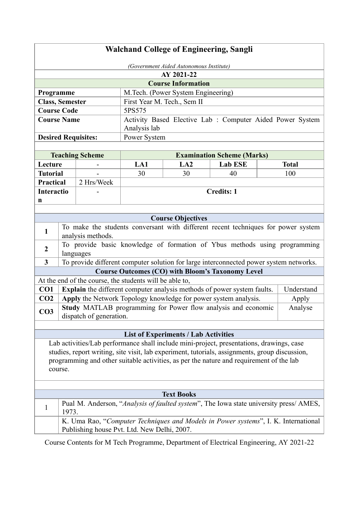# **Walchand College of Engineering, Sangli**

|                            | (Government Aided Autonomous Institute)                   |  |  |  |  |  |
|----------------------------|-----------------------------------------------------------|--|--|--|--|--|
|                            | AY 2021-22                                                |  |  |  |  |  |
|                            | <b>Course Information</b>                                 |  |  |  |  |  |
| Programme                  | M. Tech. (Power System Engineering)                       |  |  |  |  |  |
| <b>Class, Semester</b>     | First Year M. Tech., Sem II                               |  |  |  |  |  |
| <b>Course Code</b>         | 5PS575                                                    |  |  |  |  |  |
| <b>Course Name</b>         | Activity Based Elective Lab : Computer Aided Power System |  |  |  |  |  |
|                            | Analysis lab                                              |  |  |  |  |  |
| <b>Desired Requisites:</b> | Power System                                              |  |  |  |  |  |
|                            |                                                           |  |  |  |  |  |

|                   | <b>Teaching Scheme</b> | <b>Examination Scheme (Marks)</b> |                                |    |     |  |  |  |
|-------------------|------------------------|-----------------------------------|--------------------------------|----|-----|--|--|--|
| Lecture           |                        | LA1                               | Lab ESE<br><b>Total</b><br>LA2 |    |     |  |  |  |
| Tutorial          | -                      | 30                                | 30                             | 40 | 100 |  |  |  |
| Practical         | 2 Hrs/Week             |                                   |                                |    |     |  |  |  |
| <b>Interactio</b> | -                      | <b>Credits: 1</b>                 |                                |    |     |  |  |  |
| n                 |                        |                                   |                                |    |     |  |  |  |
|                   |                        |                                   |                                |    |     |  |  |  |

|                                                         | <b>Course Objectives</b>                                                                               |            |  |  |  |  |  |
|---------------------------------------------------------|--------------------------------------------------------------------------------------------------------|------------|--|--|--|--|--|
| 1                                                       | To make the students conversant with different recent techniques for power system<br>analysis methods. |            |  |  |  |  |  |
| $\overline{2}$                                          | To provide basic knowledge of formation of Ybus methods using programming<br>languages                 |            |  |  |  |  |  |
| $\mathbf{3}$                                            | To provide different computer solution for large interconnected power system networks.                 |            |  |  |  |  |  |
| <b>Course Outcomes (CO) with Bloom's Taxonomy Level</b> |                                                                                                        |            |  |  |  |  |  |
|                                                         | At the end of the course, the students will be able to,                                                |            |  |  |  |  |  |
| CO <sub>1</sub>                                         | <b>Explain</b> the different computer analysis methods of power system faults.                         | Understand |  |  |  |  |  |
| CO <sub>2</sub>                                         | Apply the Network Topology knowledge for power system analysis.                                        | Apply      |  |  |  |  |  |
| CO <sub>3</sub>                                         | Study MATLAB programming for Power flow analysis and economic<br>dispatch of generation.               | Analyse    |  |  |  |  |  |

# **List of Experiments / Lab Activities**

Lab activities/Lab performance shall include mini-project, presentations, drawings, case studies, report writing, site visit, lab experiment, tutorials, assignments, group discussion, programming and other suitable activities, as per the nature and requirement of the lab course.

| <b>Text Books</b>                                                                                                                 |  |  |  |  |  |  |
|-----------------------------------------------------------------------------------------------------------------------------------|--|--|--|--|--|--|
| Pual M. Anderson, "Analysis of faulted system", The Iowa state university press/ AMES,<br>1973.                                   |  |  |  |  |  |  |
| K. Uma Rao, "Computer Techniques and Models in Power systems", I. K. International<br>Publishing house Pvt. Ltd. New Delhi, 2007. |  |  |  |  |  |  |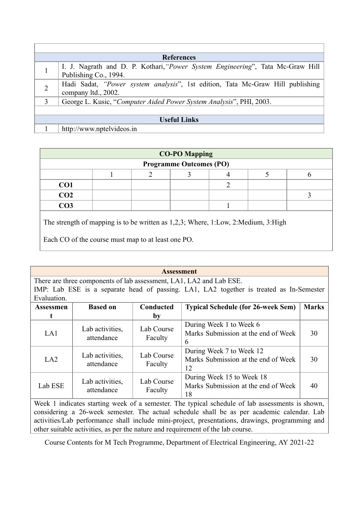|                     | <b>References</b>                                                                                       |  |  |  |
|---------------------|---------------------------------------------------------------------------------------------------------|--|--|--|
|                     | I. J. Nagrath and D. P. Kothari, "Power System Engineering", Tata Mc-Graw Hill<br>Publishing Co., 1994. |  |  |  |
| $\overline{2}$      | Hadi Sadat, "Power system analysis", 1st edition, Tata Mc-Graw Hill publishing<br>company ltd., 2002.   |  |  |  |
| 3                   | George L. Kusic, "Computer Aided Power System Analysis", PHI, 2003.                                     |  |  |  |
|                     |                                                                                                         |  |  |  |
| <b>Useful Links</b> |                                                                                                         |  |  |  |
|                     | http://www.nptelvideos.in                                                                               |  |  |  |

| <b>CO-PO Mapping</b> |                                |  |  |  |  |  |  |  |
|----------------------|--------------------------------|--|--|--|--|--|--|--|
|                      | <b>Programme Outcomes (PO)</b> |  |  |  |  |  |  |  |
|                      |                                |  |  |  |  |  |  |  |
| CO <sub>1</sub>      |                                |  |  |  |  |  |  |  |
| CO <sub>2</sub>      |                                |  |  |  |  |  |  |  |
| CO <sub>3</sub>      |                                |  |  |  |  |  |  |  |
|                      |                                |  |  |  |  |  |  |  |

The strength of mapping is to be written as 1,2,3; Where, 1:Low, 2:Medium, 3:High

Each CO of the course must map to at least one PO.

| <b>Assessment</b>                                                                       |                               |                       |                                                                        |              |  |  |  |  |  |
|-----------------------------------------------------------------------------------------|-------------------------------|-----------------------|------------------------------------------------------------------------|--------------|--|--|--|--|--|
| There are three components of lab assessment, LA1, LA2 and Lab ESE.                     |                               |                       |                                                                        |              |  |  |  |  |  |
| IMP: Lab ESE is a separate head of passing. LA1, LA2 together is treated as In-Semester |                               |                       |                                                                        |              |  |  |  |  |  |
| Evaluation.                                                                             |                               |                       |                                                                        |              |  |  |  |  |  |
| Assessmen                                                                               | <b>Based on</b>               | Conducted             | <b>Typical Schedule (for 26-week Sem)</b>                              | <b>Marks</b> |  |  |  |  |  |
| t                                                                                       |                               | by                    |                                                                        |              |  |  |  |  |  |
| LA1                                                                                     | Lab activities,<br>attendance | Lab Course<br>Faculty | During Week 1 to Week 6<br>Marks Submission at the end of Week<br>6    | 30           |  |  |  |  |  |
| LA2                                                                                     | Lab activities,<br>attendance | Lab Course<br>Faculty | During Week 7 to Week 12<br>Marks Submission at the end of Week<br>12  | 30           |  |  |  |  |  |
| Lab ESE                                                                                 | Lab activities,<br>attendance | Lab Course<br>Faculty | During Week 15 to Week 18<br>Marks Submission at the end of Week<br>18 | 40           |  |  |  |  |  |

Week 1 indicates starting week of a semester. The typical schedule of lab assessments is shown, considering a 26-week semester. The actual schedule shall be as per academic calendar. Lab activities/Lab performance shall include mini-project, presentations, drawings, programming and other suitable activities, as per the nature and requirement of the lab course.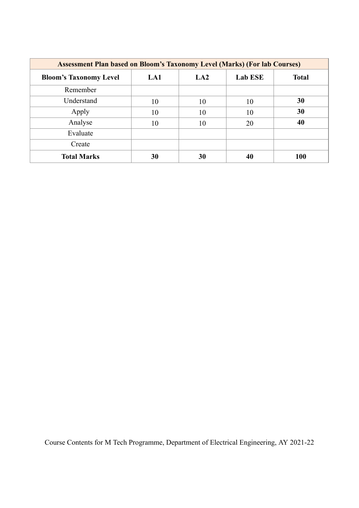| <b>Assessment Plan based on Bloom's Taxonomy Level (Marks) (For lab Courses)</b> |     |     |                |              |  |  |  |
|----------------------------------------------------------------------------------|-----|-----|----------------|--------------|--|--|--|
| <b>Bloom's Taxonomy Level</b>                                                    | LA1 | LA2 | <b>Lab ESE</b> | <b>Total</b> |  |  |  |
| Remember                                                                         |     |     |                |              |  |  |  |
| Understand                                                                       | 10  | 10  | 10             | 30           |  |  |  |
| Apply                                                                            | 10  | 10  | 10             | 30           |  |  |  |
| Analyse                                                                          | 10  | 10  | 20             | 40           |  |  |  |
| Evaluate                                                                         |     |     |                |              |  |  |  |
| Create                                                                           |     |     |                |              |  |  |  |
| <b>Total Marks</b>                                                               | 30  | 30  | 40             | 100          |  |  |  |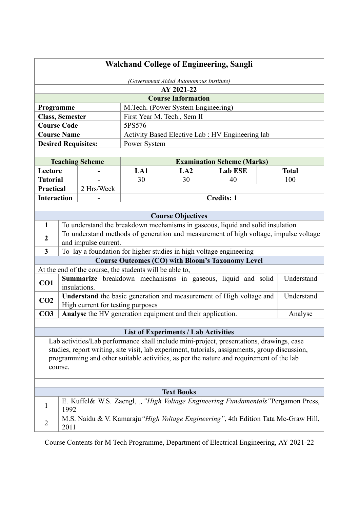| (Government Aided Autonomous Institute)<br>AY 2021-22<br><b>Course Information</b><br>Programme<br>M.Tech. (Power System Engineering)<br><b>Class, Semester</b><br>First Year M. Tech., Sem II<br><b>Course Code</b><br>5PS576<br>Activity Based Elective Lab : HV Engineering lab<br><b>Course Name</b><br><b>Desired Requisites:</b><br>Power System<br><b>Teaching Scheme</b><br><b>Examination Scheme (Marks)</b><br>LA1<br><b>Lab ESE</b><br>Lecture<br>LA2<br><b>Total</b><br><b>Tutorial</b><br>30<br>30<br>40<br>100<br>2 Hrs/Week<br><b>Practical</b><br><b>Interaction</b><br><b>Credits: 1</b><br><b>Course Objectives</b><br>$\mathbf{1}$<br>To understand the breakdown mechanisms in gaseous, liquid and solid insulation<br>To understand methods of generation and measurement of high voltage, impulse voltage<br>$\boldsymbol{2}$<br>and impulse current.<br>To lay a foundation for higher studies in high voltage engineering<br>$\mathbf{3}$<br><b>Course Outcomes (CO) with Bloom's Taxonomy Level</b><br>At the end of the course, the students will be able to,<br>Summarize breakdown mechanisms in gaseous, liquid and solid<br>CO1<br>insulations.<br>Understand the basic generation and measurement of High voltage and<br>CO <sub>2</sub><br>High current for testing purposes<br>Analyse the HV generation equipment and their application.<br>CO <sub>3</sub><br>Analyse<br><b>List of Experiments / Lab Activities</b><br>Lab activities/Lab performance shall include mini-project, presentations, drawings, case<br>programming and other suitable activities, as per the nature and requirement of the lab<br>course.<br><b>Text Books</b><br>E. Kuffel& W.S. Zaengl, ""High Voltage Engineering Fundamentals "Pergamon Press,<br>1<br>1992 | <b>Walchand College of Engineering, Sangli</b>                                                 |  |  |  |  |  |            |
|---------------------------------------------------------------------------------------------------------------------------------------------------------------------------------------------------------------------------------------------------------------------------------------------------------------------------------------------------------------------------------------------------------------------------------------------------------------------------------------------------------------------------------------------------------------------------------------------------------------------------------------------------------------------------------------------------------------------------------------------------------------------------------------------------------------------------------------------------------------------------------------------------------------------------------------------------------------------------------------------------------------------------------------------------------------------------------------------------------------------------------------------------------------------------------------------------------------------------------------------------------------------------------------------------------------------------------------------------------------------------------------------------------------------------------------------------------------------------------------------------------------------------------------------------------------------------------------------------------------------------------------------------------------------------------------------------------------------------------------------------------------------------------|------------------------------------------------------------------------------------------------|--|--|--|--|--|------------|
|                                                                                                                                                                                                                                                                                                                                                                                                                                                                                                                                                                                                                                                                                                                                                                                                                                                                                                                                                                                                                                                                                                                                                                                                                                                                                                                                                                                                                                                                                                                                                                                                                                                                                                                                                                                 |                                                                                                |  |  |  |  |  |            |
|                                                                                                                                                                                                                                                                                                                                                                                                                                                                                                                                                                                                                                                                                                                                                                                                                                                                                                                                                                                                                                                                                                                                                                                                                                                                                                                                                                                                                                                                                                                                                                                                                                                                                                                                                                                 |                                                                                                |  |  |  |  |  |            |
|                                                                                                                                                                                                                                                                                                                                                                                                                                                                                                                                                                                                                                                                                                                                                                                                                                                                                                                                                                                                                                                                                                                                                                                                                                                                                                                                                                                                                                                                                                                                                                                                                                                                                                                                                                                 |                                                                                                |  |  |  |  |  |            |
|                                                                                                                                                                                                                                                                                                                                                                                                                                                                                                                                                                                                                                                                                                                                                                                                                                                                                                                                                                                                                                                                                                                                                                                                                                                                                                                                                                                                                                                                                                                                                                                                                                                                                                                                                                                 |                                                                                                |  |  |  |  |  |            |
|                                                                                                                                                                                                                                                                                                                                                                                                                                                                                                                                                                                                                                                                                                                                                                                                                                                                                                                                                                                                                                                                                                                                                                                                                                                                                                                                                                                                                                                                                                                                                                                                                                                                                                                                                                                 |                                                                                                |  |  |  |  |  |            |
|                                                                                                                                                                                                                                                                                                                                                                                                                                                                                                                                                                                                                                                                                                                                                                                                                                                                                                                                                                                                                                                                                                                                                                                                                                                                                                                                                                                                                                                                                                                                                                                                                                                                                                                                                                                 |                                                                                                |  |  |  |  |  |            |
|                                                                                                                                                                                                                                                                                                                                                                                                                                                                                                                                                                                                                                                                                                                                                                                                                                                                                                                                                                                                                                                                                                                                                                                                                                                                                                                                                                                                                                                                                                                                                                                                                                                                                                                                                                                 |                                                                                                |  |  |  |  |  |            |
|                                                                                                                                                                                                                                                                                                                                                                                                                                                                                                                                                                                                                                                                                                                                                                                                                                                                                                                                                                                                                                                                                                                                                                                                                                                                                                                                                                                                                                                                                                                                                                                                                                                                                                                                                                                 |                                                                                                |  |  |  |  |  |            |
|                                                                                                                                                                                                                                                                                                                                                                                                                                                                                                                                                                                                                                                                                                                                                                                                                                                                                                                                                                                                                                                                                                                                                                                                                                                                                                                                                                                                                                                                                                                                                                                                                                                                                                                                                                                 |                                                                                                |  |  |  |  |  |            |
|                                                                                                                                                                                                                                                                                                                                                                                                                                                                                                                                                                                                                                                                                                                                                                                                                                                                                                                                                                                                                                                                                                                                                                                                                                                                                                                                                                                                                                                                                                                                                                                                                                                                                                                                                                                 |                                                                                                |  |  |  |  |  |            |
|                                                                                                                                                                                                                                                                                                                                                                                                                                                                                                                                                                                                                                                                                                                                                                                                                                                                                                                                                                                                                                                                                                                                                                                                                                                                                                                                                                                                                                                                                                                                                                                                                                                                                                                                                                                 |                                                                                                |  |  |  |  |  |            |
|                                                                                                                                                                                                                                                                                                                                                                                                                                                                                                                                                                                                                                                                                                                                                                                                                                                                                                                                                                                                                                                                                                                                                                                                                                                                                                                                                                                                                                                                                                                                                                                                                                                                                                                                                                                 |                                                                                                |  |  |  |  |  |            |
|                                                                                                                                                                                                                                                                                                                                                                                                                                                                                                                                                                                                                                                                                                                                                                                                                                                                                                                                                                                                                                                                                                                                                                                                                                                                                                                                                                                                                                                                                                                                                                                                                                                                                                                                                                                 |                                                                                                |  |  |  |  |  |            |
|                                                                                                                                                                                                                                                                                                                                                                                                                                                                                                                                                                                                                                                                                                                                                                                                                                                                                                                                                                                                                                                                                                                                                                                                                                                                                                                                                                                                                                                                                                                                                                                                                                                                                                                                                                                 |                                                                                                |  |  |  |  |  |            |
|                                                                                                                                                                                                                                                                                                                                                                                                                                                                                                                                                                                                                                                                                                                                                                                                                                                                                                                                                                                                                                                                                                                                                                                                                                                                                                                                                                                                                                                                                                                                                                                                                                                                                                                                                                                 |                                                                                                |  |  |  |  |  |            |
|                                                                                                                                                                                                                                                                                                                                                                                                                                                                                                                                                                                                                                                                                                                                                                                                                                                                                                                                                                                                                                                                                                                                                                                                                                                                                                                                                                                                                                                                                                                                                                                                                                                                                                                                                                                 |                                                                                                |  |  |  |  |  |            |
|                                                                                                                                                                                                                                                                                                                                                                                                                                                                                                                                                                                                                                                                                                                                                                                                                                                                                                                                                                                                                                                                                                                                                                                                                                                                                                                                                                                                                                                                                                                                                                                                                                                                                                                                                                                 |                                                                                                |  |  |  |  |  |            |
|                                                                                                                                                                                                                                                                                                                                                                                                                                                                                                                                                                                                                                                                                                                                                                                                                                                                                                                                                                                                                                                                                                                                                                                                                                                                                                                                                                                                                                                                                                                                                                                                                                                                                                                                                                                 |                                                                                                |  |  |  |  |  |            |
|                                                                                                                                                                                                                                                                                                                                                                                                                                                                                                                                                                                                                                                                                                                                                                                                                                                                                                                                                                                                                                                                                                                                                                                                                                                                                                                                                                                                                                                                                                                                                                                                                                                                                                                                                                                 |                                                                                                |  |  |  |  |  |            |
|                                                                                                                                                                                                                                                                                                                                                                                                                                                                                                                                                                                                                                                                                                                                                                                                                                                                                                                                                                                                                                                                                                                                                                                                                                                                                                                                                                                                                                                                                                                                                                                                                                                                                                                                                                                 |                                                                                                |  |  |  |  |  |            |
|                                                                                                                                                                                                                                                                                                                                                                                                                                                                                                                                                                                                                                                                                                                                                                                                                                                                                                                                                                                                                                                                                                                                                                                                                                                                                                                                                                                                                                                                                                                                                                                                                                                                                                                                                                                 |                                                                                                |  |  |  |  |  |            |
|                                                                                                                                                                                                                                                                                                                                                                                                                                                                                                                                                                                                                                                                                                                                                                                                                                                                                                                                                                                                                                                                                                                                                                                                                                                                                                                                                                                                                                                                                                                                                                                                                                                                                                                                                                                 |                                                                                                |  |  |  |  |  |            |
|                                                                                                                                                                                                                                                                                                                                                                                                                                                                                                                                                                                                                                                                                                                                                                                                                                                                                                                                                                                                                                                                                                                                                                                                                                                                                                                                                                                                                                                                                                                                                                                                                                                                                                                                                                                 |                                                                                                |  |  |  |  |  | Understand |
|                                                                                                                                                                                                                                                                                                                                                                                                                                                                                                                                                                                                                                                                                                                                                                                                                                                                                                                                                                                                                                                                                                                                                                                                                                                                                                                                                                                                                                                                                                                                                                                                                                                                                                                                                                                 |                                                                                                |  |  |  |  |  | Understand |
|                                                                                                                                                                                                                                                                                                                                                                                                                                                                                                                                                                                                                                                                                                                                                                                                                                                                                                                                                                                                                                                                                                                                                                                                                                                                                                                                                                                                                                                                                                                                                                                                                                                                                                                                                                                 |                                                                                                |  |  |  |  |  |            |
|                                                                                                                                                                                                                                                                                                                                                                                                                                                                                                                                                                                                                                                                                                                                                                                                                                                                                                                                                                                                                                                                                                                                                                                                                                                                                                                                                                                                                                                                                                                                                                                                                                                                                                                                                                                 |                                                                                                |  |  |  |  |  |            |
|                                                                                                                                                                                                                                                                                                                                                                                                                                                                                                                                                                                                                                                                                                                                                                                                                                                                                                                                                                                                                                                                                                                                                                                                                                                                                                                                                                                                                                                                                                                                                                                                                                                                                                                                                                                 |                                                                                                |  |  |  |  |  |            |
|                                                                                                                                                                                                                                                                                                                                                                                                                                                                                                                                                                                                                                                                                                                                                                                                                                                                                                                                                                                                                                                                                                                                                                                                                                                                                                                                                                                                                                                                                                                                                                                                                                                                                                                                                                                 | studies, report writing, site visit, lab experiment, tutorials, assignments, group discussion, |  |  |  |  |  |            |
|                                                                                                                                                                                                                                                                                                                                                                                                                                                                                                                                                                                                                                                                                                                                                                                                                                                                                                                                                                                                                                                                                                                                                                                                                                                                                                                                                                                                                                                                                                                                                                                                                                                                                                                                                                                 |                                                                                                |  |  |  |  |  |            |
|                                                                                                                                                                                                                                                                                                                                                                                                                                                                                                                                                                                                                                                                                                                                                                                                                                                                                                                                                                                                                                                                                                                                                                                                                                                                                                                                                                                                                                                                                                                                                                                                                                                                                                                                                                                 |                                                                                                |  |  |  |  |  |            |
|                                                                                                                                                                                                                                                                                                                                                                                                                                                                                                                                                                                                                                                                                                                                                                                                                                                                                                                                                                                                                                                                                                                                                                                                                                                                                                                                                                                                                                                                                                                                                                                                                                                                                                                                                                                 |                                                                                                |  |  |  |  |  |            |
| M.S. Naidu & V. Kamaraju "High Voltage Engineering", 4th Edition Tata Mc-Graw Hill,<br>$\overline{2}$<br>2011                                                                                                                                                                                                                                                                                                                                                                                                                                                                                                                                                                                                                                                                                                                                                                                                                                                                                                                                                                                                                                                                                                                                                                                                                                                                                                                                                                                                                                                                                                                                                                                                                                                                   |                                                                                                |  |  |  |  |  |            |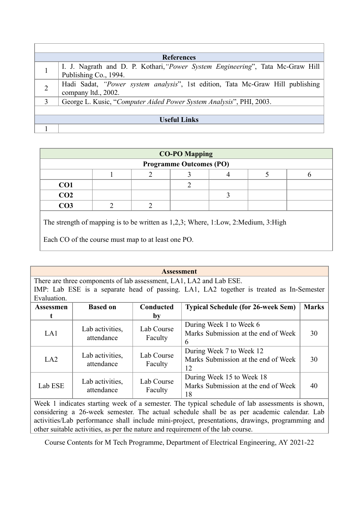|                | <b>References</b>                                                                                       |  |  |  |  |  |
|----------------|---------------------------------------------------------------------------------------------------------|--|--|--|--|--|
|                | I. J. Nagrath and D. P. Kothari, "Power System Engineering", Tata Mc-Graw Hill<br>Publishing Co., 1994. |  |  |  |  |  |
| $\overline{2}$ | Hadi Sadat, "Power system analysis", 1st edition, Tata Mc-Graw Hill publishing<br>company ltd., 2002.   |  |  |  |  |  |
| 3              | George L. Kusic, "Computer Aided Power System Analysis", PHI, 2003.                                     |  |  |  |  |  |
|                |                                                                                                         |  |  |  |  |  |
|                | <b>Useful Links</b>                                                                                     |  |  |  |  |  |
|                |                                                                                                         |  |  |  |  |  |

| <b>CO-PO Mapping</b>           |  |  |  |  |  |  |  |
|--------------------------------|--|--|--|--|--|--|--|
| <b>Programme Outcomes (PO)</b> |  |  |  |  |  |  |  |
|                                |  |  |  |  |  |  |  |
| CO <sub>1</sub>                |  |  |  |  |  |  |  |
| CO <sub>2</sub>                |  |  |  |  |  |  |  |
| CO <sub>3</sub>                |  |  |  |  |  |  |  |
|                                |  |  |  |  |  |  |  |

The strength of mapping is to be written as 1,2,3; Where, 1:Low, 2:Medium, 3:High

Each CO of the course must map to at least one PO.

| <b>Assessment</b> |                                                                     |                       |                                                                                         |              |  |  |  |  |  |
|-------------------|---------------------------------------------------------------------|-----------------------|-----------------------------------------------------------------------------------------|--------------|--|--|--|--|--|
|                   | There are three components of lab assessment, LA1, LA2 and Lab ESE. |                       |                                                                                         |              |  |  |  |  |  |
|                   |                                                                     |                       | IMP: Lab ESE is a separate head of passing. LA1, LA2 together is treated as In-Semester |              |  |  |  |  |  |
| Evaluation.       |                                                                     |                       |                                                                                         |              |  |  |  |  |  |
| Assessmen         | <b>Based on</b>                                                     | Conducted             | <b>Typical Schedule (for 26-week Sem)</b>                                               | <b>Marks</b> |  |  |  |  |  |
| t                 |                                                                     | by                    |                                                                                         |              |  |  |  |  |  |
| LA1               | Lab activities,<br>attendance                                       | Lab Course<br>Faculty | During Week 1 to Week 6<br>Marks Submission at the end of Week<br>$\mathfrak b$         | 30           |  |  |  |  |  |
| LA2               | Lab activities,<br>attendance                                       | Lab Course<br>Faculty | During Week 7 to Week 12<br>Marks Submission at the end of Week<br>12                   | 30           |  |  |  |  |  |
| Lab ESE           | Lab activities,<br>attendance                                       | Lab Course<br>Faculty | During Week 15 to Week 18<br>Marks Submission at the end of Week<br>18                  | 40           |  |  |  |  |  |

Week 1 indicates starting week of a semester. The typical schedule of lab assessments is shown, considering a 26-week semester. The actual schedule shall be as per academic calendar. Lab activities/Lab performance shall include mini-project, presentations, drawings, programming and other suitable activities, as per the nature and requirement of the lab course.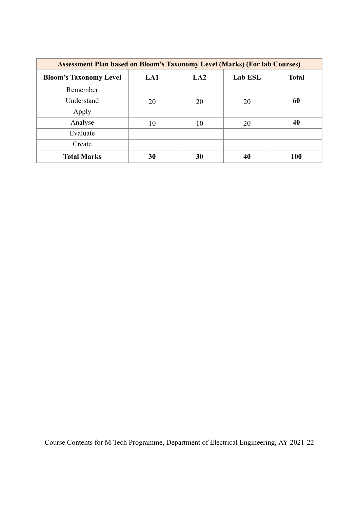| <b>Assessment Plan based on Bloom's Taxonomy Level (Marks) (For lab Courses)</b> |     |     |                |              |  |  |  |
|----------------------------------------------------------------------------------|-----|-----|----------------|--------------|--|--|--|
| <b>Bloom's Taxonomy Level</b>                                                    | LA1 | LA2 | <b>Lab ESE</b> | <b>Total</b> |  |  |  |
| Remember                                                                         |     |     |                |              |  |  |  |
| Understand                                                                       | 20  | 20  | 20             | 60           |  |  |  |
| Apply                                                                            |     |     |                |              |  |  |  |
| Analyse                                                                          | 10  | 10  | 20             | 40           |  |  |  |
| Evaluate                                                                         |     |     |                |              |  |  |  |
| Create                                                                           |     |     |                |              |  |  |  |
| <b>Total Marks</b>                                                               | 30  | 30  | 40             | 100          |  |  |  |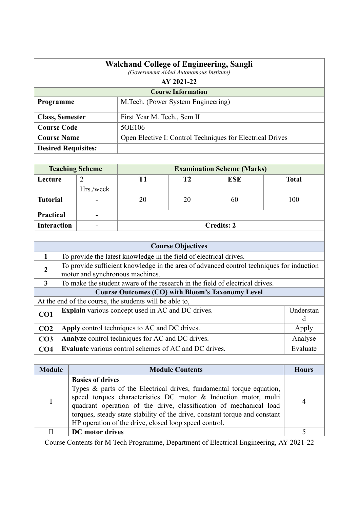|                                                                                                                                                                                                                                                                                                                                   | <b>Walchand College of Engineering, Sangli</b><br>(Government Aided Autonomous Institute) |                            |                                                                    |                           |                                                                                          |  |              |  |
|-----------------------------------------------------------------------------------------------------------------------------------------------------------------------------------------------------------------------------------------------------------------------------------------------------------------------------------|-------------------------------------------------------------------------------------------|----------------------------|--------------------------------------------------------------------|---------------------------|------------------------------------------------------------------------------------------|--|--------------|--|
|                                                                                                                                                                                                                                                                                                                                   | AY 2021-22                                                                                |                            |                                                                    |                           |                                                                                          |  |              |  |
|                                                                                                                                                                                                                                                                                                                                   |                                                                                           |                            |                                                                    | <b>Course Information</b> |                                                                                          |  |              |  |
| Programme                                                                                                                                                                                                                                                                                                                         |                                                                                           |                            | M.Tech. (Power System Engineering)                                 |                           |                                                                                          |  |              |  |
| <b>Class, Semester</b>                                                                                                                                                                                                                                                                                                            |                                                                                           |                            | First Year M. Tech., Sem II                                        |                           |                                                                                          |  |              |  |
| <b>Course Code</b>                                                                                                                                                                                                                                                                                                                |                                                                                           |                            | 5OE106                                                             |                           |                                                                                          |  |              |  |
| <b>Course Name</b>                                                                                                                                                                                                                                                                                                                |                                                                                           |                            |                                                                    |                           | Open Elective I: Control Techniques for Electrical Drives                                |  |              |  |
|                                                                                                                                                                                                                                                                                                                                   |                                                                                           | <b>Desired Requisites:</b> |                                                                    |                           |                                                                                          |  |              |  |
|                                                                                                                                                                                                                                                                                                                                   |                                                                                           |                            |                                                                    |                           |                                                                                          |  |              |  |
|                                                                                                                                                                                                                                                                                                                                   |                                                                                           | <b>Teaching Scheme</b>     |                                                                    |                           | <b>Examination Scheme (Marks)</b>                                                        |  |              |  |
| Lecture                                                                                                                                                                                                                                                                                                                           |                                                                                           | $\overline{2}$             | <b>T1</b>                                                          | T <sub>2</sub>            | <b>ESE</b>                                                                               |  | <b>Total</b> |  |
|                                                                                                                                                                                                                                                                                                                                   |                                                                                           | Hrs./week                  |                                                                    |                           |                                                                                          |  |              |  |
| <b>Tutorial</b>                                                                                                                                                                                                                                                                                                                   |                                                                                           |                            | 20                                                                 | 20                        | 60                                                                                       |  | 100          |  |
| Practical                                                                                                                                                                                                                                                                                                                         |                                                                                           |                            |                                                                    |                           |                                                                                          |  |              |  |
| <b>Interaction</b>                                                                                                                                                                                                                                                                                                                |                                                                                           | -                          |                                                                    |                           | <b>Credits: 2</b>                                                                        |  |              |  |
|                                                                                                                                                                                                                                                                                                                                   |                                                                                           |                            |                                                                    |                           |                                                                                          |  |              |  |
|                                                                                                                                                                                                                                                                                                                                   |                                                                                           |                            |                                                                    | <b>Course Objectives</b>  |                                                                                          |  |              |  |
| $\mathbf{1}$                                                                                                                                                                                                                                                                                                                      |                                                                                           |                            | To provide the latest knowledge in the field of electrical drives. |                           |                                                                                          |  |              |  |
| $\overline{2}$                                                                                                                                                                                                                                                                                                                    |                                                                                           |                            |                                                                    |                           | To provide sufficient knowledge in the area of advanced control techniques for induction |  |              |  |
| $\mathbf{3}$                                                                                                                                                                                                                                                                                                                      |                                                                                           |                            | motor and synchronous machines.                                    |                           | To make the student aware of the research in the field of electrical drives.             |  |              |  |
|                                                                                                                                                                                                                                                                                                                                   |                                                                                           |                            |                                                                    |                           | <b>Course Outcomes (CO) with Bloom's Taxonomy Level</b>                                  |  |              |  |
|                                                                                                                                                                                                                                                                                                                                   |                                                                                           |                            | At the end of the course, the students will be able to,            |                           |                                                                                          |  |              |  |
|                                                                                                                                                                                                                                                                                                                                   |                                                                                           |                            | Explain various concept used in AC and DC drives.                  |                           |                                                                                          |  | Understan    |  |
| CO1                                                                                                                                                                                                                                                                                                                               |                                                                                           |                            |                                                                    |                           |                                                                                          |  | d            |  |
| CO <sub>2</sub>                                                                                                                                                                                                                                                                                                                   |                                                                                           |                            | Apply control techniques to AC and DC drives.                      |                           |                                                                                          |  | Apply        |  |
| CO <sub>3</sub>                                                                                                                                                                                                                                                                                                                   |                                                                                           |                            | Analyze control techniques for AC and DC drives.                   |                           |                                                                                          |  | Analyse      |  |
| CO <sub>4</sub>                                                                                                                                                                                                                                                                                                                   |                                                                                           |                            | <b>Evaluate</b> various control schemes of AC and DC drives.       |                           |                                                                                          |  | Evaluate     |  |
|                                                                                                                                                                                                                                                                                                                                   |                                                                                           |                            |                                                                    |                           |                                                                                          |  |              |  |
| <b>Module</b><br><b>Module Contents</b>                                                                                                                                                                                                                                                                                           |                                                                                           |                            |                                                                    |                           | <b>Hours</b>                                                                             |  |              |  |
| <b>Basics of drives</b><br>Types & parts of the Electrical drives, fundamental torque equation,<br>speed torques characteristics DC motor & Induction motor, multi<br>$\bf I$<br>quadrant operation of the drive, classification of mechanical load<br>torques, steady state stability of the drive, constant torque and constant |                                                                                           |                            |                                                                    | $\overline{4}$            |                                                                                          |  |              |  |
| $\rm II$                                                                                                                                                                                                                                                                                                                          |                                                                                           | <b>DC</b> motor drives     | HP operation of the drive, closed loop speed control.              |                           |                                                                                          |  | 5            |  |
|                                                                                                                                                                                                                                                                                                                                   |                                                                                           |                            |                                                                    |                           |                                                                                          |  |              |  |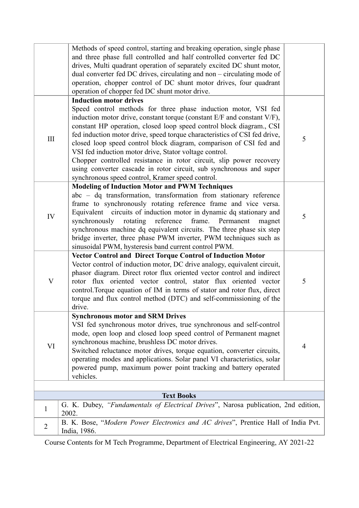|                | Methods of speed control, starting and breaking operation, single phase<br>and three phase full controlled and half controlled converter fed DC<br>drives, Multi quadrant operation of separately excited DC shunt motor,<br>dual converter fed DC drives, circulating and non - circulating mode of<br>operation, chopper control of DC shunt motor drives, four quadrant<br>operation of chopper fed DC shunt motor drive.                                                                                                                                                                                                                                      |   |
|----------------|-------------------------------------------------------------------------------------------------------------------------------------------------------------------------------------------------------------------------------------------------------------------------------------------------------------------------------------------------------------------------------------------------------------------------------------------------------------------------------------------------------------------------------------------------------------------------------------------------------------------------------------------------------------------|---|
| III            | <b>Induction motor drives</b><br>Speed control methods for three phase induction motor, VSI fed<br>induction motor drive, constant torque (constant E/F and constant V/F),<br>constant HP operation, closed loop speed control block diagram., CSI<br>fed induction motor drive, speed torque characteristics of CSI fed drive,<br>closed loop speed control block diagram, comparison of CSI fed and<br>VSI fed induction motor drive, Stator voltage control.<br>Chopper controlled resistance in rotor circuit, slip power recovery<br>using converter cascade in rotor circuit, sub synchronous and super<br>synchronous speed control, Kramer speed control. | 5 |
| IV             | <b>Modeling of Induction Motor and PWM Techniques</b><br>abc – dq transformation, transformation from stationary reference<br>frame to synchronously rotating reference frame and vice versa.<br>Equivalent circuits of induction motor in dynamic dq stationary and<br>rotating reference<br>frame. Permanent<br>synchronously<br>magnet<br>synchronous machine dq equivalent circuits. The three phase six step<br>bridge inverter, three phase PWM inverter, PWM techniques such as<br>sinusoidal PWM, hysteresis band current control PWM.                                                                                                                    | 5 |
| $\mathbf V$    | Vector Control and Direct Torque Control of Induction Motor<br>Vector control of induction motor, DC drive analogy, equivalent circuit,<br>phasor diagram. Direct rotor flux oriented vector control and indirect<br>rotor flux oriented vector control, stator flux oriented vector<br>control. Torque equation of IM in terms of stator and rotor flux, direct<br>torque and flux control method (DTC) and self-commissioning of the<br>drive.                                                                                                                                                                                                                  | 5 |
| VI             | <b>Synchronous motor and SRM Drives</b><br>VSI fed synchronous motor drives, true synchronous and self-control<br>mode, open loop and closed loop speed control of Permanent magnet<br>synchronous machine, brushless DC motor drives.<br>Switched reluctance motor drives, torque equation, converter circuits,<br>operating modes and applications. Solar panel VI characteristics, solar<br>powered pump, maximum power point tracking and battery operated<br>vehicles.                                                                                                                                                                                       | 4 |
|                |                                                                                                                                                                                                                                                                                                                                                                                                                                                                                                                                                                                                                                                                   |   |
|                | <b>Text Books</b>                                                                                                                                                                                                                                                                                                                                                                                                                                                                                                                                                                                                                                                 |   |
| $\mathbf{I}$   | G. K. Dubey, "Fundamentals of Electrical Drives", Narosa publication, 2nd edition,<br>2002.                                                                                                                                                                                                                                                                                                                                                                                                                                                                                                                                                                       |   |
| $\overline{2}$ | B. K. Bose, "Modern Power Electronics and AC drives", Prentice Hall of India Pvt.<br>India, 1986.                                                                                                                                                                                                                                                                                                                                                                                                                                                                                                                                                                 |   |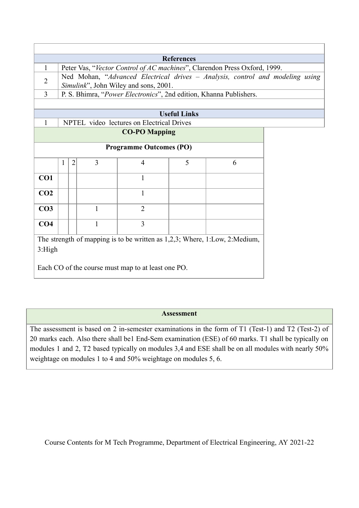| <b>References</b>                                                                                                                                    |   |                |                |                                           |                     |                                                                               |  |  |  |
|------------------------------------------------------------------------------------------------------------------------------------------------------|---|----------------|----------------|-------------------------------------------|---------------------|-------------------------------------------------------------------------------|--|--|--|
| 1                                                                                                                                                    |   |                |                |                                           |                     | Peter Vas, "Vector Control of AC machines", Clarendon Press Oxford, 1999.     |  |  |  |
| $\overline{2}$                                                                                                                                       |   |                |                | Simulink", John Wiley and sons, 2001.     |                     | Ned Mohan, "Advanced Electrical drives - Analysis, control and modeling using |  |  |  |
| $\overline{3}$                                                                                                                                       |   |                |                |                                           |                     | P. S. Bhimra, "Power Electronics", 2nd edition, Khanna Publishers.            |  |  |  |
|                                                                                                                                                      |   |                |                |                                           |                     |                                                                               |  |  |  |
|                                                                                                                                                      |   |                |                |                                           | <b>Useful Links</b> |                                                                               |  |  |  |
| $\mathbf{1}$                                                                                                                                         |   |                |                | NPTEL video lectures on Electrical Drives |                     |                                                                               |  |  |  |
|                                                                                                                                                      |   |                |                | <b>CO-PO Mapping</b>                      |                     |                                                                               |  |  |  |
|                                                                                                                                                      |   |                |                | <b>Programme Outcomes (PO)</b>            |                     |                                                                               |  |  |  |
|                                                                                                                                                      | 1 | $\overline{2}$ | $\overline{3}$ | $\overline{4}$                            | 5                   | 6                                                                             |  |  |  |
| CO1                                                                                                                                                  |   |                |                | $\mathbf{1}$                              |                     |                                                                               |  |  |  |
| CO <sub>2</sub>                                                                                                                                      |   |                |                | 1                                         |                     |                                                                               |  |  |  |
| CO <sub>3</sub>                                                                                                                                      |   |                | $\mathbf{1}$   | $\overline{2}$                            |                     |                                                                               |  |  |  |
| CO <sub>4</sub>                                                                                                                                      |   |                | $\mathbf{1}$   | $\overline{3}$                            |                     |                                                                               |  |  |  |
| The strength of mapping is to be written as $1,2,3$ ; Where, $1:Low$ , $2: Medium$ ,<br>3:High<br>Each CO of the course must map to at least one PO. |   |                |                |                                           |                     |                                                                               |  |  |  |
|                                                                                                                                                      |   |                |                |                                           |                     |                                                                               |  |  |  |

## **Assessment**

The assessment is based on 2 in-semester examinations in the form of T1 (Test-1) and T2 (Test-2) of 20 marks each. Also there shall be1 End-Sem examination (ESE) of 60 marks. T1 shall be typically on modules 1 and 2, T2 based typically on modules 3,4 and ESE shall be on all modules with nearly 50% weightage on modules 1 to 4 and 50% weightage on modules 5, 6.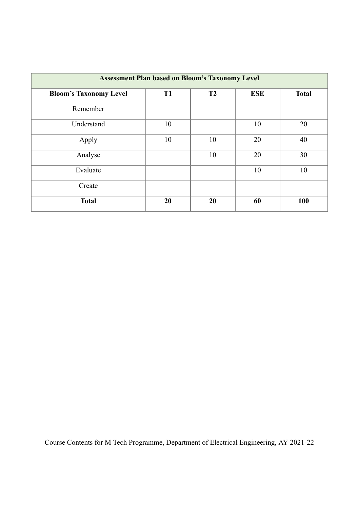| <b>Assessment Plan based on Bloom's Taxonomy Level</b> |                |                |            |              |  |  |  |
|--------------------------------------------------------|----------------|----------------|------------|--------------|--|--|--|
| <b>Bloom's Taxonomy Level</b>                          | T <sub>1</sub> | T <sub>2</sub> | <b>ESE</b> | <b>Total</b> |  |  |  |
| Remember                                               |                |                |            |              |  |  |  |
| Understand                                             | 10             |                | 10         | 20           |  |  |  |
| Apply                                                  | 10             | 10             | 20         | 40           |  |  |  |
| Analyse                                                |                | 10             | 20         | 30           |  |  |  |
| Evaluate                                               |                |                | 10         | 10           |  |  |  |
| Create                                                 |                |                |            |              |  |  |  |
| <b>Total</b>                                           | 20             | 20             | 60         | 100          |  |  |  |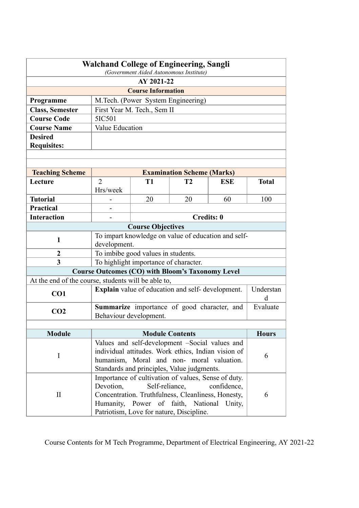| <b>Walchand College of Engineering, Sangli</b><br>(Government Aided Autonomous Institute) |                                             |                                                                                                  |                                   |                                                     |              |  |  |
|-------------------------------------------------------------------------------------------|---------------------------------------------|--------------------------------------------------------------------------------------------------|-----------------------------------|-----------------------------------------------------|--------------|--|--|
|                                                                                           | AY 2021-22                                  |                                                                                                  |                                   |                                                     |              |  |  |
|                                                                                           |                                             | <b>Course Information</b>                                                                        |                                   |                                                     |              |  |  |
| Programme                                                                                 |                                             | M.Tech. (Power System Engineering)                                                               |                                   |                                                     |              |  |  |
| <b>Class, Semester</b>                                                                    |                                             | First Year M. Tech., Sem II                                                                      |                                   |                                                     |              |  |  |
| <b>Course Code</b>                                                                        | 5IC501                                      |                                                                                                  |                                   |                                                     |              |  |  |
| <b>Course Name</b>                                                                        | Value Education                             |                                                                                                  |                                   |                                                     |              |  |  |
| <b>Desired</b>                                                                            |                                             |                                                                                                  |                                   |                                                     |              |  |  |
| <b>Requisites:</b>                                                                        |                                             |                                                                                                  |                                   |                                                     |              |  |  |
|                                                                                           |                                             |                                                                                                  |                                   |                                                     |              |  |  |
|                                                                                           |                                             |                                                                                                  |                                   |                                                     |              |  |  |
| <b>Teaching Scheme</b>                                                                    |                                             |                                                                                                  | <b>Examination Scheme (Marks)</b> |                                                     |              |  |  |
| Lecture                                                                                   | $\overline{2}$                              | <b>T1</b>                                                                                        | T <sub>2</sub>                    | <b>ESE</b>                                          | <b>Total</b> |  |  |
|                                                                                           | Hrs/week                                    |                                                                                                  |                                   |                                                     |              |  |  |
| <b>Tutorial</b>                                                                           |                                             | 20                                                                                               | 20                                | 60                                                  | 100          |  |  |
| <b>Practical</b>                                                                          |                                             |                                                                                                  |                                   |                                                     |              |  |  |
| <b>Interaction</b>                                                                        |                                             |                                                                                                  |                                   | <b>Credits: 0</b>                                   |              |  |  |
|                                                                                           |                                             | <b>Course Objectives</b>                                                                         |                                   |                                                     |              |  |  |
| $\mathbf{1}$                                                                              |                                             |                                                                                                  |                                   | To impart knowledge on value of education and self- |              |  |  |
|                                                                                           | development.                                |                                                                                                  |                                   |                                                     |              |  |  |
| 2<br>3                                                                                    |                                             | To imbibe good values in students.                                                               |                                   |                                                     |              |  |  |
|                                                                                           |                                             | To highlight importance of character.<br><b>Course Outcomes (CO) with Bloom's Taxonomy Level</b> |                                   |                                                     |              |  |  |
| At the end of the course, students will be able to,                                       |                                             |                                                                                                  |                                   |                                                     |              |  |  |
|                                                                                           |                                             | <b>Explain</b> value of education and self-development.                                          |                                   |                                                     | Understan    |  |  |
| CO <sub>1</sub>                                                                           |                                             |                                                                                                  |                                   |                                                     | <sub>d</sub> |  |  |
|                                                                                           | Summarize importance of good character, and |                                                                                                  |                                   |                                                     | Evaluate     |  |  |
| CO <sub>2</sub>                                                                           | Behaviour development.                      |                                                                                                  |                                   |                                                     |              |  |  |
|                                                                                           |                                             |                                                                                                  |                                   |                                                     |              |  |  |
| <b>Module</b>                                                                             |                                             | <b>Module Contents</b>                                                                           |                                   |                                                     | <b>Hours</b> |  |  |
|                                                                                           |                                             | Values and self-development -Social values and                                                   |                                   |                                                     |              |  |  |
| $\mathbf I$                                                                               |                                             | individual attitudes. Work ethics, Indian vision of                                              |                                   |                                                     | 6            |  |  |
|                                                                                           | humanism, Moral and non- moral valuation.   |                                                                                                  |                                   |                                                     |              |  |  |
|                                                                                           |                                             | Standards and principles, Value judgments.                                                       |                                   |                                                     |              |  |  |
|                                                                                           |                                             | Importance of cultivation of values, Sense of duty.                                              |                                   |                                                     |              |  |  |
|                                                                                           | Devotion,                                   | Self-reliance,                                                                                   |                                   | confidence,                                         |              |  |  |
| $\rm II$                                                                                  |                                             | Concentration. Truthfulness, Cleanliness, Honesty,<br>Humanity, Power of faith, National Unity,  |                                   |                                                     | 6            |  |  |
|                                                                                           |                                             | Patriotism, Love for nature, Discipline.                                                         |                                   |                                                     |              |  |  |
|                                                                                           |                                             |                                                                                                  |                                   |                                                     |              |  |  |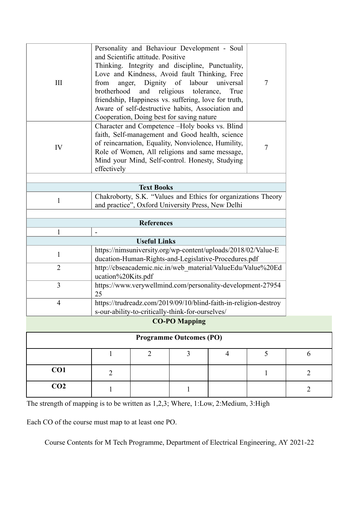| III            | Personality and Behaviour Development - Soul<br>and Scientific attitude. Positive<br>Thinking. Integrity and discipline, Punctuality,<br>Love and Kindness, Avoid fault Thinking, Free<br>Dignity of labour<br>from<br>universal<br>anger,<br>brotherhood<br>and<br>religious<br>tolerance,<br>True<br>friendship, Happiness vs. suffering, love for truth,<br>Aware of self-destructive habits, Association and | $\overline{7}$ |
|----------------|------------------------------------------------------------------------------------------------------------------------------------------------------------------------------------------------------------------------------------------------------------------------------------------------------------------------------------------------------------------------------------------------------------------|----------------|
| IV             | Cooperation, Doing best for saving nature<br>Character and Competence -Holy books vs. Blind<br>faith, Self-management and Good health, science<br>of reincarnation, Equality, Nonviolence, Humility,<br>Role of Women, All religions and same message,<br>Mind your Mind, Self-control. Honesty, Studying<br>effectively                                                                                         | $\tau$         |
|                |                                                                                                                                                                                                                                                                                                                                                                                                                  |                |
|                | <b>Text Books</b>                                                                                                                                                                                                                                                                                                                                                                                                |                |
| $\mathbf{1}$   | Chakroborty, S.K. "Values and Ethics for organizations Theory<br>and practice", Oxford University Press, New Delhi                                                                                                                                                                                                                                                                                               |                |
|                |                                                                                                                                                                                                                                                                                                                                                                                                                  |                |
|                | <b>References</b>                                                                                                                                                                                                                                                                                                                                                                                                |                |
| $\mathbf{1}$   |                                                                                                                                                                                                                                                                                                                                                                                                                  |                |
|                | <b>Useful Links</b>                                                                                                                                                                                                                                                                                                                                                                                              |                |
| $\mathbf{1}$   | https://nimsuniversity.org/wp-content/uploads/2018/02/Value-E<br>ducation-Human-Rights-and-Legislative-Procedures.pdf                                                                                                                                                                                                                                                                                            |                |
| $\overline{2}$ | http://cbseacademic.nic.in/web material/ValueEdu/Value%20Ed<br>ucation%20Kits.pdf                                                                                                                                                                                                                                                                                                                                |                |
| $\overline{3}$ | https://www.verywellmind.com/personality-development-27954<br>25                                                                                                                                                                                                                                                                                                                                                 |                |
| $\overline{4}$ | https://trudreadz.com/2019/09/10/blind-faith-in-religion-destroy<br>s-our-ability-to-critically-think-for-ourselves/                                                                                                                                                                                                                                                                                             |                |
|                |                                                                                                                                                                                                                                                                                                                                                                                                                  |                |

**CO-PO Mapping**

| <b>Programme Outcomes (PO)</b> |  |  |  |  |  |  |  |
|--------------------------------|--|--|--|--|--|--|--|
|                                |  |  |  |  |  |  |  |
| CO1                            |  |  |  |  |  |  |  |
| CO <sub>2</sub>                |  |  |  |  |  |  |  |

The strength of mapping is to be written as 1,2,3; Where, 1:Low, 2:Medium, 3:High

Each CO of the course must map to at least one PO.